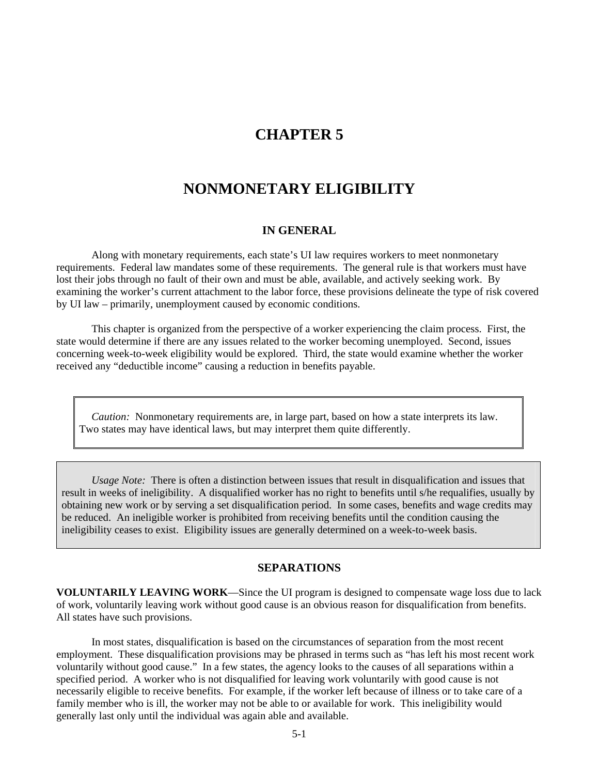# **CHAPTER 5**

# **NONMONETARY ELIGIBILITY**

#### **IN GENERAL**

Along with monetary requirements, each state's UI law requires workers to meet nonmonetary requirements. Federal law mandates some of these requirements. The general rule is that workers must have lost their jobs through no fault of their own and must be able, available, and actively seeking work. By examining the worker's current attachment to the labor force, these provisions delineate the type of risk covered by UI law – primarily, unemployment caused by economic conditions.

This chapter is organized from the perspective of a worker experiencing the claim process. First, the state would determine if there are any issues related to the worker becoming unemployed. Second, issues concerning week-to-week eligibility would be explored. Third, the state would examine whether the worker received any "deductible income" causing a reduction in benefits payable.

*Caution:* Nonmonetary requirements are, in large part, based on how a state interprets its law. Two states may have identical laws, but may interpret them quite differently.

*Usage Note:* There is often a distinction between issues that result in disqualification and issues that result in weeks of ineligibility. A disqualified worker has no right to benefits until s/he requalifies, usually by obtaining new work or by serving a set disqualification period. In some cases, benefits and wage credits may be reduced. An ineligible worker is prohibited from receiving benefits until the condition causing the ineligibility ceases to exist. Eligibility issues are generally determined on a week-to-week basis.

#### **SEPARATIONS**

**VOLUNTARILY LEAVING WORK**—Since the UI program is designed to compensate wage loss due to lack of work, voluntarily leaving work without good cause is an obvious reason for disqualification from benefits. All states have such provisions.

 In most states, disqualification is based on the circumstances of separation from the most recent employment. These disqualification provisions may be phrased in terms such as "has left his most recent work voluntarily without good cause." In a few states, the agency looks to the causes of all separations within a specified period. A worker who is not disqualified for leaving work voluntarily with good cause is not necessarily eligible to receive benefits. For example, if the worker left because of illness or to take care of a family member who is ill, the worker may not be able to or available for work. This ineligibility would generally last only until the individual was again able and available.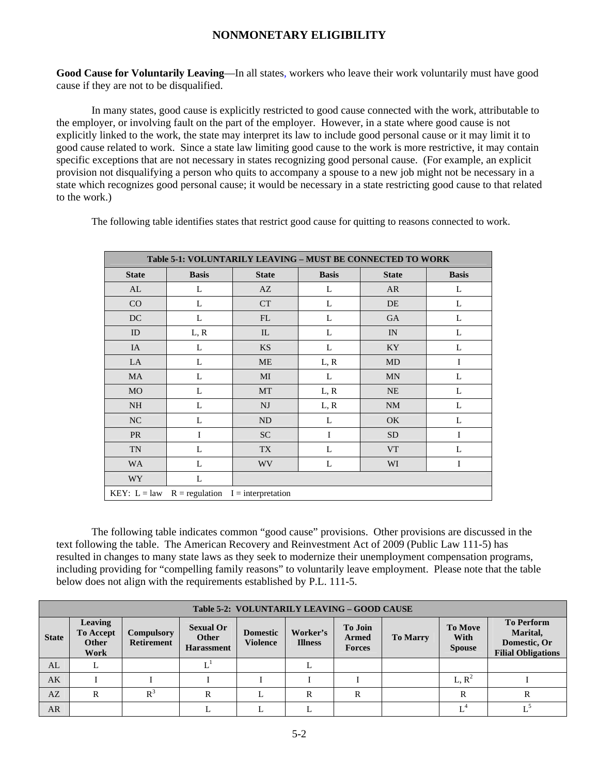**Good Cause for Voluntarily Leaving**—In all states, workers who leave their work voluntarily must have good cause if they are not to be disqualified.

 In many states, good cause is explicitly restricted to good cause connected with the work, attributable to the employer, or involving fault on the part of the employer. However, in a state where good cause is not explicitly linked to the work, the state may interpret its law to include good personal cause or it may limit it to good cause related to work. Since a state law limiting good cause to the work is more restrictive, it may contain specific exceptions that are not necessary in states recognizing good personal cause. (For example, an explicit provision not disqualifying a person who quits to accompany a spouse to a new job might not be necessary in a state which recognizes good personal cause; it would be necessary in a state restricting good cause to that related to the work.)

The following table identifies states that restrict good cause for quitting to reasons connected to work.

|                | <b>Table 5-1: VOLUNTARILY LEAVING - MUST BE CONNECTED TO WORK</b> |                |              |              |              |  |  |  |  |
|----------------|-------------------------------------------------------------------|----------------|--------------|--------------|--------------|--|--|--|--|
| <b>State</b>   | <b>Basis</b>                                                      | <b>State</b>   | <b>Basis</b> | <b>State</b> | <b>Basis</b> |  |  |  |  |
| AL             | L                                                                 | AZ             | L            | <b>AR</b>    | L            |  |  |  |  |
| CO             | L                                                                 | <b>CT</b>      | L            | DE           | L            |  |  |  |  |
| DC             | L                                                                 | FL             | L            | <b>GA</b>    | L            |  |  |  |  |
| ID             | L, R                                                              | IL             | L            | IN           | L            |  |  |  |  |
| IA             | L                                                                 | <b>KS</b>      | L            | KY           | L            |  |  |  |  |
| LA             | L                                                                 | ME             | L, R         | <b>MD</b>    | 1            |  |  |  |  |
| <b>MA</b>      | L                                                                 | MI             | L            | <b>MN</b>    | L            |  |  |  |  |
| <b>MO</b>      | L                                                                 | MT             | L, R         | NE           | L            |  |  |  |  |
| <b>NH</b>      | L                                                                 | NJ             | L, R         | <b>NM</b>    | L            |  |  |  |  |
| NC             | L                                                                 | N <sub>D</sub> | L            | OK.          | L            |  |  |  |  |
| <b>PR</b>      | I                                                                 | <b>SC</b>      | I            | <b>SD</b>    | 1            |  |  |  |  |
| <b>TN</b>      | L                                                                 | TX             | L            | <b>VT</b>    | L            |  |  |  |  |
| <b>WA</b>      | L                                                                 | <b>WV</b>      | L            | WI           | I            |  |  |  |  |
| <b>WY</b>      | L                                                                 |                |              |              |              |  |  |  |  |
| $KEY: L = law$ | $R =$ regulation $I =$ interpretation                             |                |              |              |              |  |  |  |  |

The following table indicates common "good cause" provisions. Other provisions are discussed in the text following the table. The American Recovery and Reinvestment Act of 2009 (Public Law 111-5) has resulted in changes to many state laws as they seek to modernize their unemployment compensation programs, including providing for "compelling family reasons" to voluntarily leave employment. Please note that the table below does not align with the requirements established by P.L. 111-5.

|              | Table 5-2: VOLUNTARILY LEAVING - GOOD CAUSE                                                                                                                                                                                                                                                                                                                                                                 |       |   |  |   |   |  |          |  |
|--------------|-------------------------------------------------------------------------------------------------------------------------------------------------------------------------------------------------------------------------------------------------------------------------------------------------------------------------------------------------------------------------------------------------------------|-------|---|--|---|---|--|----------|--|
| <b>State</b> | <b>To Perform</b><br>Leaving<br><b>To Move</b><br><b>To Join</b><br><b>Sexual Or</b><br>Marital,<br>Worker's<br><b>To Accept</b><br><b>Compulsory</b><br><b>Domestic</b><br>With<br><b>Other</b><br><b>To Marry</b><br>Armed<br>Other<br><b>Violence</b><br>Domestic, Or<br><b>Retirement</b><br><b>Illness</b><br><b>Harassment</b><br><b>Spouse</b><br><b>Forces</b><br><b>Filial Obligations</b><br>Work |       |   |  |   |   |  |          |  |
| AL           | ⊥                                                                                                                                                                                                                                                                                                                                                                                                           |       |   |  |   |   |  |          |  |
| AK           |                                                                                                                                                                                                                                                                                                                                                                                                             |       |   |  |   |   |  | $L, R^2$ |  |
| AZ           | R                                                                                                                                                                                                                                                                                                                                                                                                           | $R^3$ | R |  | R | R |  | R        |  |
| AR           |                                                                                                                                                                                                                                                                                                                                                                                                             |       |   |  |   |   |  |          |  |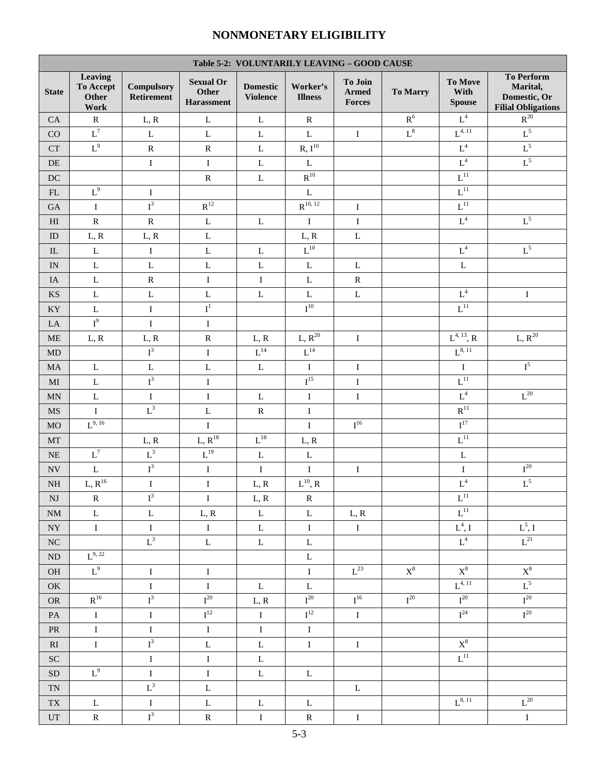r

| Table 5-2: VOLUNTARILY LEAVING - GOOD CAUSE |                                              |                                 |                                                |                                    |                                 |                                   |                 |                                              |                                                                            |
|---------------------------------------------|----------------------------------------------|---------------------------------|------------------------------------------------|------------------------------------|---------------------------------|-----------------------------------|-----------------|----------------------------------------------|----------------------------------------------------------------------------|
| <b>State</b>                                | Leaving<br>To Accept<br><b>Other</b><br>Work | <b>Compulsory</b><br>Retirement | <b>Sexual Or</b><br><b>Other</b><br>Harassment | <b>Domestic</b><br><b>Violence</b> | Worker's<br><b>Illness</b>      | To Join<br><b>Armed</b><br>Forces | <b>To Marry</b> | To Move<br>With<br><b>Spouse</b>             | <b>To Perform</b><br>Marital,<br>Domestic, Or<br><b>Filial Obligations</b> |
| CA                                          | ${\bf R}$                                    | L, R                            | $\mathbf L$                                    | $\mathbf L$                        | ${\bf R}$                       |                                   | $\mathbf{R}^6$  | $\mbox{L}^4$                                 | $\mathbb{R}^{20}$                                                          |
| CO                                          | $L^7$                                        | $\mathbf L$                     | $\mathbf L$                                    | L                                  | $\mathbf L$                     | $\mathbf I$                       | $\mbox{L}^8$    | $L^{4, 11}$                                  | $L^5$                                                                      |
| ${\cal C}{\cal T}$                          | $L^9$                                        | ${\bf R}$                       | ${\bf R}$                                      | $\mathbf L$                        | R, I <sup>10</sup>              |                                   |                 | $\mbox{L}^4$                                 | $\mathrm{L}^5$                                                             |
| $\rm DE$                                    |                                              | $\bf I$                         | $\rm I$                                        | $\mathbf L$                        | $\mathbf L$                     |                                   |                 | $\mbox{L}^4$                                 | $L^5$                                                                      |
| $\operatorname{DC}$                         |                                              |                                 | ${\bf R}$                                      | $\mathbf L$                        | $R^{10}$                        |                                   |                 | $\mathbf{L}^{11}$                            |                                                                            |
| FL                                          | $L^9$                                        | $\bf{I}$                        |                                                |                                    | $\mathbf L$                     |                                   |                 | $\mathbf{L}^{11}$                            |                                                                            |
| $\rm GA$                                    | $\rm I$                                      | $I^3$                           | $\mathbf{R}^{12}$                              |                                    | $R^{10, 12}$                    | $\bf{I}$                          |                 | $\mathbf{L}^{11}$                            |                                                                            |
| $\mathop{\rm HI}\nolimits$                  | ${\bf R}$                                    | ${\bf R}$                       | $\mathbf L$                                    | $\mathbf L$                        | $\rm I$                         | $\bf{I}$                          |                 | $\mbox{L}^4$                                 | $\mbox{L}^5$                                                               |
| $\rm ID$                                    | L, R                                         | L, R                            | $\mathbf L$                                    |                                    | L, R                            | $\mathbf L$                       |                 |                                              |                                                                            |
| ${\rm IL}$                                  | ${\bf L}$                                    | $\bf I$                         | $\mathbf L$                                    | $\mathbf L$                        | $\overline{L^{10}}$             |                                   |                 | $\mbox{L}^4$                                 | $L^5$                                                                      |
| $\ensuremath{\text{IN}}$                    | $\bf L$                                      | $\mathbf L$                     | $\mathbf L$                                    | $\mathbf L$                        | $\mathbf L$                     | $\mathbf L$                       |                 | $\mathbf L$                                  |                                                                            |
| IA                                          | $\bf L$                                      | ${\bf R}$                       | $\rm I$                                        | $\bf{I}$                           | $\mathbf L$                     | ${\bf R}$                         |                 |                                              |                                                                            |
| KS                                          | $\bf L$                                      | $\mathbf L$                     | $\mathbf L$                                    | $\mathbf L$                        | $\bf L$                         | $\mathbf L$                       |                 | $\mbox{L}^4$                                 | $\bf{I}$                                                                   |
| $\mathbf{K}\mathbf{Y}$                      | $\bf L$                                      | $\bf I$                         | $\mathbf{I}^1$                                 |                                    | ${\rm I}^{10}$                  |                                   |                 | $\mathbf{L}^{11}$                            |                                                                            |
| ${\rm LA}$                                  | $I^9$                                        | $\bf I$                         | $\rm I$                                        |                                    |                                 |                                   |                 |                                              |                                                                            |
| $\operatorname{ME}$                         | L, R                                         | L, R                            | ${\bf R}$                                      | L, R                               | $L, R^{20}$                     | $\rm I$                           |                 | $\operatorname{L}^{4,\,13},\operatorname{R}$ | $L, R^{20}$                                                                |
| $\rm MD$                                    |                                              | $I^3$                           | $\rm I$                                        | $\mbox{L}^{14}$                    | $\overline{L^{14}}$             |                                   |                 | $L^{8, 11}$                                  |                                                                            |
| $\rm MA$                                    | $\mathbf L$                                  | $\mathbf L$                     | $\mathbf L$                                    | $\mathbf L$                        | $\bf I$                         | $\rm I$                           |                 | $\rm I$                                      | $\mathbf{I}^5$                                                             |
| $\rm MI$                                    | ${\bf L}$                                    | $I^3$                           | $\rm I$                                        |                                    | $\overline{\mathrm{I}^{15}}$    | $\bf I$                           |                 | $\overline{L^{11}}$                          |                                                                            |
| $\mbox{MN}$                                 | $\bf L$                                      | $\bf I$                         | $\rm I$                                        | $\mathbf L$                        | $\bf I$                         | $\bf I$                           |                 | $\mbox{L}^4$                                 | $\mbox{L}^{\,20}$                                                          |
| $\rm MS$                                    | $\mathbf I$                                  | $L^3$                           | $\mathbf L$                                    | ${\bf R}$                          | $\rm I$                         |                                   |                 | $\mathbf{R}^{11}$                            |                                                                            |
| $_{\rm MO}$                                 | $\mathrm{L}^{9,\,16}$                        |                                 | $\rm I$                                        |                                    | $\rm I$                         | $I^{16}$                          |                 | $\mathbf{I}^{17}$                            |                                                                            |
| $\rm{MT}$                                   |                                              | L, R                            | $L, R^{18}$                                    | $\mathbf{L}^{18}$                  | L, R                            |                                   |                 | $\mathbf{L}^{11}$                            |                                                                            |
| $\rm NE$                                    | $\mbox{L}^7$                                 | $\mbox{L}^3$                    | $L^{19}$                                       | $\mathbf L$                        | $\mathbf L$                     |                                   |                 | $\mathbf L$                                  |                                                                            |
| $\ensuremath{\text{NV}}$                    | $\mathbf L$                                  | $I^3$                           | $\rm I$                                        | $\rm I$                            | $\rm I$                         | $\bf{I}$                          |                 | $\rm I$                                      | ${\bf I}^{20}$                                                             |
| $\rm NH$                                    | $L, R^{16}$                                  | $\bf I$                         | $\bf I$                                        | L, R                               | $\mathcal{L}^{10}, \mathcal{R}$ |                                   |                 | $\mathbf{L}^4$                               | $L^5$                                                                      |
| $\mathbf{N}\mathbf{J}$                      | ${\bf R}$                                    | $\overline{\mathbf{I}^3}$       | $\rm I$                                        | L, R                               | ${\bf R}$                       |                                   |                 | $\mathbf{L}^{11}$                            |                                                                            |
| $\mathrm{NM}$                               | $\mathbf L$                                  | $\mathbf L$                     | L, R                                           | $\bf L$                            | $\mathbf L$                     | L, R                              |                 | $L^{11}$                                     |                                                                            |
| $\bold{NY}$                                 | $\rm I$                                      | $\bf I$                         | $\rm I$                                        | $\mathbf L$                        | $\rm I$                         | $\rm I$                           |                 | $L^4$ , I                                    | $\mathrm{L}^5, \mathrm{I}$                                                 |
| $\rm NC$                                    |                                              | $L^3$                           | $\mathbf L$                                    | $\bf L$                            | $\mathbf L$                     |                                   |                 | $\mathbf{L}^4$                               | $L^{21}$                                                                   |
| ND                                          | $L^{9, 22}$                                  |                                 |                                                |                                    | $\mathbf L$                     |                                   |                 |                                              |                                                                            |
| OH                                          | $L^9$                                        | $\bf I$                         | $\rm I$                                        |                                    | $\rm I$                         | $\mbox{L}^{23}$                   | $\text{X}^8$    | $X^8$                                        | $X^8$                                                                      |
| OK                                          |                                              | $\rm I$                         | $\rm I$                                        | $\mathbf L$                        | $\mathbf L$                     |                                   |                 | $L^{4, 11}$                                  | $L^5$                                                                      |
| $\mathcal{O}\mathcal{R}$                    | $R^{16}$                                     | $I^3$                           | ${\rm I}^{20}$                                 | L, R                               | ${\bf I}^{20}$                  | $I^{16}$                          | $I^{20}$        | ${\bf I}^{20}$                               | ${\rm I}^{20}$                                                             |
| PA                                          | $\bf{I}$                                     | $\rm I$                         | $I^{12}$                                       | $\mathbf I$                        | $\mathbf{I}^{12}$               | $\rm I$                           |                 | $I^{24}$                                     | $I^{20}$                                                                   |
| ${\rm PR}$                                  | $\rm I$                                      | $\bf I$                         | $\rm I$                                        | $\bf I$                            | $\rm I$                         |                                   |                 |                                              |                                                                            |
| RI                                          | $\rm I$                                      | $I^3$                           | $\mathbf L$                                    | $\mathbf L$                        | $\rm I$                         | $\rm I$                           |                 | $\mathbf{X}^8$                               |                                                                            |
| ${\rm SC}$                                  |                                              | $\rm I$                         | $\rm I$                                        | $\mathbf L$                        |                                 |                                   |                 | $L^{11}$                                     |                                                                            |
| ${\rm SD}$                                  | $\mbox{L}^9$                                 | $\bf I$                         | $\rm I$                                        | $\mathbf L$                        | $\mathbf L$                     |                                   |                 |                                              |                                                                            |
| $\mbox{T}\mbox{N}$                          |                                              | $\mathbf{L}^3$                  | $\mathbf L$                                    |                                    |                                 | $\mathbf{L}$                      |                 |                                              |                                                                            |
| ${\rm TX}$                                  | $\mathbf L$                                  | $\bf I$                         | $\mathbf L$                                    | $\mathbf L$                        | $\mathbf L$                     |                                   |                 | $L^{8, 11}$                                  | $L^{20}$                                                                   |
| $\mathop{\rm UT}$                           | ${\bf R}$                                    | $\mathbf{I}^3$                  | ${\bf R}$                                      | $\mathbf I$                        | ${\bf R}$                       | $\bf{I}$                          |                 |                                              | $\bf I$                                                                    |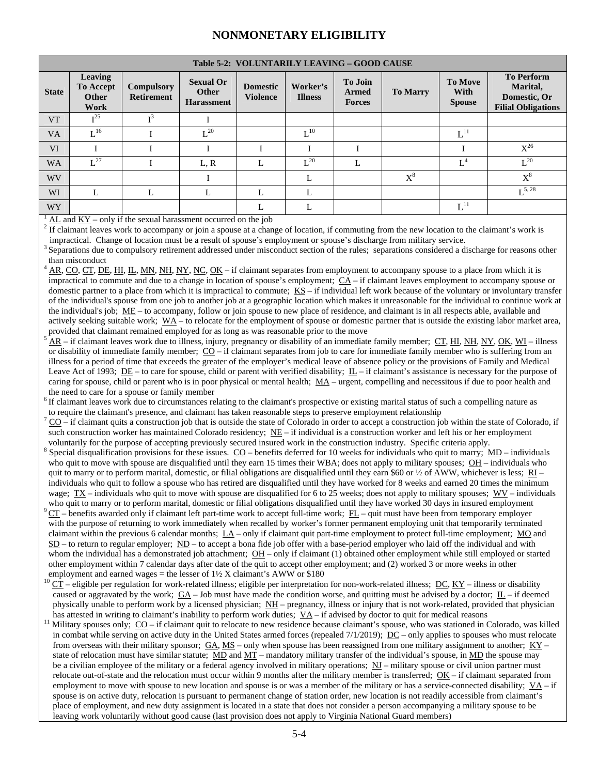| Table 5-2: VOLUNTARILY LEAVING – GOOD CAUSE |  |  |
|---------------------------------------------|--|--|
|                                             |  |  |

|              | Table 3-2. VOLUNTARILT LEAVING – GOOD CAUSE                |                                        |                                                       |                                    |                            |                                          |                 |                                         |                                                                            |
|--------------|------------------------------------------------------------|----------------------------------------|-------------------------------------------------------|------------------------------------|----------------------------|------------------------------------------|-----------------|-----------------------------------------|----------------------------------------------------------------------------|
| <b>State</b> | <b>Leaving</b><br><b>To Accept</b><br><b>Other</b><br>Work | <b>Compulsory</b><br><b>Retirement</b> | <b>Sexual Or</b><br><b>Other</b><br><b>Harassment</b> | <b>Domestic</b><br><b>Violence</b> | Worker's<br><b>Illness</b> | <b>To Join</b><br>Armed<br><b>Forces</b> | <b>To Marry</b> | <b>To Move</b><br>With<br><b>Spouse</b> | <b>To Perform</b><br>Marital,<br>Domestic, Or<br><b>Filial Obligations</b> |
| <b>VT</b>    | $\mathbf{r}^{25}$                                          |                                        |                                                       |                                    |                            |                                          |                 |                                         |                                                                            |
| VA           | $I^{\text{16}}$                                            |                                        | $\mathbf{r}$ 20                                       |                                    | $\mathbf{L}^{10}$          |                                          |                 | $L^{11}$                                |                                                                            |
| <b>VI</b>    |                                                            |                                        |                                                       |                                    |                            |                                          |                 |                                         | $X^{26}$                                                                   |
| <b>WA</b>    | $L^{27}$                                                   |                                        | L, R                                                  | L                                  | $L^{20}$                   | L                                        |                 | $L^4$                                   | $L^{20}$                                                                   |
| <b>WV</b>    |                                                            |                                        |                                                       |                                    | L                          |                                          | $X^8$           |                                         | $\mathrm{X}^8$                                                             |
| WI           |                                                            |                                        |                                                       |                                    |                            |                                          |                 |                                         | $\mathrm{L}^{5,\,28}$                                                      |
| WY           |                                                            |                                        |                                                       | L                                  | L                          |                                          |                 | $L^{11}$                                |                                                                            |

1 AL and  $KY - only$  if the sexual harassment occurred on the job

 $\frac{1}{2}$  If claimant leaves work to accompany or join a spouse at a change of location, if commuting from the new location to the claimant's work is impractical. Change of location must be a result of spouse's employment or spouse's discharge from military service.

3 Separations due to compulsory retirement addressed under misconduct section of the rules; separations considered a discharge for reasons other than misconduct

4 AR, CO, CT, DE, HI, IL, MN, NH, NY, NC, OK – if claimant separates from employment to accompany spouse to a place from which it is impractical to commute and due to a change in location of spouse's employment;  $\underline{CA}$  – if claimant leaves employment to accompany spouse or domestic partner to a place from which it is impractical to commute;  $\overline{KS}$  – if individual left work because of the voluntary or involuntary transfer of the individual's spouse from one job to another job at a geographic location which makes it unreasonable for the individual to continue work at the individual's job; ME – to accompany, follow or join spouse to new place of residence, and claimant is in all respects able, available and actively seeking suitable work;  $\overline{WA}$  – to relocate for the employment of spouse or domestic partner that is outside the existing labor market area, provided that claimant remained employed for as long as was reasonable prior to the move

 AR – if claimant leaves work due to illness, injury, pregnancy or disability of an immediate family member; CT, HI, NH, NY, OK, WI – illness or disability of immediate family member; CO – if claimant separates from job to care for immediate family member who is suffering from an illness for a period of time that exceeds the greater of the employer's medical leave of absence policy or the provisions of Family and Medical Leave Act of 1993; DE – to care for spouse, child or parent with verified disability;  $L =$  if claimant's assistance is necessary for the purpose of caring for spouse, child or parent who is in poor physical or mental health;  $\underline{M}A$  – urgent, compelling and necessitous if due to poor health and the need to care for a spouse or family member

 $6$  If claimant leaves work due to circumstances relating to the claimant's prospective or existing marital status of such a compelling nature as to require the claimant's presence, and claimant has taken reasonable steps to preserve employment relationship 7

 CO – if claimant quits a construction job that is outside the state of Colorado in order to accept a construction job within the state of Colorado, if such construction worker has maintained Colorado residency; NE – if individual is a construction worker and left his or her employment voluntarily for the purpose of accepting previously secured insured work in the construction industry. Specific criteria apply. 8

- $\delta$  Special disqualification provisions for these issues. CO benefits deferred for 10 weeks for individuals who quit to marry; MD individuals who quit to move with spouse are disqualified until they earn 15 times their WBA; does not apply to military spouses;  $OH$  – individuals who quit to marry or to perform marital, domestic, or filial obligations are disqualified until they earn \$60 or  $\frac{1}{2}$  of AWW, whichever is less; RI – individuals who quit to follow a spouse who has retired are disqualified until they have worked for 8 weeks and earned 20 times the minimum wage; TX – individuals who quit to move with spouse are disqualified for 6 to 25 weeks; does not apply to military spouses; WV – individuals
- who quit to marry or to perform marital, domestic or filial obligations disqualified until they have worked 30 days in insured employment  $CT$  benefits awarded only if claimant left part-time work to accept full-time wor with the purpose of returning to work immediately when recalled by worker's former permanent employing unit that temporarily terminated claimant within the previous 6 calendar months;  $L\Delta$  – only if claimant quit part-time employment to protect full-time employment;  $M\Delta$  and  $SD$  – to return to regular employer;  $ND$  – to accept a bona fide job offer with a base-period employer who laid off the individual and with whom the individual has a demonstrated job attachment;  $OH$  – only if claimant (1) obtained other employment while still employed or started other employment within 7 calendar days after date of the quit to accept other employment; and (2) worked 3 or more weeks in other employment and earned wages = the lesser of  $1\frac{1}{2}$  X claimant's AWW or \$180
- $^{10}$  CT eligible per regulation for work-related illness; eligible per interpretation for non-work-related illness; DC, KY illness or disability caused or aggravated by the work:  $GA$  – Job must have made the condition worse, and quitting must be advised by a doctor;  $IL$  – if deemed physically unable to perform work by a licensed physician;  $NH$  – pregnancy, illness or injury that is not work-related, provided that physician
- has attested in writing to claimant's inability to perform work duties;  $\underline{VA}$  if advised by doctor to quit for medical reasons<br><sup>11</sup> Military spouses only;  $\underline{CO}$  if claimant quit to relocate to new residence beca in combat while serving on active duty in the United States armed forces (repealed  $7/1/2019$ );  $\underline{DC}$  – only applies to spouses who must relocate from overseas with their military sponsor;  $G\text{A}$ ,  $MS$  – only when spouse has been reassigned from one military assignment to another;  $KY$  – state of relocation must have similar statute; MD and MT – mandatory military transfer of the individual's spouse, in MD the spouse may be a civilian employee of the military or a federal agency involved in military operations;  $\overline{NJ}$  – military spouse or civil union partner must relocate out-of-state and the relocation must occur within 9 months after the military member is transferred; OK – if claimant separated from employment to move with spouse to new location and spouse is or was a member of the military or has a service-connected disability; VA – if spouse is on active duty, relocation is pursuant to permanent change of station order, new location is not readily accessible from claimant's place of employment, and new duty assignment is located in a state that does not consider a person accompanying a military spouse to be leaving work voluntarily without good cause (last provision does not apply to Virginia National Guard members)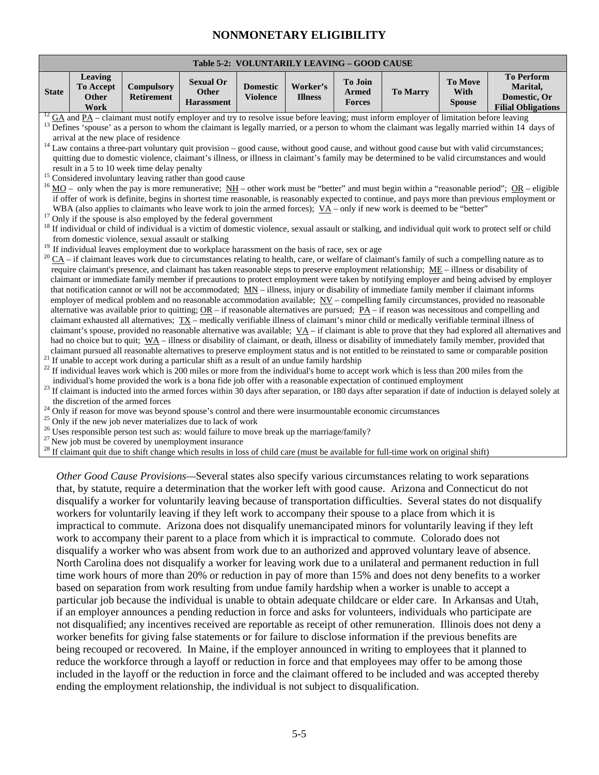## **Table 5-2: VOLUNTARILY LEAVING – GOOD CAUSE**

| <b>State</b> | Leaving<br><b>To Accept</b><br>Other<br>Work | Compulsory<br>Retirement                           | <b>Sexual Or</b><br>Other<br><b>Harassment</b>                                                                                                                                                        | <b>Domestic</b><br><b>Violence</b> | Worker's<br><b>Illness</b> | To Join<br><b>Armed</b><br><b>Forces</b> | <b>To Marry</b> | To Move<br>With<br><b>Spouse</b> | <b>To Perform</b><br>Marital,<br>Domestic, Or<br><b>Filial Obligations</b>                                                                                                   |
|--------------|----------------------------------------------|----------------------------------------------------|-------------------------------------------------------------------------------------------------------------------------------------------------------------------------------------------------------|------------------------------------|----------------------------|------------------------------------------|-----------------|----------------------------------|------------------------------------------------------------------------------------------------------------------------------------------------------------------------------|
|              |                                              |                                                    | $^{12}$ GA and PA – claimant must notify employer and try to resolve issue before leaving; must inform employer of limitation before leaving                                                          |                                    |                            |                                          |                 |                                  |                                                                                                                                                                              |
|              |                                              |                                                    |                                                                                                                                                                                                       |                                    |                            |                                          |                 |                                  | $^{13}$ Defines $\overline{\phantom{a}}$ spouse' as a person to whom the claimant is legally married, or a person to whom the claimant was legally married within 14 days of |
|              |                                              | arrival at the new place of residence              |                                                                                                                                                                                                       |                                    |                            |                                          |                 |                                  |                                                                                                                                                                              |
|              |                                              |                                                    | $14$ Law contains a three-part voluntary quit provision – good cause, without good cause, and without good cause but with valid circumstances;                                                        |                                    |                            |                                          |                 |                                  | quitting due to domestic violence, claimant's illness, or illness in claimant's family may be determined to be valid circumstances and would                                 |
|              |                                              | result in a 5 to 10 week time delay penalty        |                                                                                                                                                                                                       |                                    |                            |                                          |                 |                                  |                                                                                                                                                                              |
|              |                                              |                                                    | <sup>15</sup> Considered involuntary leaving rather than good cause                                                                                                                                   |                                    |                            |                                          |                 |                                  |                                                                                                                                                                              |
|              |                                              |                                                    |                                                                                                                                                                                                       |                                    |                            |                                          |                 |                                  | $^{16}$ MO – only when the pay is more remunerative; NH – other work must be "better" and must begin within a "reasonable period"; OR – eligible                             |
|              |                                              |                                                    |                                                                                                                                                                                                       |                                    |                            |                                          |                 |                                  | if offer of work is definite, begins in shortest time reasonable, is reasonably expected to continue, and pays more than previous employment or                              |
| 17           |                                              |                                                    | WBA (also applies to claimants who leave work to join the armed forces); $\overline{VA}$ – only if new work is deemed to be "better"<br>Only if the spouse is also employed by the federal government |                                    |                            |                                          |                 |                                  |                                                                                                                                                                              |
|              |                                              |                                                    |                                                                                                                                                                                                       |                                    |                            |                                          |                 |                                  | <sup>18</sup> If individual or child of individual is a victim of domestic violence, sexual assault or stalking, and individual quit work to protect self or child           |
|              |                                              | from domestic violence, sexual assault or stalking |                                                                                                                                                                                                       |                                    |                            |                                          |                 |                                  |                                                                                                                                                                              |
|              |                                              |                                                    | <sup>19</sup> If individual leaves employment due to workplace harassment on the basis of race, sex or age                                                                                            |                                    |                            |                                          |                 |                                  |                                                                                                                                                                              |
|              |                                              |                                                    | $^{20}$ $\underline{CA}$ – if claimant leaves work due to circumstances relating to health, care, or welfare of claimant's family of such a compelling nature as to                                   |                                    |                            |                                          |                 |                                  |                                                                                                                                                                              |
|              |                                              |                                                    | require claimant's presence, and claimant has taken reasonable steps to preserve employment relationship; ME – illness or disability of                                                               |                                    |                            |                                          |                 |                                  | claimant or immediate family member if precautions to protect employment were taken by notifying employer and being advised by employer                                      |
|              |                                              |                                                    | that notification cannot or will not be accommodated; $MN - illness$ , injury or disability of immediate family member if claimant informs                                                            |                                    |                            |                                          |                 |                                  |                                                                                                                                                                              |
|              |                                              |                                                    | employer of medical problem and no reasonable accommodation available; $\frac{NV}{ }$ - compelling family circumstances, provided no reasonable                                                       |                                    |                            |                                          |                 |                                  |                                                                                                                                                                              |
|              |                                              |                                                    | alternative was available prior to quitting; $OR - if$ reasonable alternatives are pursued; $PA - if$ reason was necessitous and compelling and                                                       |                                    |                            |                                          |                 |                                  |                                                                                                                                                                              |
|              |                                              |                                                    | claimant exhausted all alternatives; $TX$ – medically verifiable illness of claimant's minor child or medically verifiable terminal illness of                                                        |                                    |                            |                                          |                 |                                  |                                                                                                                                                                              |
|              |                                              |                                                    | had no choice but to quit; $W\text{A}$ – illness or disability of claimant, or death, illness or disability of immediately family member, provided that                                               |                                    |                            |                                          |                 |                                  | claimant's spouse, provided no reasonable alternative was available; $\overline{YA}$ – if claimant is able to prove that they had explored all alternatives and              |
|              |                                              |                                                    |                                                                                                                                                                                                       |                                    |                            |                                          |                 |                                  | claimant pursued all reasonable alternatives to preserve employment status and is not entitled to be reinstated to same or comparable position                               |
|              |                                              |                                                    | <sup>21</sup> If unable to accept work during a particular shift as a result of an undue family hardship                                                                                              |                                    |                            |                                          |                 |                                  |                                                                                                                                                                              |
|              |                                              |                                                    | $^{22}$ If individual leaves work which is 200 miles or more from the individual's home to accept work which is less than 200 miles from the                                                          |                                    |                            |                                          |                 |                                  |                                                                                                                                                                              |
|              |                                              |                                                    | individual's home provided the work is a bona fide job offer with a reasonable expectation of continued employment                                                                                    |                                    |                            |                                          |                 |                                  |                                                                                                                                                                              |
|              | the discretion of the armed forces           |                                                    |                                                                                                                                                                                                       |                                    |                            |                                          |                 |                                  | <sup>23</sup> If claimant is inducted into the armed forces within 30 days after separation, or 180 days after separation if date of induction is delayed solely at          |
|              |                                              |                                                    | <sup>24</sup> Only if reason for move was beyond spouse's control and there were insurmountable economic circumstances                                                                                |                                    |                            |                                          |                 |                                  |                                                                                                                                                                              |
|              |                                              |                                                    | <sup>25</sup> Only if the new job never materializes due to lack of work                                                                                                                              |                                    |                            |                                          |                 |                                  |                                                                                                                                                                              |
|              |                                              |                                                    | <sup>26</sup> Uses responsible person test such as: would failure to move break up the marriage/family?                                                                                               |                                    |                            |                                          |                 |                                  |                                                                                                                                                                              |
|              |                                              |                                                    | $27$ New job must be covered by unemployment insurance                                                                                                                                                |                                    |                            |                                          |                 |                                  |                                                                                                                                                                              |
|              |                                              |                                                    | <sup>28</sup> If claimant quit due to shift change which results in loss of child care (must be available for full-time work on original shift)                                                       |                                    |                            |                                          |                 |                                  |                                                                                                                                                                              |
|              |                                              |                                                    | Other Good Cause Provisions—Several states also specify various circumstances relating to work separations                                                                                            |                                    |                            |                                          |                 |                                  |                                                                                                                                                                              |
|              |                                              |                                                    | that, by statute, require a determination that the worker left with good cause. Arizona and Connecticut do not                                                                                        |                                    |                            |                                          |                 |                                  |                                                                                                                                                                              |
|              |                                              |                                                    | disqualify a worker for voluntarily leaving because of transportation difficulties. Several states do not disqualify                                                                                  |                                    |                            |                                          |                 |                                  |                                                                                                                                                                              |
|              |                                              |                                                    | workers for voluntarily leaving if they left work to accompany their spouse to a place from which it is                                                                                               |                                    |                            |                                          |                 |                                  |                                                                                                                                                                              |
|              |                                              |                                                    | impractical to commute. Arizona does not disqualify unemancipated minors for voluntarily leaving if they left                                                                                         |                                    |                            |                                          |                 |                                  |                                                                                                                                                                              |
|              |                                              |                                                    | work to accompany their parent to a place from which it is impractical to commute. Colorado does not                                                                                                  |                                    |                            |                                          |                 |                                  |                                                                                                                                                                              |
|              |                                              |                                                    | disqualify a worker who was absent from work due to an authorized and approved voluntary leave of absence.                                                                                            |                                    |                            |                                          |                 |                                  |                                                                                                                                                                              |
|              |                                              |                                                    | North Carolina does not disqualify a worker for leaving work due to a unilateral and permanent reduction in full                                                                                      |                                    |                            |                                          |                 |                                  |                                                                                                                                                                              |
|              |                                              |                                                    | time work hours of more than 20% or reduction in pay of more than 15% and does not deny benefits to a worker                                                                                          |                                    |                            |                                          |                 |                                  |                                                                                                                                                                              |
|              |                                              |                                                    | based on separation from work resulting from undue family hardship when a worker is unable to accept a                                                                                                |                                    |                            |                                          |                 |                                  |                                                                                                                                                                              |
|              |                                              |                                                    | particular job because the individual is unable to obtain adequate childcare or elder care. In Arkansas and Utah,                                                                                     |                                    |                            |                                          |                 |                                  |                                                                                                                                                                              |
|              |                                              |                                                    | if an employer announces a pending reduction in force and asks for volunteers, individuals who participate are                                                                                        |                                    |                            |                                          |                 |                                  |                                                                                                                                                                              |
|              |                                              |                                                    | not disqualified; any incentives received are reportable as receipt of other remuneration. Illinois does not deny a                                                                                   |                                    |                            |                                          |                 |                                  |                                                                                                                                                                              |
|              |                                              |                                                    | worker benefits for giving false statements or for failure to disclose information if the previous benefits are                                                                                       |                                    |                            |                                          |                 |                                  |                                                                                                                                                                              |
|              |                                              |                                                    | being recouped or recovered. In Maine, if the employer announced in writing to employees that it planned to                                                                                           |                                    |                            |                                          |                 |                                  |                                                                                                                                                                              |
|              |                                              |                                                    | reduce the workforce through a layoff or reduction in force and that employees may offer to be among those                                                                                            |                                    |                            |                                          |                 |                                  |                                                                                                                                                                              |
|              |                                              |                                                    | included in the layoff or the reduction in force and the claimant offered to be included and was accepted thereby                                                                                     |                                    |                            |                                          |                 |                                  |                                                                                                                                                                              |
|              |                                              |                                                    | ending the employment relationship, the individual is not subject to disqualification.                                                                                                                |                                    |                            |                                          |                 |                                  |                                                                                                                                                                              |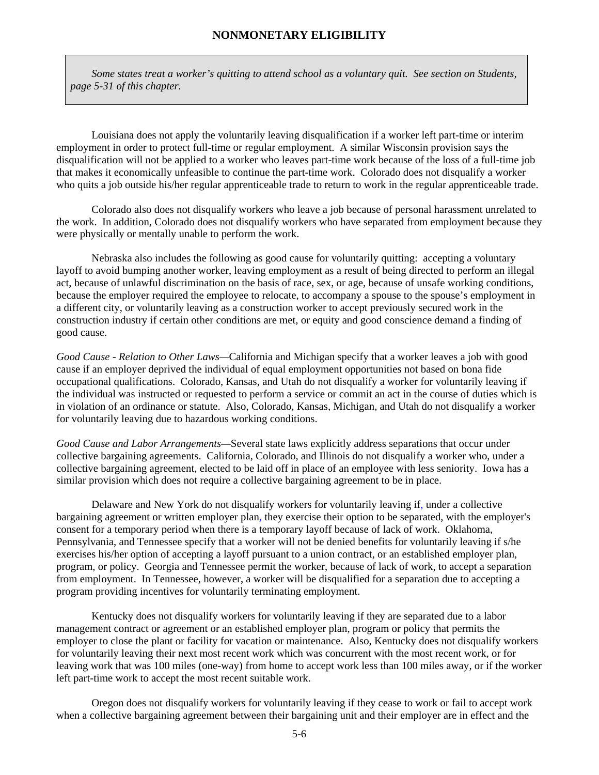*Some states treat a worker's quitting to attend school as a voluntary quit. See section on Students, page 5-31 of this chapter.* 

Louisiana does not apply the voluntarily leaving disqualification if a worker left part-time or interim employment in order to protect full-time or regular employment. A similar Wisconsin provision says the disqualification will not be applied to a worker who leaves part-time work because of the loss of a full-time job that makes it economically unfeasible to continue the part-time work. Colorado does not disqualify a worker who quits a job outside his/her regular apprenticeable trade to return to work in the regular apprenticeable trade.

 Colorado also does not disqualify workers who leave a job because of personal harassment unrelated to the work. In addition, Colorado does not disqualify workers who have separated from employment because they were physically or mentally unable to perform the work.

Nebraska also includes the following as good cause for voluntarily quitting: accepting a voluntary layoff to avoid bumping another worker, leaving employment as a result of being directed to perform an illegal act, because of unlawful discrimination on the basis of race, sex, or age, because of unsafe working conditions, because the employer required the employee to relocate, to accompany a spouse to the spouse's employment in a different city, or voluntarily leaving as a construction worker to accept previously secured work in the construction industry if certain other conditions are met, or equity and good conscience demand a finding of good cause.

*Good Cause - Relation to Other Laws—*California and Michigan specify that a worker leaves a job with good cause if an employer deprived the individual of equal employment opportunities not based on bona fide occupational qualifications. Colorado, Kansas, and Utah do not disqualify a worker for voluntarily leaving if the individual was instructed or requested to perform a service or commit an act in the course of duties which is in violation of an ordinance or statute. Also, Colorado, Kansas, Michigan, and Utah do not disqualify a worker for voluntarily leaving due to hazardous working conditions.

*Good Cause and Labor Arrangements—*Several state laws explicitly address separations that occur under collective bargaining agreements. California, Colorado, and Illinois do not disqualify a worker who, under a collective bargaining agreement, elected to be laid off in place of an employee with less seniority. Iowa has a similar provision which does not require a collective bargaining agreement to be in place.

Delaware and New York do not disqualify workers for voluntarily leaving if, under a collective bargaining agreement or written employer plan, they exercise their option to be separated, with the employer's consent for a temporary period when there is a temporary layoff because of lack of work. Oklahoma, Pennsylvania, and Tennessee specify that a worker will not be denied benefits for voluntarily leaving if s/he exercises his/her option of accepting a layoff pursuant to a union contract, or an established employer plan, program, or policy. Georgia and Tennessee permit the worker, because of lack of work, to accept a separation from employment. In Tennessee, however, a worker will be disqualified for a separation due to accepting a program providing incentives for voluntarily terminating employment.

Kentucky does not disqualify workers for voluntarily leaving if they are separated due to a labor management contract or agreement or an established employer plan, program or policy that permits the employer to close the plant or facility for vacation or maintenance. Also, Kentucky does not disqualify workers for voluntarily leaving their next most recent work which was concurrent with the most recent work, or for leaving work that was 100 miles (one-way) from home to accept work less than 100 miles away, or if the worker left part-time work to accept the most recent suitable work.

 Oregon does not disqualify workers for voluntarily leaving if they cease to work or fail to accept work when a collective bargaining agreement between their bargaining unit and their employer are in effect and the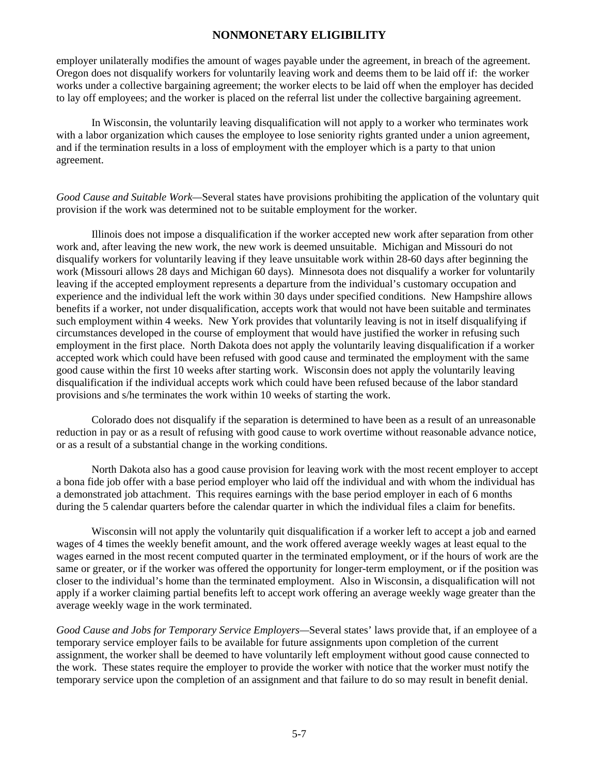employer unilaterally modifies the amount of wages payable under the agreement, in breach of the agreement. Oregon does not disqualify workers for voluntarily leaving work and deems them to be laid off if: the worker works under a collective bargaining agreement; the worker elects to be laid off when the employer has decided to lay off employees; and the worker is placed on the referral list under the collective bargaining agreement.

 In Wisconsin, the voluntarily leaving disqualification will not apply to a worker who terminates work with a labor organization which causes the employee to lose seniority rights granted under a union agreement, and if the termination results in a loss of employment with the employer which is a party to that union agreement.

*Good Cause and Suitable Work—*Several states have provisions prohibiting the application of the voluntary quit provision if the work was determined not to be suitable employment for the worker.

 Illinois does not impose a disqualification if the worker accepted new work after separation from other work and, after leaving the new work, the new work is deemed unsuitable. Michigan and Missouri do not disqualify workers for voluntarily leaving if they leave unsuitable work within 28-60 days after beginning the work (Missouri allows 28 days and Michigan 60 days). Minnesota does not disqualify a worker for voluntarily leaving if the accepted employment represents a departure from the individual's customary occupation and experience and the individual left the work within 30 days under specified conditions. New Hampshire allows benefits if a worker, not under disqualification, accepts work that would not have been suitable and terminates such employment within 4 weeks. New York provides that voluntarily leaving is not in itself disqualifying if circumstances developed in the course of employment that would have justified the worker in refusing such employment in the first place. North Dakota does not apply the voluntarily leaving disqualification if a worker accepted work which could have been refused with good cause and terminated the employment with the same good cause within the first 10 weeks after starting work. Wisconsin does not apply the voluntarily leaving disqualification if the individual accepts work which could have been refused because of the labor standard provisions and s/he terminates the work within 10 weeks of starting the work.

 Colorado does not disqualify if the separation is determined to have been as a result of an unreasonable reduction in pay or as a result of refusing with good cause to work overtime without reasonable advance notice, or as a result of a substantial change in the working conditions.

 North Dakota also has a good cause provision for leaving work with the most recent employer to accept a bona fide job offer with a base period employer who laid off the individual and with whom the individual has a demonstrated job attachment. This requires earnings with the base period employer in each of 6 months during the 5 calendar quarters before the calendar quarter in which the individual files a claim for benefits.

Wisconsin will not apply the voluntarily quit disqualification if a worker left to accept a job and earned wages of 4 times the weekly benefit amount, and the work offered average weekly wages at least equal to the wages earned in the most recent computed quarter in the terminated employment, or if the hours of work are the same or greater, or if the worker was offered the opportunity for longer-term employment, or if the position was closer to the individual's home than the terminated employment. Also in Wisconsin, a disqualification will not apply if a worker claiming partial benefits left to accept work offering an average weekly wage greater than the average weekly wage in the work terminated.

*Good Cause and Jobs for Temporary Service Employers—*Several states' laws provide that, if an employee of a temporary service employer fails to be available for future assignments upon completion of the current assignment, the worker shall be deemed to have voluntarily left employment without good cause connected to the work. These states require the employer to provide the worker with notice that the worker must notify the temporary service upon the completion of an assignment and that failure to do so may result in benefit denial.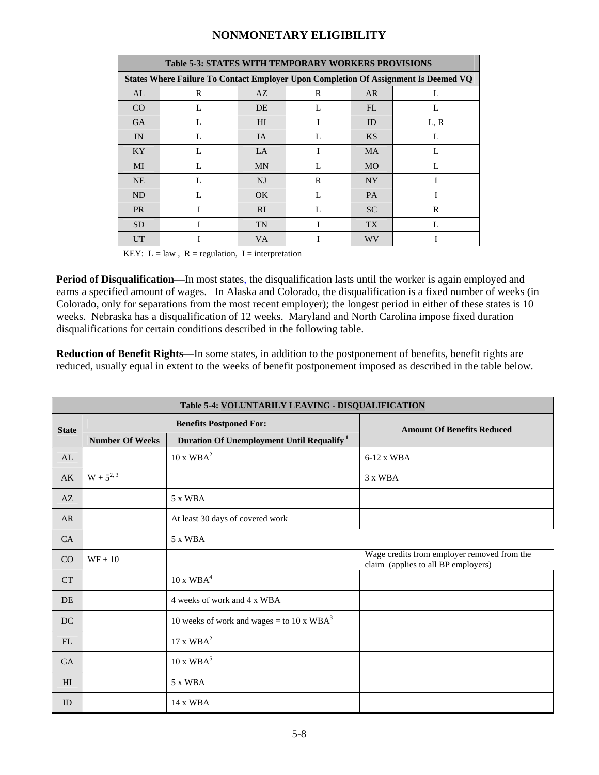|                                                                                     | <b>Table 5-3: STATES WITH TEMPORARY WORKERS PROVISIONS</b> |                |              |           |      |  |  |
|-------------------------------------------------------------------------------------|------------------------------------------------------------|----------------|--------------|-----------|------|--|--|
| States Where Failure To Contact Employer Upon Completion Of Assignment Is Deemed VQ |                                                            |                |              |           |      |  |  |
| AL                                                                                  | R                                                          | AZ             | R            | AR        | L    |  |  |
| CO                                                                                  | L                                                          | DE             | L            | FL.       | L    |  |  |
| <b>GA</b>                                                                           | L                                                          | H <sub>I</sub> | I            | ID        | L, R |  |  |
| IN                                                                                  | L                                                          | IA             | $\mathbf{L}$ | <b>KS</b> | L    |  |  |
| KY <sup></sup>                                                                      | L                                                          | <b>LA</b>      |              | <b>MA</b> | L    |  |  |
| MI                                                                                  | L                                                          | <b>MN</b>      | $\mathbf{L}$ | <b>MO</b> | L    |  |  |
| NE                                                                                  | L                                                          | NJ             | $\mathbb{R}$ | <b>NY</b> | I    |  |  |
| ND                                                                                  | L                                                          | OK.            | $\mathbf{L}$ | <b>PA</b> | T    |  |  |
| <b>PR</b>                                                                           | T                                                          | RI.            | $\mathbf{L}$ | <b>SC</b> | R    |  |  |
| <b>SD</b>                                                                           | T                                                          | <b>TN</b>      | I            | <b>TX</b> | L    |  |  |
| <b>UT</b>                                                                           | T                                                          | <b>VA</b>      |              | WV        | I    |  |  |
|                                                                                     | KEY: L = law, R = regulation, I = interpretation           |                |              |           |      |  |  |

**Period of Disqualification—In** most states, the disqualification lasts until the worker is again employed and earns a specified amount of wages. In Alaska and Colorado, the disqualification is a fixed number of weeks (in Colorado, only for separations from the most recent employer); the longest period in either of these states is 10 weeks. Nebraska has a disqualification of 12 weeks. Maryland and North Carolina impose fixed duration disqualifications for certain conditions described in the following table.

**Reduction of Benefit Rights**—In some states, in addition to the postponement of benefits, benefit rights are reduced, usually equal in extent to the weeks of benefit postponement imposed as described in the table below.

|              | Table 5-4: VOLUNTARILY LEAVING - DISQUALIFICATION |                                                       |                                                                                    |  |  |  |  |
|--------------|---------------------------------------------------|-------------------------------------------------------|------------------------------------------------------------------------------------|--|--|--|--|
| <b>State</b> |                                                   | <b>Benefits Postponed For:</b>                        | <b>Amount Of Benefits Reduced</b>                                                  |  |  |  |  |
|              | <b>Number Of Weeks</b>                            | Duration Of Unemployment Until Requalify <sup>1</sup> |                                                                                    |  |  |  |  |
| AL           |                                                   | 10 x WBA <sup>2</sup>                                 | $6-12 \times WBA$                                                                  |  |  |  |  |
| AK           | $W + 5^{2, 3}$                                    |                                                       | 3 x WBA                                                                            |  |  |  |  |
| AZ           |                                                   | 5 x WBA                                               |                                                                                    |  |  |  |  |
| <b>AR</b>    |                                                   | At least 30 days of covered work                      |                                                                                    |  |  |  |  |
| CA           |                                                   | 5 x WBA                                               |                                                                                    |  |  |  |  |
| CO           | $WF + 10$                                         |                                                       | Wage credits from employer removed from the<br>claim (applies to all BP employers) |  |  |  |  |
| <b>CT</b>    |                                                   | 10 x WBA <sup>4</sup>                                 |                                                                                    |  |  |  |  |
| DE           |                                                   | 4 weeks of work and 4 x WBA                           |                                                                                    |  |  |  |  |
| DC           |                                                   | 10 weeks of work and wages = to 10 x $WBA3$           |                                                                                    |  |  |  |  |
| FL           |                                                   | 17 x WBA <sup>2</sup>                                 |                                                                                    |  |  |  |  |
| <b>GA</b>    |                                                   | 10 x WBA <sup>5</sup>                                 |                                                                                    |  |  |  |  |
| HI           |                                                   | 5 x WBA                                               |                                                                                    |  |  |  |  |
| ID           |                                                   | 14 x WBA                                              |                                                                                    |  |  |  |  |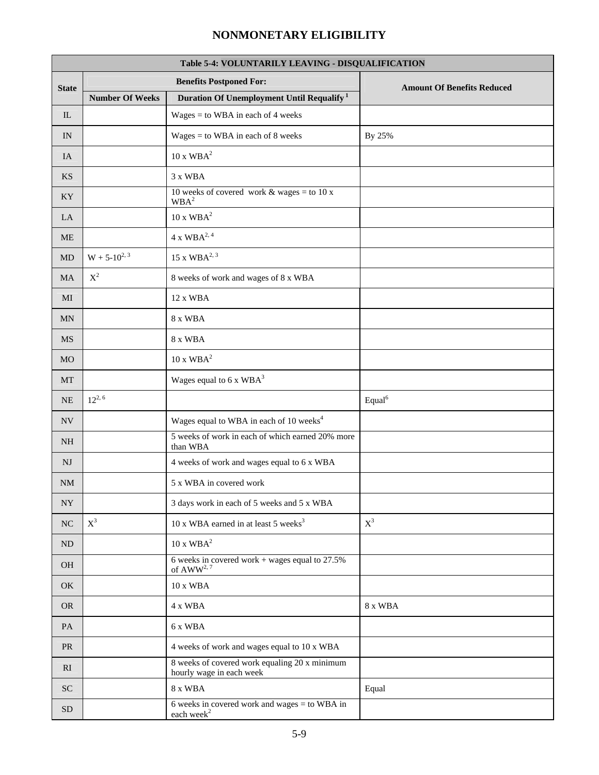| Table 5-4: VOLUNTARILY LEAVING - DISQUALIFICATION |                        |                                                                           |                                   |  |  |  |
|---------------------------------------------------|------------------------|---------------------------------------------------------------------------|-----------------------------------|--|--|--|
| <b>State</b>                                      |                        | <b>Benefits Postponed For:</b>                                            | <b>Amount Of Benefits Reduced</b> |  |  |  |
|                                                   | <b>Number Of Weeks</b> | Duration Of Unemployment Until Requalify <sup>1</sup>                     |                                   |  |  |  |
| IL                                                |                        | $Wages = to WBA in each of 4 weeks$                                       |                                   |  |  |  |
| IN                                                |                        | $Wages = to WBA in each of 8 weeks$                                       | By 25%                            |  |  |  |
| IA                                                |                        | $10 \times \text{WBA}^2$                                                  |                                   |  |  |  |
| <b>KS</b>                                         |                        | 3 x WBA                                                                   |                                   |  |  |  |
| KY                                                |                        | 10 weeks of covered work & wages = to 10 x<br>$\mathbf{WBA}^2$            |                                   |  |  |  |
| LA                                                |                        | $10 \times \text{WBA}^2$                                                  |                                   |  |  |  |
| <b>ME</b>                                         |                        | $4 \times WBA^{2, 4}$                                                     |                                   |  |  |  |
| $\rm MD$                                          | $W + 5 - 10^{2, 3}$    | $15 \times WBA^{2,3}$                                                     |                                   |  |  |  |
| <b>MA</b>                                         | $\mathbf{X}^2$         | 8 weeks of work and wages of 8 x WBA                                      |                                   |  |  |  |
| MI                                                |                        | 12 x WBA                                                                  |                                   |  |  |  |
| MN                                                |                        | 8 x WBA                                                                   |                                   |  |  |  |
| <b>MS</b>                                         |                        | 8 x WBA                                                                   |                                   |  |  |  |
| <b>MO</b>                                         |                        | $10 \times \text{WBA}^2$                                                  |                                   |  |  |  |
| MT                                                |                        | Wages equal to $6 \times \text{WBA}^3$                                    |                                   |  |  |  |
| NE                                                | $12^{2, 6}$            |                                                                           | Equal <sup>6</sup>                |  |  |  |
| NV                                                |                        | Wages equal to WBA in each of 10 weeks <sup>4</sup>                       |                                   |  |  |  |
| NH                                                |                        | 5 weeks of work in each of which earned 20% more<br>than WBA              |                                   |  |  |  |
| NJ                                                |                        | 4 weeks of work and wages equal to 6 x WBA                                |                                   |  |  |  |
| <b>NM</b>                                         |                        | 5 x WBA in covered work                                                   |                                   |  |  |  |
| NY                                                |                        | 3 days work in each of 5 weeks and 5 x WBA                                |                                   |  |  |  |
| NC                                                | $X^3$                  | 10 x WBA earned in at least 5 weeks <sup>3</sup>                          | $X^3$                             |  |  |  |
| ND                                                |                        | $10$ x $\mathrm{WBA}^2$                                                   |                                   |  |  |  |
| OH                                                |                        | 6 weeks in covered work + wages equal to $27.5\%$<br>of $AWW^{2, 7}$      |                                   |  |  |  |
| OK                                                |                        | $10$ x $\mathbf{WBA}$                                                     |                                   |  |  |  |
| <b>OR</b>                                         |                        | 4 x WBA                                                                   | 8 x WBA                           |  |  |  |
| PA                                                |                        | 6 x WBA                                                                   |                                   |  |  |  |
| PR                                                |                        | 4 weeks of work and wages equal to 10 x WBA                               |                                   |  |  |  |
| RI                                                |                        | 8 weeks of covered work equaling 20 x minimum<br>hourly wage in each week |                                   |  |  |  |
| ${\rm SC}$                                        |                        | 8 x WBA                                                                   | Equal                             |  |  |  |
| <b>SD</b>                                         |                        | 6 weeks in covered work and wages $=$ to WBA in<br>each week <sup>2</sup> |                                   |  |  |  |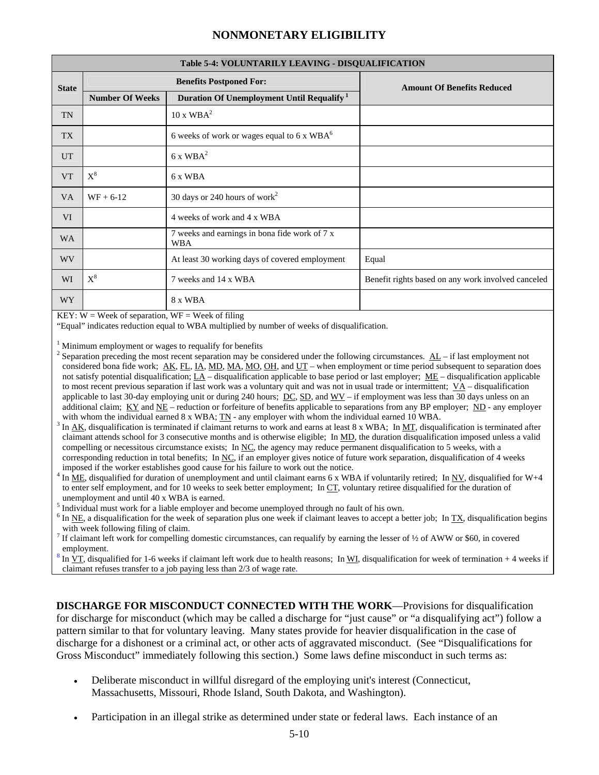|                 | Table 5-4: VOLUNTARILY LEAVING - DISQUALIFICATION |                                                             |                                                    |  |  |  |  |
|-----------------|---------------------------------------------------|-------------------------------------------------------------|----------------------------------------------------|--|--|--|--|
| <b>State</b>    |                                                   | <b>Benefits Postponed For:</b>                              | <b>Amount Of Benefits Reduced</b>                  |  |  |  |  |
|                 | <b>Number Of Weeks</b>                            | Duration Of Unemployment Until Requalify <sup>1</sup>       |                                                    |  |  |  |  |
| <b>TN</b>       |                                                   | 10 x WBA <sup>2</sup>                                       |                                                    |  |  |  |  |
| TX              |                                                   | 6 weeks of work or wages equal to 6 x WBA <sup>6</sup>      |                                                    |  |  |  |  |
| <b>UT</b>       |                                                   | $6x$ WBA <sup>2</sup>                                       |                                                    |  |  |  |  |
| <b>VT</b>       | $X^8$                                             | 6 x WBA                                                     |                                                    |  |  |  |  |
| <b>VA</b>       | $WF + 6-12$                                       | 30 days or 240 hours of work <sup>2</sup>                   |                                                    |  |  |  |  |
| VI              |                                                   | 4 weeks of work and 4 x WBA                                 |                                                    |  |  |  |  |
| <b>WA</b>       |                                                   | 7 weeks and earnings in bona fide work of 7 x<br><b>WBA</b> |                                                    |  |  |  |  |
| <b>WV</b>       |                                                   | At least 30 working days of covered employment              | Equal                                              |  |  |  |  |
| WI              | $\text{X}^8$                                      | 7 weeks and 14 x WBA                                        | Benefit rights based on any work involved canceled |  |  |  |  |
| WY <sup>-</sup> |                                                   | 8 x WBA                                                     |                                                    |  |  |  |  |

KEY:  $W =$  Week of separation,  $WF =$  Week of filing

"Equal" indicates reduction equal to WBA multiplied by number of weeks of disqualification.

1 Minimum employment or wages to requalify for benefits 2

- <sup>2</sup> Separation preceding the most recent separation may be considered under the following circumstances.  $\underline{AL}$  if last employment not considered bona fide work;  $\underline{AK}$ ,  $\underline{FL}$ ,  $\underline{IA}$ ,  $\underline{MD}$ ,  $\underline{MA}$ ,  $\underline{MO}$ ,  $\underline{OH}$ , and  $\underline{UT}$  – when employment or time period subsequent to separation does not satisfy potential disqualification;  $\underline{LA}$  – disqualification applicable to base period or last employer;  $\underline{ME}$  – disqualification applicable to most recent previous separation if last work was a voluntary quit and was not in usual trade or intermittent;  $\overline{VA}$  – disqualification applicable to last 30-day employing unit or during 240 hours;  $DC$ ,  $SD$ , and  $WV$  – if employment was less than 30 days unless on an additional claim;  $KY$  and  $NE$  – reduction or forfeiture of benefits applicable to separations from any BP employer;  $ND$  - any employer with whom the individual earned  $8 \times \text{WBA}$ ; TN - any employer with whom the individual earned 10 WBA.
- In AK, disqualification is terminated if claimant returns to work and earns at least 8 x WBA; In MT, disqualification is terminated after claimant attends school for 3 consecutive months and is otherwise eligible; In MD, the duration disqualification imposed unless a valid compelling or necessitous circumstance exists; In  $NC$ , the agency may reduce permanent disqualification to 5 weeks, with a corresponding reduction in total benefits; In  $NC$ , if an employer gives notice of future work separation, disqualification of 4 weeks imposed if the worker establishes good cause for his failure to work out the notice.
- 4 In ME, disqualified for duration of unemployment and until claimant earns 6 x WBA if voluntarily retired; In NV, disqualified for W+4 to enter self employment, and for 10 weeks to seek better employment; In CT, voluntary retiree disqualified for the duration of unemployment and until 40 x WBA is earned.
- 5 Individual must work for a liable employer and become unemployed through no fault of his own. 6
- $6$  In NE, a disqualification for the week of separation plus one week if claimant leaves to accept a better job; In TX, disqualification begins with week following filing of claim.
- If claimant left work for compelling domestic circumstances, can requalify by earning the lesser of ½ of AWW or \$60, in covered employment.

 In VT, disqualified for 1-6 weeks if claimant left work due to health reasons; In WI, disqualification for week of termination + 4 weeks if claimant refuses transfer to a job paying less than 2/3 of wage rate.

**DISCHARGE FOR MISCONDUCT CONNECTED WITH THE WORK**—Provisions for disqualification for discharge for misconduct (which may be called a discharge for "just cause" or "a disqualifying act") follow a pattern similar to that for voluntary leaving. Many states provide for heavier disqualification in the case of discharge for a dishonest or a criminal act, or other acts of aggravated misconduct. (See "Disqualifications for Gross Misconduct" immediately following this section.) Some laws define misconduct in such terms as:

- Deliberate misconduct in willful disregard of the employing unit's interest (Connecticut, Massachusetts, Missouri, Rhode Island, South Dakota, and Washington).
- Participation in an illegal strike as determined under state or federal laws. Each instance of an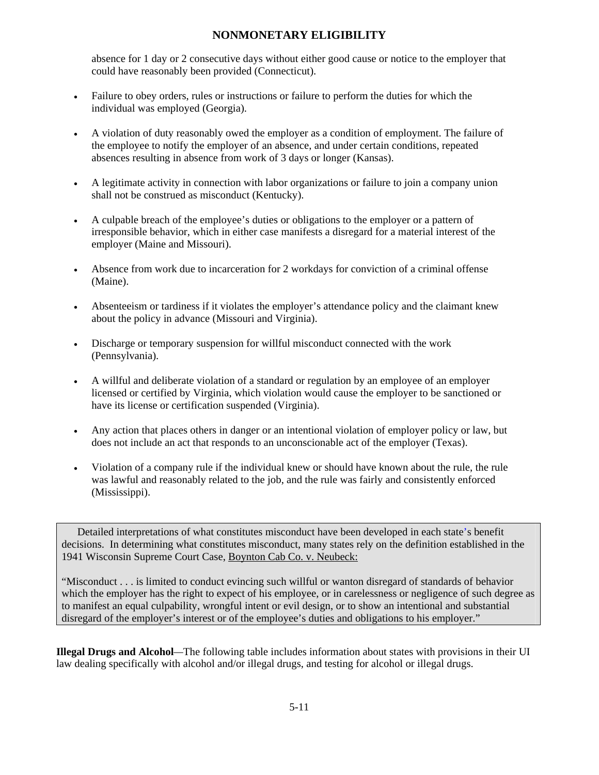absence for 1 day or 2 consecutive days without either good cause or notice to the employer that could have reasonably been provided (Connecticut).

- Failure to obey orders, rules or instructions or failure to perform the duties for which the individual was employed (Georgia).
- A violation of duty reasonably owed the employer as a condition of employment. The failure of the employee to notify the employer of an absence, and under certain conditions, repeated absences resulting in absence from work of 3 days or longer (Kansas).
- A legitimate activity in connection with labor organizations or failure to join a company union shall not be construed as misconduct (Kentucky).
- A culpable breach of the employee's duties or obligations to the employer or a pattern of irresponsible behavior, which in either case manifests a disregard for a material interest of the employer (Maine and Missouri).
- Absence from work due to incarceration for 2 workdays for conviction of a criminal offense (Maine).
- Absenteeism or tardiness if it violates the employer's attendance policy and the claimant knew about the policy in advance (Missouri and Virginia).
- Discharge or temporary suspension for willful misconduct connected with the work (Pennsylvania).
- A willful and deliberate violation of a standard or regulation by an employee of an employer licensed or certified by Virginia, which violation would cause the employer to be sanctioned or have its license or certification suspended (Virginia).
- Any action that places others in danger or an intentional violation of employer policy or law, but does not include an act that responds to an unconscionable act of the employer (Texas).
- Violation of a company rule if the individual knew or should have known about the rule, the rule was lawful and reasonably related to the job, and the rule was fairly and consistently enforced (Mississippi).

Detailed interpretations of what constitutes misconduct have been developed in each state's benefit decisions. In determining what constitutes misconduct, many states rely on the definition established in the 1941 Wisconsin Supreme Court Case, Boynton Cab Co. v. Neubeck:

"Misconduct . . . is limited to conduct evincing such willful or wanton disregard of standards of behavior which the employer has the right to expect of his employee, or in carelessness or negligence of such degree as to manifest an equal culpability, wrongful intent or evil design, or to show an intentional and substantial disregard of the employer's interest or of the employee's duties and obligations to his employer."

**Illegal Drugs and Alcohol***—*The following table includes information about states with provisions in their UI law dealing specifically with alcohol and/or illegal drugs, and testing for alcohol or illegal drugs.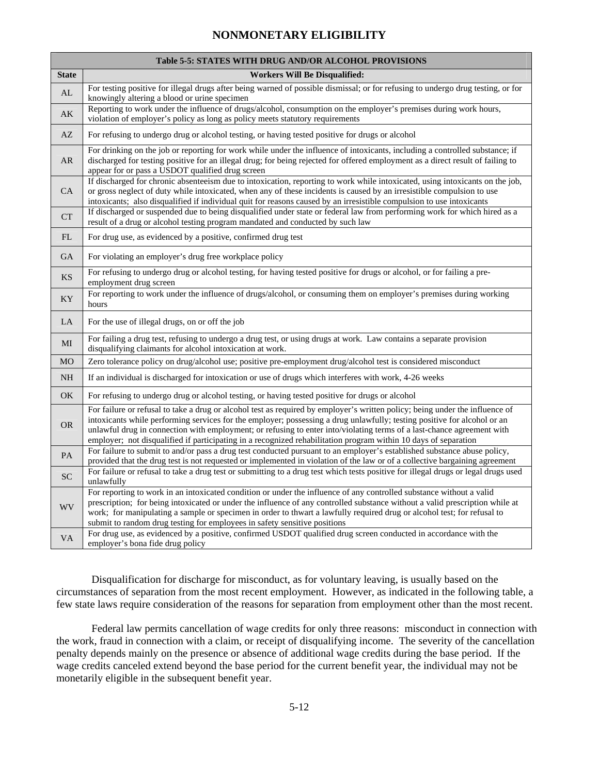|                        | <b>Table 5-5: STATES WITH DRUG AND/OR ALCOHOL PROVISIONS</b>                                                                                                                                                                                                                                                                                                                                                                                                                                          |
|------------------------|-------------------------------------------------------------------------------------------------------------------------------------------------------------------------------------------------------------------------------------------------------------------------------------------------------------------------------------------------------------------------------------------------------------------------------------------------------------------------------------------------------|
| <b>State</b>           | <b>Workers Will Be Disqualified:</b>                                                                                                                                                                                                                                                                                                                                                                                                                                                                  |
| AL                     | For testing positive for illegal drugs after being warned of possible dismissal; or for refusing to undergo drug testing, or for<br>knowingly altering a blood or urine specimen                                                                                                                                                                                                                                                                                                                      |
| $\mathbf{A}\mathbf{K}$ | Reporting to work under the influence of drugs/alcohol, consumption on the employer's premises during work hours,<br>violation of employer's policy as long as policy meets statutory requirements                                                                                                                                                                                                                                                                                                    |
| AZ                     | For refusing to undergo drug or alcohol testing, or having tested positive for drugs or alcohol                                                                                                                                                                                                                                                                                                                                                                                                       |
| AR.                    | For drinking on the job or reporting for work while under the influence of intoxicants, including a controlled substance; if<br>discharged for testing positive for an illegal drug; for being rejected for offered employment as a direct result of failing to<br>appear for or pass a USDOT qualified drug screen                                                                                                                                                                                   |
| <b>CA</b>              | If discharged for chronic absenteeism due to intoxication, reporting to work while intoxicated, using intoxicants on the job,<br>or gross neglect of duty while intoxicated, when any of these incidents is caused by an irresistible compulsion to use<br>intoxicants; also disqualified if individual quit for reasons caused by an irresistible compulsion to use intoxicants                                                                                                                      |
| CT                     | If discharged or suspended due to being disqualified under state or federal law from performing work for which hired as a<br>result of a drug or alcohol testing program mandated and conducted by such law                                                                                                                                                                                                                                                                                           |
| FL                     | For drug use, as evidenced by a positive, confirmed drug test                                                                                                                                                                                                                                                                                                                                                                                                                                         |
| GA                     | For violating an employer's drug free workplace policy                                                                                                                                                                                                                                                                                                                                                                                                                                                |
| <b>KS</b>              | For refusing to undergo drug or alcohol testing, for having tested positive for drugs or alcohol, or for failing a pre-<br>employment drug screen                                                                                                                                                                                                                                                                                                                                                     |
| KY                     | For reporting to work under the influence of drugs/alcohol, or consuming them on employer's premises during working<br>hours                                                                                                                                                                                                                                                                                                                                                                          |
| LA                     | For the use of illegal drugs, on or off the job                                                                                                                                                                                                                                                                                                                                                                                                                                                       |
| MI                     | For failing a drug test, refusing to undergo a drug test, or using drugs at work. Law contains a separate provision<br>disqualifying claimants for alcohol intoxication at work.                                                                                                                                                                                                                                                                                                                      |
| <b>MO</b>              | Zero tolerance policy on drug/alcohol use; positive pre-employment drug/alcohol test is considered misconduct                                                                                                                                                                                                                                                                                                                                                                                         |
| <b>NH</b>              | If an individual is discharged for intoxication or use of drugs which interferes with work, 4-26 weeks                                                                                                                                                                                                                                                                                                                                                                                                |
| OK                     | For refusing to undergo drug or alcohol testing, or having tested positive for drugs or alcohol                                                                                                                                                                                                                                                                                                                                                                                                       |
| <b>OR</b>              | For failure or refusal to take a drug or alcohol test as required by employer's written policy; being under the influence of<br>intoxicants while performing services for the employer; possessing a drug unlawfully; testing positive for alcohol or an<br>unlawful drug in connection with employment; or refusing to enter into/violating terms of a last-chance agreement with<br>employer; not disqualified if participating in a recognized rehabilitation program within 10 days of separation |
| PA                     | For failure to submit to and/or pass a drug test conducted pursuant to an employer's established substance abuse policy,<br>provided that the drug test is not requested or implemented in violation of the law or of a collective bargaining agreement                                                                                                                                                                                                                                               |
| <b>SC</b>              | For failure or refusal to take a drug test or submitting to a drug test which tests positive for illegal drugs or legal drugs used<br>unlawfully                                                                                                                                                                                                                                                                                                                                                      |
| <b>WV</b>              | For reporting to work in an intoxicated condition or under the influence of any controlled substance without a valid<br>prescription; for being intoxicated or under the influence of any controlled substance without a valid prescription while at<br>work; for manipulating a sample or specimen in order to thwart a lawfully required drug or alcohol test; for refusal to<br>submit to random drug testing for employees in safety sensitive positions                                          |
| VA                     | For drug use, as evidenced by a positive, confirmed USDOT qualified drug screen conducted in accordance with the<br>employer's bona fide drug policy                                                                                                                                                                                                                                                                                                                                                  |

Disqualification for discharge for misconduct, as for voluntary leaving, is usually based on the circumstances of separation from the most recent employment. However, as indicated in the following table, a few state laws require consideration of the reasons for separation from employment other than the most recent.

Federal law permits cancellation of wage credits for only three reasons: misconduct in connection with the work, fraud in connection with a claim, or receipt of disqualifying income. The severity of the cancellation penalty depends mainly on the presence or absence of additional wage credits during the base period. If the wage credits canceled extend beyond the base period for the current benefit year, the individual may not be monetarily eligible in the subsequent benefit year.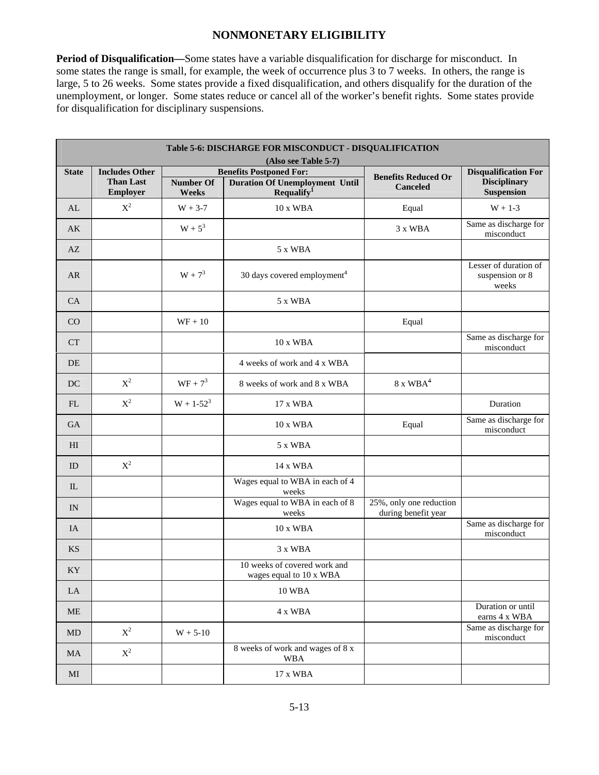**Period of Disqualification—**Some states have a variable disqualification for discharge for misconduct. In some states the range is small, for example, the week of occurrence plus 3 to 7 weeks. In others, the range is large, 5 to 26 weeks. Some states provide a fixed disqualification, and others disqualify for the duration of the unemployment, or longer. Some states reduce or cancel all of the worker's benefit rights. Some states provide for disqualification for disciplinary suspensions.

|                     | Table 5-6: DISCHARGE FOR MISCONDUCT - DISQUALIFICATION |                           |                                                                        |                                                |                                                   |  |  |  |
|---------------------|--------------------------------------------------------|---------------------------|------------------------------------------------------------------------|------------------------------------------------|---------------------------------------------------|--|--|--|
| <b>State</b>        | <b>Includes Other</b>                                  |                           | (Also see Table 5-7)<br><b>Benefits Postponed For:</b>                 |                                                | <b>Disqualification For</b>                       |  |  |  |
|                     | <b>Than Last</b><br><b>Employer</b>                    | <b>Number Of</b><br>Weeks | <b>Duration Of Unemployment Until</b><br><b>Requalify</b> <sup>1</sup> | <b>Benefits Reduced Or</b><br><b>Canceled</b>  | <b>Disciplinary</b><br><b>Suspension</b>          |  |  |  |
| AI                  | $X^2$                                                  | $W + 3-7$                 | 10 x WBA                                                               | Equal                                          | $W + 1-3$                                         |  |  |  |
| AK                  |                                                        | $W + 5^3$                 |                                                                        | 3 x WBA                                        | Same as discharge for<br>misconduct               |  |  |  |
| AZ                  |                                                        |                           | 5 x WBA                                                                |                                                |                                                   |  |  |  |
| AR                  |                                                        | $W + 7^3$                 | 30 days covered employment <sup>4</sup>                                |                                                | Lesser of duration of<br>suspension or 8<br>weeks |  |  |  |
| CA                  |                                                        |                           | 5 x WBA                                                                |                                                |                                                   |  |  |  |
| CO                  |                                                        | $WF + 10$                 |                                                                        | Equal                                          |                                                   |  |  |  |
| <b>CT</b>           |                                                        |                           | 10 x WBA                                                               |                                                | Same as discharge for<br>misconduct               |  |  |  |
| DE                  |                                                        |                           | 4 weeks of work and 4 x WBA                                            |                                                |                                                   |  |  |  |
| <b>DC</b>           | $X^2$                                                  | $WF + 7^3$                | 8 weeks of work and 8 x WBA                                            | $8 \times WBA^4$                               |                                                   |  |  |  |
| FL                  | $\mathbf{X}^2$                                         | $W + 1 - 52^3$            | 17 x WBA                                                               |                                                | Duration                                          |  |  |  |
| GA                  |                                                        |                           | 10 x WBA                                                               | Equal                                          | Same as discharge for<br>misconduct               |  |  |  |
| H <sub>I</sub>      |                                                        |                           | 5 x WBA                                                                |                                                |                                                   |  |  |  |
| ID                  | $\mathbf{X}^2$                                         |                           | 14 x WBA                                                               |                                                |                                                   |  |  |  |
| IL                  |                                                        |                           | Wages equal to WBA in each of 4<br>weeks                               |                                                |                                                   |  |  |  |
| IN                  |                                                        |                           | Wages equal to WBA in each of 8<br>weeks                               | 25%, only one reduction<br>during benefit year |                                                   |  |  |  |
| IA                  |                                                        |                           | 10 x WBA                                                               |                                                | Same as discharge for<br>misconduct               |  |  |  |
| <b>KS</b>           |                                                        |                           | 3 x WBA                                                                |                                                |                                                   |  |  |  |
| KY                  |                                                        |                           | 10 weeks of covered work and<br>wages equal to 10 x WBA                |                                                |                                                   |  |  |  |
| LA                  |                                                        |                           | 10 WBA                                                                 |                                                |                                                   |  |  |  |
| $\operatorname{ME}$ |                                                        |                           | 4 x WBA                                                                |                                                | Duration or until<br>earns 4 x WBA                |  |  |  |
| MD                  | $\mathbf{X}^2$                                         | $W + 5 - 10$              |                                                                        |                                                | Same as discharge for<br>misconduct               |  |  |  |
| $\rm MA$            | $\mathbf{X}^2$                                         |                           | 8 weeks of work and wages of 8 x<br><b>WBA</b>                         |                                                |                                                   |  |  |  |
| MI                  |                                                        |                           | 17 x WBA                                                               |                                                |                                                   |  |  |  |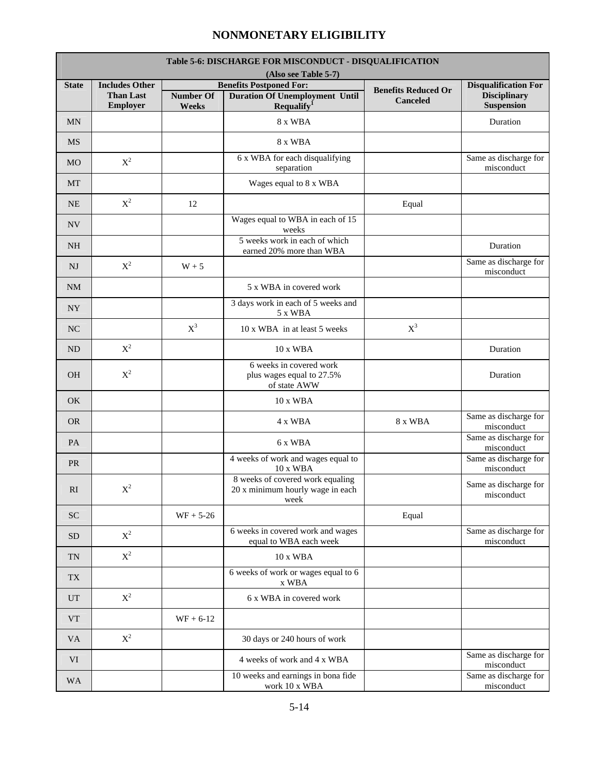r.

| <b>Table 5-6: DISCHARGE FOR MISCONDUCT - DISOUALIFICATION</b> |                                                                                                                                |                           |                                                                              |                                               |                                          |  |  |  |  |
|---------------------------------------------------------------|--------------------------------------------------------------------------------------------------------------------------------|---------------------------|------------------------------------------------------------------------------|-----------------------------------------------|------------------------------------------|--|--|--|--|
|                                                               | (Also see Table 5-7)<br><b>Benefits Postponed For:</b><br><b>Includes Other</b><br><b>Disqualification For</b><br><b>State</b> |                           |                                                                              |                                               |                                          |  |  |  |  |
|                                                               | <b>Than Last</b><br>Employer                                                                                                   | <b>Number Of</b><br>Weeks | <b>Duration Of Unemployment Until</b><br><b>Requalify</b> <sup>1</sup>       | <b>Benefits Reduced Or</b><br><b>Canceled</b> | <b>Disciplinary</b><br><b>Suspension</b> |  |  |  |  |
| <b>MN</b>                                                     |                                                                                                                                |                           | 8 x WBA                                                                      |                                               | Duration                                 |  |  |  |  |
| <b>MS</b>                                                     |                                                                                                                                |                           | 8 x WBA                                                                      |                                               |                                          |  |  |  |  |
| <b>MO</b>                                                     | $X^2$                                                                                                                          |                           | 6 x WBA for each disqualifying<br>separation                                 |                                               | Same as discharge for<br>misconduct      |  |  |  |  |
| MT                                                            |                                                                                                                                |                           | Wages equal to 8 x WBA                                                       |                                               |                                          |  |  |  |  |
| <b>NE</b>                                                     | $X^2$                                                                                                                          | 12                        |                                                                              | Equal                                         |                                          |  |  |  |  |
| <b>NV</b>                                                     |                                                                                                                                |                           | Wages equal to WBA in each of 15<br>weeks                                    |                                               |                                          |  |  |  |  |
| <b>NH</b>                                                     |                                                                                                                                |                           | 5 weeks work in each of which<br>earned 20% more than WBA                    |                                               | Duration                                 |  |  |  |  |
| <b>NJ</b>                                                     | $X^2$                                                                                                                          | $W + 5$                   |                                                                              |                                               | Same as discharge for<br>misconduct      |  |  |  |  |
| <b>NM</b>                                                     |                                                                                                                                |                           | 5 x WBA in covered work                                                      |                                               |                                          |  |  |  |  |
| NY                                                            |                                                                                                                                |                           | 3 days work in each of 5 weeks and<br>5 x WBA                                |                                               |                                          |  |  |  |  |
| N <sub>C</sub>                                                |                                                                                                                                | $X^3$                     | 10 x WBA in at least 5 weeks                                                 | $X^3$                                         |                                          |  |  |  |  |
| <b>ND</b>                                                     | $X^2$                                                                                                                          |                           | 10 x WBA                                                                     |                                               | Duration                                 |  |  |  |  |
| <b>OH</b>                                                     | $X^2$                                                                                                                          |                           | 6 weeks in covered work<br>plus wages equal to 27.5%<br>of state AWW         |                                               | Duration                                 |  |  |  |  |
| <b>OK</b>                                                     |                                                                                                                                |                           | 10 x WBA                                                                     |                                               |                                          |  |  |  |  |
| <b>OR</b>                                                     |                                                                                                                                |                           | 4 x WBA                                                                      | 8 x WBA                                       | Same as discharge for<br>misconduct      |  |  |  |  |
| PA                                                            |                                                                                                                                |                           | 6 x WBA                                                                      |                                               | Same as discharge for<br>misconduct      |  |  |  |  |
| <b>PR</b>                                                     |                                                                                                                                |                           | 4 weeks of work and wages equal to<br>10 x WBA                               |                                               | Same as discharge for<br>misconduct      |  |  |  |  |
| RI                                                            | $X^2$                                                                                                                          |                           | 8 weeks of covered work equaling<br>20 x minimum hourly wage in each<br>week |                                               | Same as discharge for<br>misconduct      |  |  |  |  |
| <b>SC</b>                                                     |                                                                                                                                | $WF + 5-26$               |                                                                              | Equal                                         |                                          |  |  |  |  |
| <b>SD</b>                                                     | $X^2$                                                                                                                          |                           | 6 weeks in covered work and wages<br>equal to WBA each week                  |                                               | Same as discharge for<br>misconduct      |  |  |  |  |
| <b>TN</b>                                                     | $X^2$                                                                                                                          |                           | 10 x WBA                                                                     |                                               |                                          |  |  |  |  |
| <b>TX</b>                                                     |                                                                                                                                |                           | 6 weeks of work or wages equal to 6<br>x WBA                                 |                                               |                                          |  |  |  |  |
| <b>UT</b>                                                     | $\mathbf{X}^2$                                                                                                                 |                           | 6 x WBA in covered work                                                      |                                               |                                          |  |  |  |  |
| <b>VT</b>                                                     |                                                                                                                                | $WF + 6-12$               |                                                                              |                                               |                                          |  |  |  |  |
| <b>VA</b>                                                     | $X^2$                                                                                                                          |                           | 30 days or 240 hours of work                                                 |                                               |                                          |  |  |  |  |
| VI                                                            |                                                                                                                                |                           | 4 weeks of work and 4 x WBA                                                  |                                               | Same as discharge for<br>misconduct      |  |  |  |  |
| <b>WA</b>                                                     |                                                                                                                                |                           | 10 weeks and earnings in bona fide<br>work 10 x WBA                          |                                               | Same as discharge for<br>misconduct      |  |  |  |  |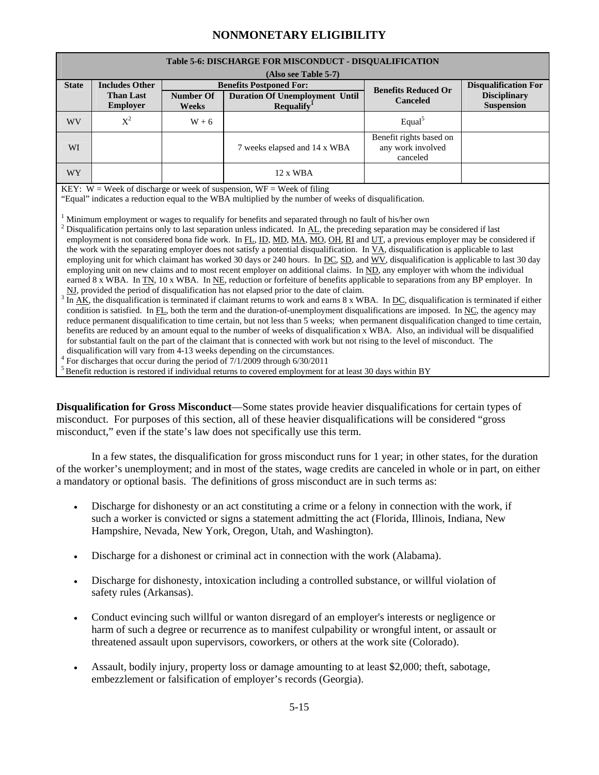|              | Table 5-6: DISCHARGE FOR MISCONDUCT - DISQUALIFICATION                                                         |                           |                                                                                                                                                                                                                                                                                                                                                                                                                                                                                                                                                                                                                                                                                                                                                                                                                                                                                                                                                                                                                                                                                                                                                                                                                                                                                                                                                                                                                                                                                                                                                                                                                                                                                                                                                                                                                                                                                                                                                                                                                                                                                                                                                                                                                                               |                                                          |  |  |  |  |
|--------------|----------------------------------------------------------------------------------------------------------------|---------------------------|-----------------------------------------------------------------------------------------------------------------------------------------------------------------------------------------------------------------------------------------------------------------------------------------------------------------------------------------------------------------------------------------------------------------------------------------------------------------------------------------------------------------------------------------------------------------------------------------------------------------------------------------------------------------------------------------------------------------------------------------------------------------------------------------------------------------------------------------------------------------------------------------------------------------------------------------------------------------------------------------------------------------------------------------------------------------------------------------------------------------------------------------------------------------------------------------------------------------------------------------------------------------------------------------------------------------------------------------------------------------------------------------------------------------------------------------------------------------------------------------------------------------------------------------------------------------------------------------------------------------------------------------------------------------------------------------------------------------------------------------------------------------------------------------------------------------------------------------------------------------------------------------------------------------------------------------------------------------------------------------------------------------------------------------------------------------------------------------------------------------------------------------------------------------------------------------------------------------------------------------------|----------------------------------------------------------|--|--|--|--|
| <b>State</b> | (Also see Table 5-7)<br><b>Includes Other</b><br><b>Benefits Postponed For:</b><br><b>Disqualification For</b> |                           |                                                                                                                                                                                                                                                                                                                                                                                                                                                                                                                                                                                                                                                                                                                                                                                                                                                                                                                                                                                                                                                                                                                                                                                                                                                                                                                                                                                                                                                                                                                                                                                                                                                                                                                                                                                                                                                                                                                                                                                                                                                                                                                                                                                                                                               |                                                          |  |  |  |  |
|              | <b>Than Last</b><br><b>Employer</b>                                                                            | <b>Number Of</b><br>Weeks | <b>Benefits Reduced Or</b><br><b>Disciplinary</b><br><b>Duration Of Unemployment Until</b><br><b>Canceled</b><br><b>Suspension</b><br>$\bf$ Requalify <sup>1</sup>                                                                                                                                                                                                                                                                                                                                                                                                                                                                                                                                                                                                                                                                                                                                                                                                                                                                                                                                                                                                                                                                                                                                                                                                                                                                                                                                                                                                                                                                                                                                                                                                                                                                                                                                                                                                                                                                                                                                                                                                                                                                            |                                                          |  |  |  |  |
| WV           | $X^2$                                                                                                          | $W + 6$                   |                                                                                                                                                                                                                                                                                                                                                                                                                                                                                                                                                                                                                                                                                                                                                                                                                                                                                                                                                                                                                                                                                                                                                                                                                                                                                                                                                                                                                                                                                                                                                                                                                                                                                                                                                                                                                                                                                                                                                                                                                                                                                                                                                                                                                                               | Equal <sup>5</sup>                                       |  |  |  |  |
| WI           |                                                                                                                |                           | 7 weeks elapsed and 14 x WBA                                                                                                                                                                                                                                                                                                                                                                                                                                                                                                                                                                                                                                                                                                                                                                                                                                                                                                                                                                                                                                                                                                                                                                                                                                                                                                                                                                                                                                                                                                                                                                                                                                                                                                                                                                                                                                                                                                                                                                                                                                                                                                                                                                                                                  | Benefit rights based on<br>any work involved<br>canceled |  |  |  |  |
| <b>WY</b>    |                                                                                                                |                           | $12 \times WBA$                                                                                                                                                                                                                                                                                                                                                                                                                                                                                                                                                                                                                                                                                                                                                                                                                                                                                                                                                                                                                                                                                                                                                                                                                                                                                                                                                                                                                                                                                                                                                                                                                                                                                                                                                                                                                                                                                                                                                                                                                                                                                                                                                                                                                               |                                                          |  |  |  |  |
|              |                                                                                                                |                           | KEY: $W =$ Week of discharge or week of suspension, $WF =$ Week of filing<br>"Equal" indicates a reduction equal to the WBA multiplied by the number of weeks of disqualification.<br>$1$ Minimum employment or wages to requalify for benefits and separated through no fault of his/her own<br><sup>2</sup> Disqualification pertains only to last separation unless indicated. In $\Delta L$ , the preceding separation may be considered if last<br>employment is not considered bona fide work. In FL, ID, MD, MA, MO, OH, RI and UT, a previous employer may be considered if<br>the work with the separating employer does not satisfy a potential disqualification. In $\underline{VA}$ , disqualification is applicable to last<br>employing unit for which claimant has worked 30 days or 240 hours. In DC, SD, and WV, disqualification is applicable to last 30 day<br>employing unit on new claims and to most recent employer on additional claims. In ND, any employer with whom the individual<br>earned 8 x WBA. In TN, 10 x WBA. In NE, reduction or forfeiture of benefits applicable to separations from any BP employer. In<br>NJ, provided the period of disqualification has not elapsed prior to the date of claim.<br>In $AK$ , the disqualification is terminated if claimant returns to work and earns $8 \times WBA$ . In DC, disqualification is terminated if either<br>condition is satisfied. In $FL$ , both the term and the duration-of-unemployment disqualifications are imposed. In $NC$ , the agency may<br>reduce permanent disqualification to time certain, but not less than 5 weeks; when permanent disqualification changed to time certain,<br>benefits are reduced by an amount equal to the number of weeks of disqualification x WBA. Also, an individual will be disqualified<br>for substantial fault on the part of the claimant that is connected with work but not rising to the level of misconduct. The<br>disqualification will vary from 4-13 weeks depending on the circumstances.<br>$4$ For discharges that occur during the period of 7/1/2009 through 6/30/2011<br>$5$ Benefit reduction is restored if individual returns to covered employment for at least 30 days within BY |                                                          |  |  |  |  |

**Disqualification for Gross Misconduct**—Some states provide heavier disqualifications for certain types of misconduct. For purposes of this section, all of these heavier disqualifications will be considered "gross misconduct," even if the state's law does not specifically use this term.

In a few states, the disqualification for gross misconduct runs for 1 year; in other states, for the duration of the worker's unemployment; and in most of the states, wage credits are canceled in whole or in part, on either a mandatory or optional basis. The definitions of gross misconduct are in such terms as:

- Discharge for dishonesty or an act constituting a crime or a felony in connection with the work, if such a worker is convicted or signs a statement admitting the act (Florida, Illinois, Indiana, New Hampshire, Nevada, New York, Oregon, Utah, and Washington).
- Discharge for a dishonest or criminal act in connection with the work (Alabama).
- Discharge for dishonesty, intoxication including a controlled substance, or willful violation of safety rules (Arkansas).
- Conduct evincing such willful or wanton disregard of an employer's interests or negligence or harm of such a degree or recurrence as to manifest culpability or wrongful intent, or assault or threatened assault upon supervisors, coworkers, or others at the work site (Colorado).
- Assault, bodily injury, property loss or damage amounting to at least \$2,000; theft, sabotage, embezzlement or falsification of employer's records (Georgia).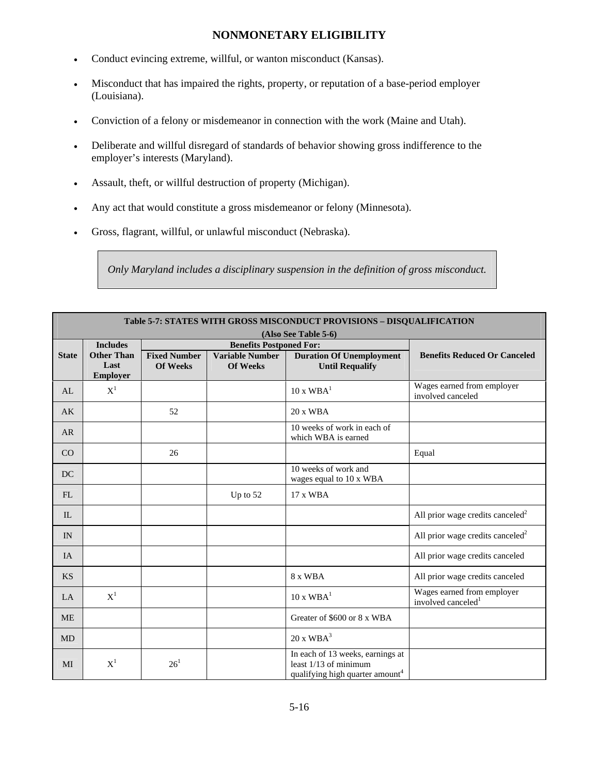- Conduct evincing extreme, willful, or wanton misconduct (Kansas).
- Misconduct that has impaired the rights, property, or reputation of a base-period employer (Louisiana).
- Conviction of a felony or misdemeanor in connection with the work (Maine and Utah).
- Deliberate and willful disregard of standards of behavior showing gross indifference to the employer's interests (Maryland).
- Assault, theft, or willful destruction of property (Michigan).
- Any act that would constitute a gross misdemeanor or felony (Minnesota).
- Gross, flagrant, willful, or unlawful misconduct (Nebraska).

*Only Maryland includes a disciplinary suspension in the definition of gross misconduct.* 

|              | Table 5-7: STATES WITH GROSS MISCONDUCT PROVISIONS - DISQUALIFICATION<br>(Also See Table 5-6) |                                        |                                                                             |                                                                                                            |                                                              |  |  |  |
|--------------|-----------------------------------------------------------------------------------------------|----------------------------------------|-----------------------------------------------------------------------------|------------------------------------------------------------------------------------------------------------|--------------------------------------------------------------|--|--|--|
|              | <b>Includes</b>                                                                               |                                        |                                                                             |                                                                                                            |                                                              |  |  |  |
| <b>State</b> | <b>Other Than</b><br>Last<br><b>Employer</b>                                                  | <b>Fixed Number</b><br><b>Of Weeks</b> | <b>Benefits Postponed For:</b><br><b>Variable Number</b><br><b>Of Weeks</b> | <b>Duration Of Unemployment</b><br><b>Until Requalify</b>                                                  | <b>Benefits Reduced Or Canceled</b>                          |  |  |  |
| AL           | $X^1$                                                                                         |                                        |                                                                             | $10 \times WBA^1$                                                                                          | Wages earned from employer<br>involved canceled              |  |  |  |
| AK           |                                                                                               | 52                                     |                                                                             | $20x$ WBA                                                                                                  |                                                              |  |  |  |
| AR           |                                                                                               |                                        |                                                                             | 10 weeks of work in each of<br>which WBA is earned                                                         |                                                              |  |  |  |
| CO           |                                                                                               | 26                                     |                                                                             |                                                                                                            | Equal                                                        |  |  |  |
| DC           |                                                                                               |                                        |                                                                             | 10 weeks of work and<br>wages equal to 10 x WBA                                                            |                                                              |  |  |  |
| FL           |                                                                                               |                                        | Up to $52$                                                                  | 17 x WBA                                                                                                   |                                                              |  |  |  |
| IL           |                                                                                               |                                        |                                                                             |                                                                                                            | All prior wage credits canceled <sup>2</sup>                 |  |  |  |
| IN           |                                                                                               |                                        |                                                                             |                                                                                                            | All prior wage credits canceled <sup>2</sup>                 |  |  |  |
| <b>IA</b>    |                                                                                               |                                        |                                                                             |                                                                                                            | All prior wage credits canceled                              |  |  |  |
| <b>KS</b>    |                                                                                               |                                        |                                                                             | 8 x WBA                                                                                                    | All prior wage credits canceled                              |  |  |  |
| LA           | $X^1$                                                                                         |                                        |                                                                             | $10 \times WBA^1$                                                                                          | Wages earned from employer<br>involved canceled <sup>1</sup> |  |  |  |
| <b>ME</b>    |                                                                                               |                                        |                                                                             | Greater of \$600 or 8 x WBA                                                                                |                                                              |  |  |  |
| MD           |                                                                                               |                                        |                                                                             | $20 \times WBA^3$                                                                                          |                                                              |  |  |  |
| MI           | $\boldsymbol{\mathrm{X}}^1$                                                                   | $26^{1}$                               |                                                                             | In each of 13 weeks, earnings at<br>least $1/13$ of minimum<br>qualifying high quarter amount <sup>4</sup> |                                                              |  |  |  |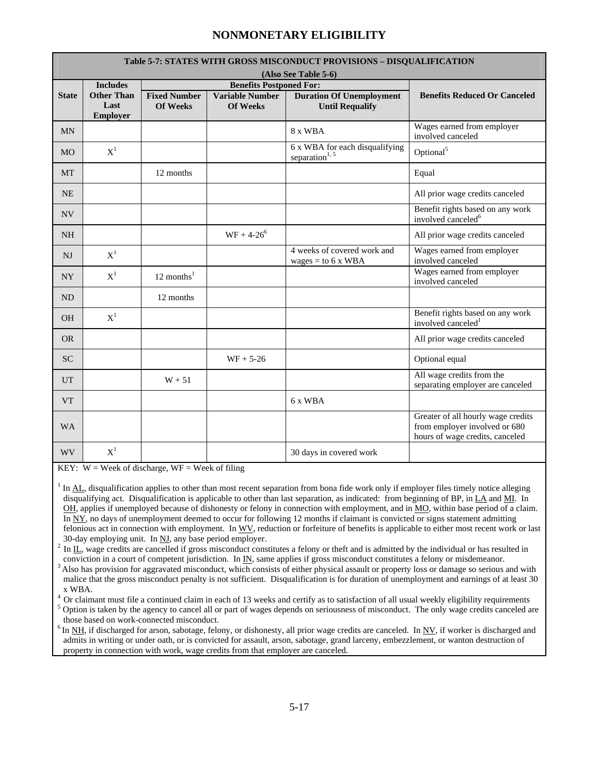|                |                                                                 |                                        |                                                                             | Table 5-7: STATES WITH GROSS MISCONDUCT PROVISIONS - DISQUALIFICATION |                                                                                                        |
|----------------|-----------------------------------------------------------------|----------------------------------------|-----------------------------------------------------------------------------|-----------------------------------------------------------------------|--------------------------------------------------------------------------------------------------------|
|                |                                                                 |                                        |                                                                             | (Also See Table 5-6)                                                  |                                                                                                        |
| <b>State</b>   | <b>Includes</b><br><b>Other Than</b><br>Last<br><b>Employer</b> | <b>Fixed Number</b><br><b>Of Weeks</b> | <b>Benefits Postponed For:</b><br><b>Variable Number</b><br><b>Of Weeks</b> | <b>Duration Of Unemployment</b><br><b>Until Requalify</b>             | <b>Benefits Reduced Or Canceled</b>                                                                    |
| <b>MN</b>      |                                                                 |                                        |                                                                             | 8 x WBA                                                               | Wages earned from employer<br>involved canceled                                                        |
| <b>MO</b>      | $X^1$                                                           |                                        |                                                                             | 6 x WBA for each disqualifying<br>separation <sup>1, 5</sup>          | Optional <sup>5</sup>                                                                                  |
| <b>MT</b>      |                                                                 | 12 months                              |                                                                             |                                                                       | Equal                                                                                                  |
| <b>NE</b>      |                                                                 |                                        |                                                                             |                                                                       | All prior wage credits canceled                                                                        |
| <b>NV</b>      |                                                                 |                                        |                                                                             |                                                                       | Benefit rights based on any work<br>involved canceled <sup>6</sup>                                     |
| <b>NH</b>      |                                                                 |                                        | $WF + 4-26^6$                                                               |                                                                       | All prior wage credits canceled                                                                        |
| <b>NJ</b>      | $X^1$                                                           |                                        |                                                                             | 4 weeks of covered work and<br>wages = to 6 x WBA                     | Wages earned from employer<br>involved canceled                                                        |
| NY <sub></sub> | $X^1$                                                           | 12 months $1$                          |                                                                             |                                                                       | Wages earned from employer<br>involved canceled                                                        |
| <b>ND</b>      |                                                                 | 12 months                              |                                                                             |                                                                       |                                                                                                        |
| <b>OH</b>      | $X^1$                                                           |                                        |                                                                             |                                                                       | Benefit rights based on any work<br>involved canceled <sup>1</sup>                                     |
| <b>OR</b>      |                                                                 |                                        |                                                                             |                                                                       | All prior wage credits canceled                                                                        |
| <b>SC</b>      |                                                                 |                                        | $WF + 5-26$                                                                 |                                                                       | Optional equal                                                                                         |
| <b>UT</b>      |                                                                 | $W + 51$                               |                                                                             |                                                                       | All wage credits from the<br>separating employer are canceled                                          |
| <b>VT</b>      |                                                                 |                                        |                                                                             | 6 x WBA                                                               |                                                                                                        |
| <b>WA</b>      |                                                                 |                                        |                                                                             |                                                                       | Greater of all hourly wage credits<br>from employer involved or 680<br>hours of wage credits, canceled |
| <b>WV</b>      | $X^1$                                                           |                                        |                                                                             | 30 days in covered work                                               |                                                                                                        |

KEY:  $W =$  Week of discharge,  $WF =$  Week of filing

 $1$  In  $AL$ , disqualification applies to other than most recent separation from bona fide work only if employer files timely notice alleging disqualifying act. Disqualification is applicable to other than last separation, as indicated: from beginning of BP, in LA and MI. In OH, applies if unemployed because of dishonesty or felony in connection with employment, and in MO, within base period of a claim. In  $\overline{NY}$ , no days of unemployment deemed to occur for following 12 months if claimant is convicted or signs statement admitting felonious act in connection with employment. In WV, reduction or forfeiture of benefits is applicable to either most recent work or last

30-day employing unit. In <u>NJ</u>, any base period employer.<br><sup>2</sup> In <u>IL</u>, wage credits are cancelled if gross misconduct constitutes a felony or theft and is admitted by the individual or has resulted in conviction in a cour

Also has provision for aggravated misconduct, which consists of either physical assault or property loss or damage so serious and with malice that the gross misconduct penalty is not sufficient. Disqualification is for duration of unemployment and earnings of at least 30 x WBA.

<sup>4</sup> Or claimant must file a continued claim in each of 13 weeks and certify as to satisfaction of all usual weekly eligibility requirements

<sup>5</sup> Option is taken by the agency to cancel all or part of wages depends on seriousness of misconduct. The only wage credits canceled are those based on work-connected misconduct.

 $6$  In NH, if discharged for arson, sabotage, felony, or dishonesty, all prior wage credits are canceled. In  $N<sub>V</sub>$ , if worker is discharged and admits in writing or under oath, or is convicted for assault, arson, sabotage, grand larceny, embezzlement, or wanton destruction of property in connection with work, wage credits from that employer are canceled.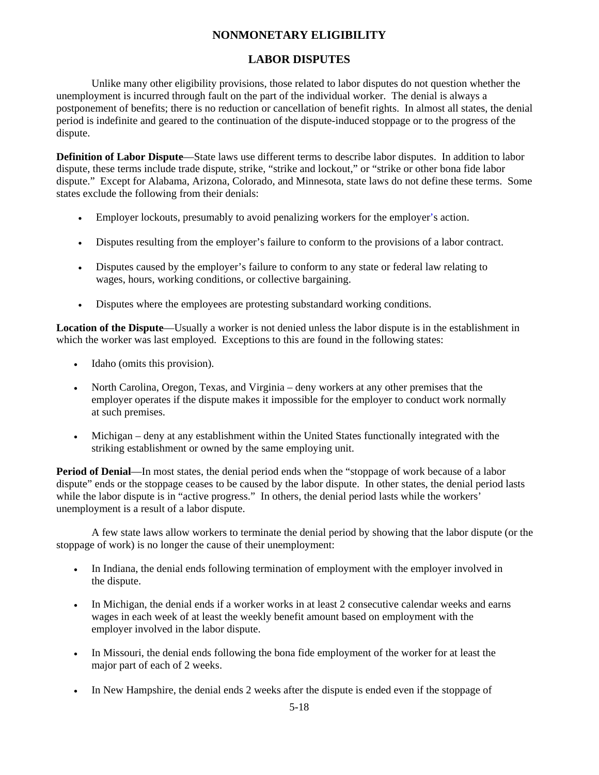### **LABOR DISPUTES**

Unlike many other eligibility provisions, those related to labor disputes do not question whether the unemployment is incurred through fault on the part of the individual worker. The denial is always a postponement of benefits; there is no reduction or cancellation of benefit rights. In almost all states, the denial period is indefinite and geared to the continuation of the dispute-induced stoppage or to the progress of the dispute.

**Definition of Labor Dispute**—State laws use different terms to describe labor disputes. In addition to labor dispute, these terms include trade dispute, strike, "strike and lockout," or "strike or other bona fide labor dispute." Except for Alabama, Arizona, Colorado, and Minnesota, state laws do not define these terms. Some states exclude the following from their denials:

- Employer lockouts, presumably to avoid penalizing workers for the employer's action.
- Disputes resulting from the employer's failure to conform to the provisions of a labor contract.
- Disputes caused by the employer's failure to conform to any state or federal law relating to wages, hours, working conditions, or collective bargaining.
- Disputes where the employees are protesting substandard working conditions.

**Location of the Dispute**—Usually a worker is not denied unless the labor dispute is in the establishment in which the worker was last employed. Exceptions to this are found in the following states:

- Idaho (omits this provision).
- North Carolina, Oregon, Texas, and Virginia deny workers at any other premises that the employer operates if the dispute makes it impossible for the employer to conduct work normally at such premises.
- Michigan deny at any establishment within the United States functionally integrated with the striking establishment or owned by the same employing unit.

**Period of Denial**—In most states, the denial period ends when the "stoppage of work because of a labor dispute" ends or the stoppage ceases to be caused by the labor dispute. In other states, the denial period lasts while the labor dispute is in "active progress." In others, the denial period lasts while the workers' unemployment is a result of a labor dispute.

A few state laws allow workers to terminate the denial period by showing that the labor dispute (or the stoppage of work) is no longer the cause of their unemployment:

- In Indiana, the denial ends following termination of employment with the employer involved in the dispute.
- In Michigan, the denial ends if a worker works in at least 2 consecutive calendar weeks and earns wages in each week of at least the weekly benefit amount based on employment with the employer involved in the labor dispute.
- In Missouri, the denial ends following the bona fide employment of the worker for at least the major part of each of 2 weeks.
- In New Hampshire, the denial ends 2 weeks after the dispute is ended even if the stoppage of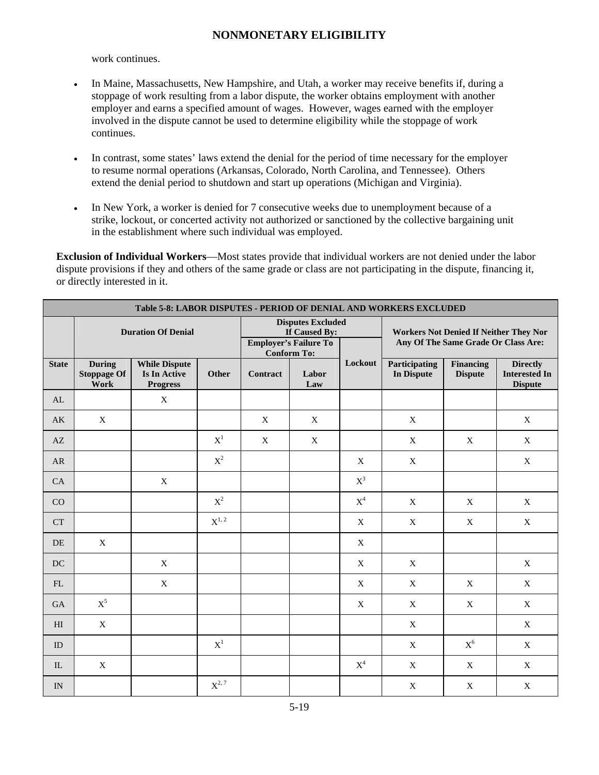work continues.

- In Maine, Massachusetts, New Hampshire, and Utah, a worker may receive benefits if, during a stoppage of work resulting from a labor dispute, the worker obtains employment with another employer and earns a specified amount of wages. However, wages earned with the employer involved in the dispute cannot be used to determine eligibility while the stoppage of work continues.
- In contrast, some states' laws extend the denial for the period of time necessary for the employer to resume normal operations (Arkansas, Colorado, North Carolina, and Tennessee). Others extend the denial period to shutdown and start up operations (Michigan and Virginia).
- In New York, a worker is denied for 7 consecutive weeks due to unemployment because of a strike, lockout, or concerted activity not authorized or sanctioned by the collective bargaining unit in the establishment where such individual was employed.

**Exclusion of Individual Workers**—Most states provide that individual workers are not denied under the labor dispute provisions if they and others of the same grade or class are not participating in the dispute, financing it, or directly interested in it.

|                            | Table 5-8: LABOR DISPUTES - PERIOD OF DENIAL AND WORKERS EXCLUDED |                                                                |                                                                                                 |                 |                                                                                      |                |                             |                                    |                                                           |
|----------------------------|-------------------------------------------------------------------|----------------------------------------------------------------|-------------------------------------------------------------------------------------------------|-----------------|--------------------------------------------------------------------------------------|----------------|-----------------------------|------------------------------------|-----------------------------------------------------------|
|                            | <b>Duration Of Denial</b>                                         |                                                                | <b>Disputes Excluded</b><br>If Caused By:<br><b>Employer's Failure To</b><br><b>Conform To:</b> |                 | <b>Workers Not Denied If Neither They Nor</b><br>Any Of The Same Grade Or Class Are: |                |                             |                                    |                                                           |
| <b>State</b>               | <b>During</b><br><b>Stoppage Of</b><br>Work                       | <b>While Dispute</b><br><b>Is In Active</b><br><b>Progress</b> | Other                                                                                           | <b>Contract</b> | Labor<br>Law                                                                         | Lockout        | Participating<br>In Dispute | <b>Financing</b><br><b>Dispute</b> | <b>Directly</b><br><b>Interested In</b><br><b>Dispute</b> |
| AL                         |                                                                   | $\boldsymbol{\mathrm{X}}$                                      |                                                                                                 |                 |                                                                                      |                |                             |                                    |                                                           |
| AK                         | $\mathbf X$                                                       |                                                                |                                                                                                 | X               | $\mathbf X$                                                                          |                | $\mathbf X$                 |                                    | X                                                         |
| AZ                         |                                                                   |                                                                | $X^1$                                                                                           | X               | $\mathbf X$                                                                          |                | $\mathbf X$                 | X                                  | X                                                         |
| AR                         |                                                                   |                                                                | $\mathbf{X}^2$                                                                                  |                 |                                                                                      | X              | $\mathbf X$                 |                                    | X                                                         |
| CA                         |                                                                   | $\mathbf X$                                                    |                                                                                                 |                 |                                                                                      | $\mathbf{X}^3$ |                             |                                    |                                                           |
| CO                         |                                                                   |                                                                | $X^2$                                                                                           |                 |                                                                                      | $X^4$          | $\mathbf X$                 | $\mathbf X$                        | $\mathbf X$                                               |
| CT                         |                                                                   |                                                                | $\mathbf{X}^{1,\,2}$                                                                            |                 |                                                                                      | X              | $\mathbf X$                 | X                                  | $\mathbf X$                                               |
| DE                         | $\mathbf X$                                                       |                                                                |                                                                                                 |                 |                                                                                      | $\mathbf X$    |                             |                                    |                                                           |
| DC                         |                                                                   | $\mathbf X$                                                    |                                                                                                 |                 |                                                                                      | X              | X                           |                                    | X                                                         |
| $\mathop{\rm FL}\nolimits$ |                                                                   | $\mathbf X$                                                    |                                                                                                 |                 |                                                                                      | X              | $\mathbf X$                 | $\mathbf X$                        | X                                                         |
| GA                         | $\mathbf{X}^5$                                                    |                                                                |                                                                                                 |                 |                                                                                      | X              | $\mathbf X$                 | $\mathbf X$                        | $\mathbf X$                                               |
| H                          | $\mathbf X$                                                       |                                                                |                                                                                                 |                 |                                                                                      |                | $\mathbf X$                 |                                    | $\mathbf X$                                               |
| ID                         |                                                                   |                                                                | $X^1$                                                                                           |                 |                                                                                      |                | $\mathbf X$                 | $\mathbf{X}^6$                     | $\mathbf X$                                               |
| IL                         | $\mathbf X$                                                       |                                                                |                                                                                                 |                 |                                                                                      | $X^4$          | $\mathbf X$                 | $\mathbf X$                        | $\mathbf X$                                               |
| IN                         |                                                                   |                                                                | $X^{2,7}$                                                                                       |                 |                                                                                      |                | $\mathbf X$                 | $\mathbf X$                        | $\mathbf X$                                               |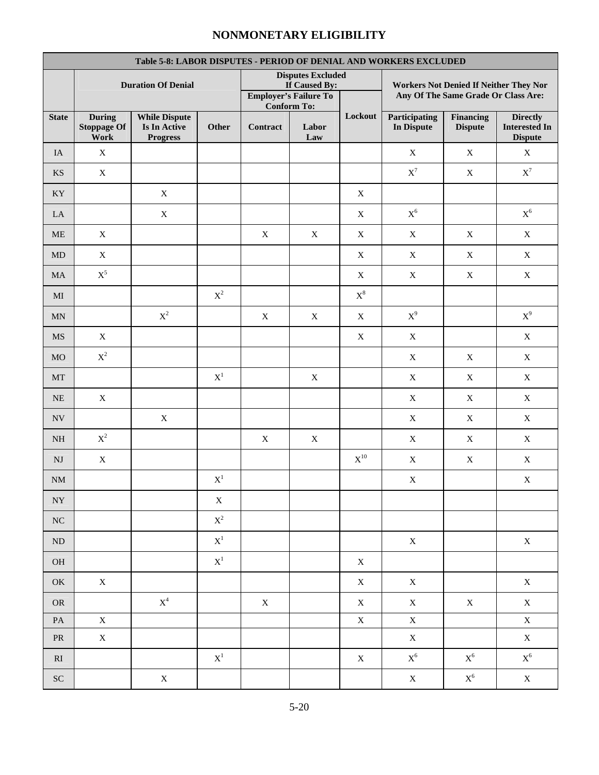| Table 5-8: LABOR DISPUTES - PERIOD OF DENIAL AND WORKERS EXCLUDED |                                             |                                                         |                |                 |                                                                           |                   |                                                                               |                             |                                                           |
|-------------------------------------------------------------------|---------------------------------------------|---------------------------------------------------------|----------------|-----------------|---------------------------------------------------------------------------|-------------------|-------------------------------------------------------------------------------|-----------------------------|-----------------------------------------------------------|
|                                                                   |                                             | <b>Duration Of Denial</b>                               |                |                 | <b>Disputes Excluded</b><br>If Caused By:<br><b>Employer's Failure To</b> |                   | Workers Not Denied If Neither They Nor<br>Any Of The Same Grade Or Class Are: |                             |                                                           |
| <b>State</b>                                                      | <b>During</b><br><b>Stoppage Of</b><br>Work | <b>While Dispute</b><br>Is In Active<br><b>Progress</b> | Other          | <b>Contract</b> | <b>Conform To:</b><br>Labor<br>$\mathbf{Law}$                             | Lockout           | Participating<br>In Dispute                                                   | Financing<br><b>Dispute</b> | <b>Directly</b><br><b>Interested In</b><br><b>Dispute</b> |
| IA                                                                | $\mathbf X$                                 |                                                         |                |                 |                                                                           |                   | $\mathbf X$                                                                   | $\mathbf X$                 | $\mathbf X$                                               |
| $\mathbf{K}\mathbf{S}$                                            | $\mathbf X$                                 |                                                         |                |                 |                                                                           |                   | $\mathbf{X}^7$                                                                | $\mathbf X$                 | $\mathbf{X}^7$                                            |
| $\mathbf{K}\mathbf{Y}$                                            |                                             | $\mathbf X$                                             |                |                 |                                                                           | $\mathbf X$       |                                                                               |                             |                                                           |
| LA                                                                |                                             | $\mathbf X$                                             |                |                 |                                                                           | $\mathbf X$       | $\mathbf{X}^6$                                                                |                             | $\mathbf{X}^6$                                            |
| <b>ME</b>                                                         | $\mathbf X$                                 |                                                         |                | $\mathbf X$     | $\mathbf X$                                                               | $\mathbf X$       | $\mathbf X$                                                                   | X                           | $\mathbf X$                                               |
| MD                                                                | $\mathbf X$                                 |                                                         |                |                 |                                                                           | $\mathbf X$       | $\mathbf X$                                                                   | $\mathbf X$                 | $\mathbf X$                                               |
| $\rm MA$                                                          | $\mathbf{X}^5$                              |                                                         |                |                 |                                                                           | $\mathbf X$       | $\mathbf X$                                                                   | $\mathbf X$                 | $\mathbf X$                                               |
| $\rm MI$                                                          |                                             |                                                         | $\mathbf{X}^2$ |                 |                                                                           | $X^8$             |                                                                               |                             |                                                           |
| $\mbox{MN}$                                                       |                                             | $\mathbf{X}^2$                                          |                | $\mathbf X$     | $\mathbf X$                                                               | $\mathbf X$       | $\mathbf{X}^9$                                                                |                             | $X^9$                                                     |
| $\mathbf{M}\mathbf{S}$                                            | X                                           |                                                         |                |                 |                                                                           | $\mathbf X$       | $\mathbf X$                                                                   |                             | $\mathbf X$                                               |
| $_{\rm MO}$                                                       | $\mathbf{X}^2$                              |                                                         |                |                 |                                                                           |                   | $\mathbf X$                                                                   | $\mathbf X$                 | $\mathbf X$                                               |
| $\rm{MT}$                                                         |                                             |                                                         | $\mathbf{X}^1$ |                 | $\mathbf X$                                                               |                   | $\mathbf X$                                                                   | X                           | $\mathbf X$                                               |
| <b>NE</b>                                                         | $\mathbf X$                                 |                                                         |                |                 |                                                                           |                   | $\mathbf X$                                                                   | X                           | X                                                         |
| $\ensuremath{\text{NV}}$                                          |                                             | $\mathbf X$                                             |                |                 |                                                                           |                   | $\mathbf X$                                                                   | $\mathbf X$                 | $\mathbf X$                                               |
| $\rm NH$                                                          | $\mathbf{X}^2$                              |                                                         |                | $\mathbf X$     | $\mathbf X$                                                               |                   | $\mathbf X$                                                                   | $\mathbf X$                 | $\mathbf X$                                               |
| $\mathbf{N}\mathbf{J}$                                            | $\mathbf X$                                 |                                                         |                |                 |                                                                           | $\mathbf{X}^{10}$ | $\mathbf X$                                                                   | $\mathbf X$                 | $\mathbf X$                                               |
| NM                                                                |                                             |                                                         | $\mathbf{X}^1$ |                 |                                                                           |                   | $\mathbf X$                                                                   |                             | X                                                         |
| ${\rm NY}$                                                        |                                             |                                                         | $\mathbf X$    |                 |                                                                           |                   |                                                                               |                             |                                                           |
| ${\rm NC}$                                                        |                                             |                                                         | $\mathbf{X}^2$ |                 |                                                                           |                   |                                                                               |                             |                                                           |
| $\rm ND$                                                          |                                             |                                                         | $\mathbf{X}^1$ |                 |                                                                           |                   | $\mathbf X$                                                                   |                             | $\mathbf X$                                               |
| $\rm OH$                                                          |                                             |                                                         | $\mathbf{X}^1$ |                 |                                                                           | $\mathbf X$       |                                                                               |                             |                                                           |
| OK                                                                | $\mathbf X$                                 |                                                         |                |                 |                                                                           | $\mathbf X$       | $\mathbf X$                                                                   |                             | $\mathbf X$                                               |
| <b>OR</b>                                                         |                                             | $\mathbf{X}^4$                                          |                | $\mathbf X$     |                                                                           | $\mathbf X$       | $\mathbf X$                                                                   | $\mathbf X$                 | $\mathbf X$                                               |
| $\mathbf{PA}$                                                     | $\mathbf X$                                 |                                                         |                |                 |                                                                           | $\mathbf X$       | $\mathbf X$                                                                   |                             | $\mathbf X$                                               |
| ${\sf PR}$                                                        | $\mathbf X$                                 |                                                         |                |                 |                                                                           |                   | $\mathbf X$                                                                   |                             | $\mathbf X$                                               |
| $\mathbf{R}\mathbf{I}$                                            |                                             |                                                         | $\mathbf{X}^1$ |                 |                                                                           | $\mathbf X$       | $\mathbf{X}^6$                                                                | $\mathbf{X}^6$              | $\mathbf{X}^6$                                            |
| ${\rm SC}$                                                        |                                             | $\mathbf X$                                             |                |                 |                                                                           |                   | $\mathbf X$                                                                   | $\mathbf{X}^6$              | $\mathbf X$                                               |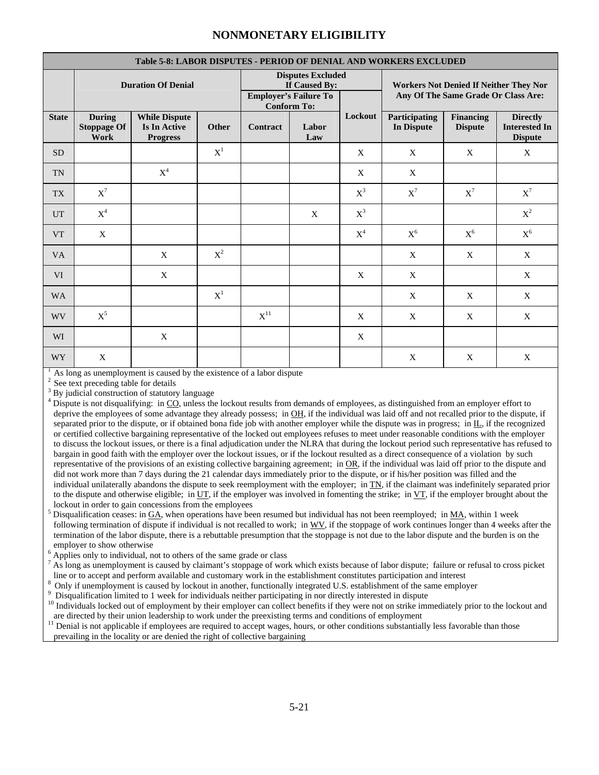|              | Table 5-8: LABOR DISPUTES - PERIOD OF DENIAL AND WORKERS EXCLUDED |                                                                |                |                                                                           |                    |                                                                                      |                                    |                                    |                                                           |
|--------------|-------------------------------------------------------------------|----------------------------------------------------------------|----------------|---------------------------------------------------------------------------|--------------------|--------------------------------------------------------------------------------------|------------------------------------|------------------------------------|-----------------------------------------------------------|
|              | <b>Duration Of Denial</b>                                         |                                                                |                | <b>Disputes Excluded</b><br>If Caused By:<br><b>Employer's Failure To</b> |                    | <b>Workers Not Denied If Neither They Nor</b><br>Any Of The Same Grade Or Class Are: |                                    |                                    |                                                           |
|              |                                                                   |                                                                |                |                                                                           | <b>Conform To:</b> |                                                                                      |                                    |                                    |                                                           |
| <b>State</b> | <b>During</b><br><b>Stoppage Of</b><br>Work                       | <b>While Dispute</b><br><b>Is In Active</b><br><b>Progress</b> | Other          | <b>Contract</b>                                                           | Labor<br>Law       | Lockout                                                                              | Participating<br><b>In Dispute</b> | <b>Financing</b><br><b>Dispute</b> | <b>Directly</b><br><b>Interested In</b><br><b>Dispute</b> |
| <b>SD</b>    |                                                                   |                                                                | $X^1$          |                                                                           |                    | X                                                                                    | X                                  | X                                  | X                                                         |
| <b>TN</b>    |                                                                   | $X^4$                                                          |                |                                                                           |                    | X                                                                                    | $\mathbf{X}$                       |                                    |                                                           |
| <b>TX</b>    | $\mathbf{X}^7$                                                    |                                                                |                |                                                                           |                    | $X^3$                                                                                | $\mathbf{X}^7$                     | $\mathbf{X}^7$                     | $\mathbf{X}^7$                                            |
| <b>UT</b>    | $X^4$                                                             |                                                                |                |                                                                           | X                  | $X^3$                                                                                |                                    |                                    | $\mathbf{X}^2$                                            |
| <b>VT</b>    | X                                                                 |                                                                |                |                                                                           |                    | $X^4$                                                                                | $\mathbf{X}^6$                     | $X^6$                              | $\mathbf{X}^6$                                            |
| <b>VA</b>    |                                                                   | X                                                              | $\mathbf{X}^2$ |                                                                           |                    |                                                                                      | X                                  | X                                  | X                                                         |
| <b>VI</b>    |                                                                   | X                                                              |                |                                                                           |                    | X                                                                                    | X                                  |                                    | X                                                         |
| <b>WA</b>    |                                                                   |                                                                | $X^1$          |                                                                           |                    |                                                                                      | X                                  | X                                  | X                                                         |
| WV           | $X^5$                                                             |                                                                |                | $X^{11}$                                                                  |                    | X                                                                                    | X                                  | X                                  | X                                                         |
| WI           |                                                                   | X                                                              |                |                                                                           |                    | X                                                                                    |                                    |                                    |                                                           |
| <b>WY</b>    | X                                                                 |                                                                |                |                                                                           |                    |                                                                                      | X                                  | X                                  | X                                                         |

As long as unemployment is caused by the existence of a labor dispute See text preceding table for details

 $\frac{3}{4}$  By judicial construction of statutory language  $\frac{4}{4}$  Dignate is not discussifying: in CO unless the

 $^5$  Disqualification ceases: in  $GA$ , when operations have been resumed but individual has not been reemployed; in  $MA$ , within 1 week following termination of dispute if individual is not recalled to work; in WV, if the stoppage of work continues longer than 4 weeks after the termination of the labor dispute, there is a rebuttable presumption that the stoppage is not due to the labor dispute and the burden is on the employer to show otherwise

 $^6$  Applies only to individual, not to others of the same grade or class  $^7$  As long as unamplayment is agreed by element's storages of work

 $^7$  As long as unemployment is caused by claimant's stoppage of work which exists because of labor dispute; failure or refusal to cross picket

line or to accept and perform available and customary work in the establishment constitutes participation and interest  $8$  Only if unemployment is caused by lockout in another, functionally integrated U.S. establishment o are directed by their union leadership to work under the preexisting terms and conditions of employment

<sup>11</sup> Denial is not applicable if employees are required to accept wages, hours, or other conditions substantially less favorable than those prevailing in the locality or are denied the right of collective bargaining

Dispute is not disqualifying: in CO, unless the lockout results from demands of employees, as distinguished from an employer effort to deprive the employees of some advantage they already possess; in OH, if the individual was laid off and not recalled prior to the dispute, if separated prior to the dispute, or if obtained bona fide job with another employer while the dispute was in progress; in IL, if the recognized or certified collective bargaining representative of the locked out employees refuses to meet under reasonable conditions with the employer to discuss the lockout issues, or there is a final adjudication under the NLRA that during the lockout period such representative has refused to bargain in good faith with the employer over the lockout issues, or if the lockout resulted as a direct consequence of a violation by such representative of the provisions of an existing collective bargaining agreement; in OR, if the individual was laid off prior to the dispute and did not work more than 7 days during the 21 calendar days immediately prior to the dispute, or if his/her position was filled and the individual unilaterally abandons the dispute to seek reemployment with the employer; in  $TN$ , if the claimant was indefinitely separated prior to the dispute and otherwise eligible; in  $UT$ , if the employer was involved in fomenting the strike; in  $VT$ , if the employer brought about the lockout in order to gain concessions from the employees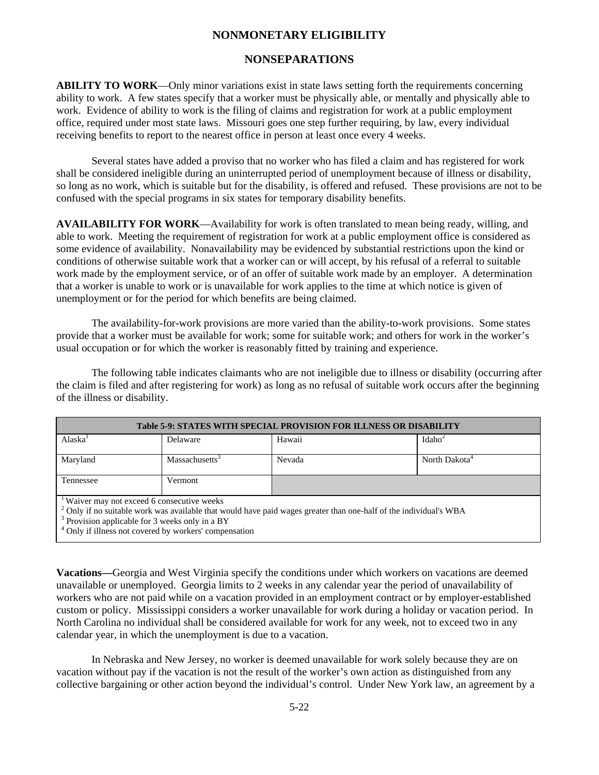### **NONSEPARATIONS**

**ABILITY TO WORK**—Only minor variations exist in state laws setting forth the requirements concerning ability to work. A few states specify that a worker must be physically able, or mentally and physically able to work. Evidence of ability to work is the filing of claims and registration for work at a public employment office, required under most state laws. Missouri goes one step further requiring, by law, every individual receiving benefits to report to the nearest office in person at least once every 4 weeks.

Several states have added a proviso that no worker who has filed a claim and has registered for work shall be considered ineligible during an uninterrupted period of unemployment because of illness or disability, so long as no work, which is suitable but for the disability, is offered and refused. These provisions are not to be confused with the special programs in six states for temporary disability benefits.

**AVAILABILITY FOR WORK**—Availability for work is often translated to mean being ready, willing, and able to work. Meeting the requirement of registration for work at a public employment office is considered as some evidence of availability. Nonavailability may be evidenced by substantial restrictions upon the kind or conditions of otherwise suitable work that a worker can or will accept, by his refusal of a referral to suitable work made by the employment service, or of an offer of suitable work made by an employer. A determination that a worker is unable to work or is unavailable for work applies to the time at which notice is given of unemployment or for the period for which benefits are being claimed.

The availability-for-work provisions are more varied than the ability-to-work provisions. Some states provide that a worker must be available for work; some for suitable work; and others for work in the worker's usual occupation or for which the worker is reasonably fitted by training and experience.

The following table indicates claimants who are not ineligible due to illness or disability (occurring after the claim is filed and after registering for work) as long as no refusal of suitable work occurs after the beginning of the illness or disability.

| <b>Table 5-9: STATES WITH SPECIAL PROVISION FOR ILLNESS OR DISABILITY</b>                                                    |          |        |                    |  |  |  |
|------------------------------------------------------------------------------------------------------------------------------|----------|--------|--------------------|--|--|--|
| Alaska <sup>1</sup>                                                                                                          | Delaware | Hawaii | Idaho <sup>2</sup> |  |  |  |
| North Dakota <sup>4</sup><br>Maryland<br>Massachusetts <sup>3</sup><br>Nevada                                                |          |        |                    |  |  |  |
| Tennessee                                                                                                                    | Vermont  |        |                    |  |  |  |
| <sup>1</sup> Waiver may not exceed 6 consecutive weeks                                                                       |          |        |                    |  |  |  |
| <sup>2</sup> Only if no suitable work was available that would have paid wages greater than one-half of the individual's WBA |          |        |                    |  |  |  |
| $3$ Provision applicable for 3 weeks only in a BY                                                                            |          |        |                    |  |  |  |
| <sup>4</sup> Only if illness not covered by workers' compensation                                                            |          |        |                    |  |  |  |

**Vacations—**Georgia and West Virginia specify the conditions under which workers on vacations are deemed unavailable or unemployed. Georgia limits to 2 weeks in any calendar year the period of unavailability of workers who are not paid while on a vacation provided in an employment contract or by employer-established custom or policy. Mississippi considers a worker unavailable for work during a holiday or vacation period. In North Carolina no individual shall be considered available for work for any week, not to exceed two in any calendar year, in which the unemployment is due to a vacation.

 In Nebraska and New Jersey, no worker is deemed unavailable for work solely because they are on vacation without pay if the vacation is not the result of the worker's own action as distinguished from any collective bargaining or other action beyond the individual's control. Under New York law, an agreement by a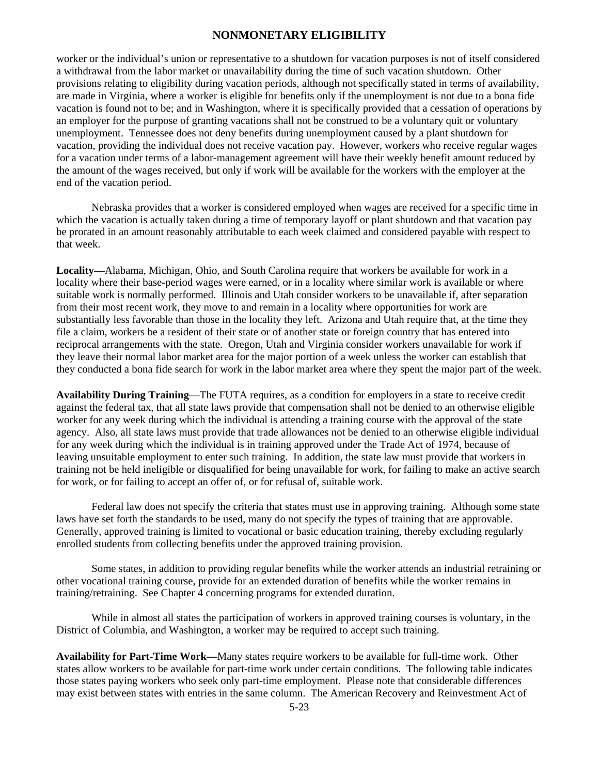worker or the individual's union or representative to a shutdown for vacation purposes is not of itself considered a withdrawal from the labor market or unavailability during the time of such vacation shutdown. Other provisions relating to eligibility during vacation periods, although not specifically stated in terms of availability, are made in Virginia, where a worker is eligible for benefits only if the unemployment is not due to a bona fide vacation is found not to be; and in Washington, where it is specifically provided that a cessation of operations by an employer for the purpose of granting vacations shall not be construed to be a voluntary quit or voluntary unemployment. Tennessee does not deny benefits during unemployment caused by a plant shutdown for vacation, providing the individual does not receive vacation pay. However, workers who receive regular wages for a vacation under terms of a labor-management agreement will have their weekly benefit amount reduced by the amount of the wages received, but only if work will be available for the workers with the employer at the end of the vacation period.

Nebraska provides that a worker is considered employed when wages are received for a specific time in which the vacation is actually taken during a time of temporary layoff or plant shutdown and that vacation pay be prorated in an amount reasonably attributable to each week claimed and considered payable with respect to that week.

**Locality—**Alabama, Michigan, Ohio, and South Carolina require that workers be available for work in a locality where their base-period wages were earned, or in a locality where similar work is available or where suitable work is normally performed. Illinois and Utah consider workers to be unavailable if, after separation from their most recent work, they move to and remain in a locality where opportunities for work are substantially less favorable than those in the locality they left. Arizona and Utah require that, at the time they file a claim, workers be a resident of their state or of another state or foreign country that has entered into reciprocal arrangements with the state. Oregon, Utah and Virginia consider workers unavailable for work if they leave their normal labor market area for the major portion of a week unless the worker can establish that they conducted a bona fide search for work in the labor market area where they spent the major part of the week.

**Availability During Training**—The FUTA requires, as a condition for employers in a state to receive credit against the federal tax, that all state laws provide that compensation shall not be denied to an otherwise eligible worker for any week during which the individual is attending a training course with the approval of the state agency. Also, all state laws must provide that trade allowances not be denied to an otherwise eligible individual for any week during which the individual is in training approved under the Trade Act of 1974, because of leaving unsuitable employment to enter such training. In addition, the state law must provide that workers in training not be held ineligible or disqualified for being unavailable for work, for failing to make an active search for work, or for failing to accept an offer of, or for refusal of, suitable work.

 Federal law does not specify the criteria that states must use in approving training. Although some state laws have set forth the standards to be used, many do not specify the types of training that are approvable. Generally, approved training is limited to vocational or basic education training, thereby excluding regularly enrolled students from collecting benefits under the approved training provision.

 Some states, in addition to providing regular benefits while the worker attends an industrial retraining or other vocational training course, provide for an extended duration of benefits while the worker remains in training/retraining. See Chapter 4 concerning programs for extended duration.

 While in almost all states the participation of workers in approved training courses is voluntary, in the District of Columbia, and Washington, a worker may be required to accept such training.

**Availability for Part-Time Work—**Many states require workers to be available for full-time work. Other states allow workers to be available for part-time work under certain conditions. The following table indicates those states paying workers who seek only part-time employment. Please note that considerable differences may exist between states with entries in the same column. The American Recovery and Reinvestment Act of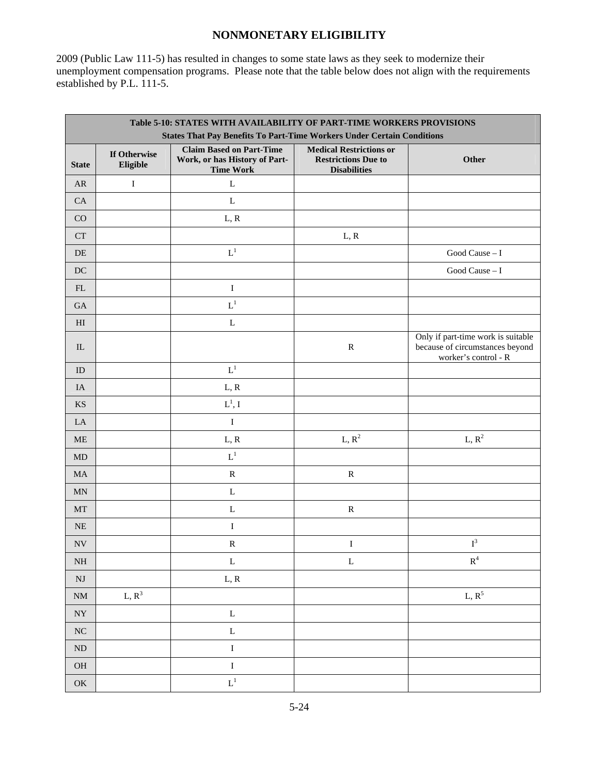2009 (Public Law 111-5) has resulted in changes to some state laws as they seek to modernize their unemployment compensation programs. Please note that the table below does not align with the requirements established by P.L. 111-5.

|                            | Table 5-10: STATES WITH AVAILABILITY OF PART-TIME WORKERS PROVISIONS<br><b>States That Pay Benefits To Part-Time Workers Under Certain Conditions</b> |                                                                                      |                                                                                     |                                                                                               |  |  |  |
|----------------------------|-------------------------------------------------------------------------------------------------------------------------------------------------------|--------------------------------------------------------------------------------------|-------------------------------------------------------------------------------------|-----------------------------------------------------------------------------------------------|--|--|--|
| <b>State</b>               | If Otherwise<br>Eligible                                                                                                                              | <b>Claim Based on Part-Time</b><br>Work, or has History of Part-<br><b>Time Work</b> | <b>Medical Restrictions or</b><br><b>Restrictions Due to</b><br><b>Disabilities</b> | Other                                                                                         |  |  |  |
| <b>AR</b>                  | $\rm I$                                                                                                                                               | $\mathbf L$                                                                          |                                                                                     |                                                                                               |  |  |  |
| CA                         |                                                                                                                                                       | L                                                                                    |                                                                                     |                                                                                               |  |  |  |
| CO                         |                                                                                                                                                       | L, R                                                                                 |                                                                                     |                                                                                               |  |  |  |
| <b>CT</b>                  |                                                                                                                                                       |                                                                                      | L, R                                                                                |                                                                                               |  |  |  |
| DE                         |                                                                                                                                                       | $L^1$                                                                                |                                                                                     | Good Cause $-1$                                                                               |  |  |  |
| $DC$                       |                                                                                                                                                       |                                                                                      |                                                                                     | Good Cause $-1$                                                                               |  |  |  |
| $\mathop{\rm FL}\nolimits$ |                                                                                                                                                       | $\bf I$                                                                              |                                                                                     |                                                                                               |  |  |  |
| $\rm GA$                   |                                                                                                                                                       | $L^1$                                                                                |                                                                                     |                                                                                               |  |  |  |
| $\mathop{\rm HI}\nolimits$ |                                                                                                                                                       | $\mathbf L$                                                                          |                                                                                     |                                                                                               |  |  |  |
| ${\rm IL}$                 |                                                                                                                                                       |                                                                                      | ${\bf R}$                                                                           | Only if part-time work is suitable<br>because of circumstances beyond<br>worker's control - R |  |  |  |
| ID                         |                                                                                                                                                       | $L^1$                                                                                |                                                                                     |                                                                                               |  |  |  |
| IA                         |                                                                                                                                                       | L, R                                                                                 |                                                                                     |                                                                                               |  |  |  |
| $\mathop{\rm KS}\nolimits$ |                                                                                                                                                       | $\mathcal{L}^1,$ I                                                                   |                                                                                     |                                                                                               |  |  |  |
| LA                         |                                                                                                                                                       | $\bf I$                                                                              |                                                                                     |                                                                                               |  |  |  |
| <b>ME</b>                  |                                                                                                                                                       | L, R                                                                                 | $L, R^2$                                                                            | $L, R^2$                                                                                      |  |  |  |
| $\mbox{MD}$                |                                                                                                                                                       | $L^1$                                                                                |                                                                                     |                                                                                               |  |  |  |
| $\rm MA$                   |                                                                                                                                                       | ${\bf R}$                                                                            | ${\bf R}$                                                                           |                                                                                               |  |  |  |
| $\mbox{MN}$                |                                                                                                                                                       | L                                                                                    |                                                                                     |                                                                                               |  |  |  |
| MT                         |                                                                                                                                                       | $\mathbf L$                                                                          | ${\bf R}$                                                                           |                                                                                               |  |  |  |
| $\rm NE$                   |                                                                                                                                                       | $\mathbf I$                                                                          |                                                                                     |                                                                                               |  |  |  |
| $\ensuremath{\text{NV}}$   |                                                                                                                                                       | ${\bf R}$                                                                            | $\bf I$                                                                             | $\mathbf{I}^3$                                                                                |  |  |  |
| $\rm NH$                   |                                                                                                                                                       | $\mathbf L$                                                                          | $\mathbf L$                                                                         | $\mathbf{R}^4$                                                                                |  |  |  |
| $\mathbf{N}\mathbf{J}$     |                                                                                                                                                       | L, R                                                                                 |                                                                                     |                                                                                               |  |  |  |
| $\mathrm{NM}$              | L, $R^3$                                                                                                                                              |                                                                                      |                                                                                     | L, $R^5$                                                                                      |  |  |  |
| $\bold{NY}$                |                                                                                                                                                       | $\mathbf L$                                                                          |                                                                                     |                                                                                               |  |  |  |
| ${\rm NC}$                 |                                                                                                                                                       | $\mathbf L$                                                                          |                                                                                     |                                                                                               |  |  |  |
| $\rm ND$                   |                                                                                                                                                       | $\bf I$                                                                              |                                                                                     |                                                                                               |  |  |  |
| $\rm OH$                   |                                                                                                                                                       | $\mathbf I$                                                                          |                                                                                     |                                                                                               |  |  |  |
| $\mathrm{OK}$              |                                                                                                                                                       | $\mathbf{L}^1$                                                                       |                                                                                     |                                                                                               |  |  |  |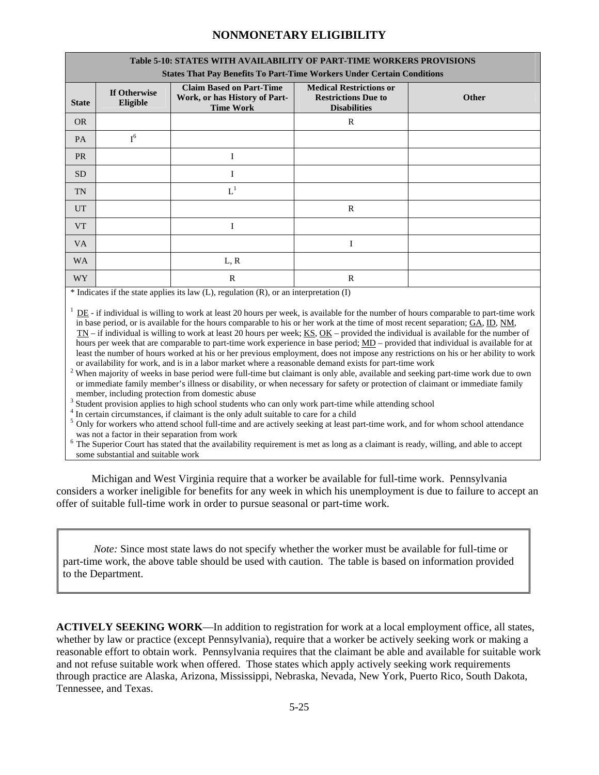| <b>Table 5-10: STATES WITH AVAILABILITY OF PART-TIME WORKERS PROVISIONS</b><br><b>States That Pay Benefits To Part-Time Workers Under Certain Conditions</b> |                                                                                      |                                                                                     |                                                                                              |  |  |  |  |
|--------------------------------------------------------------------------------------------------------------------------------------------------------------|--------------------------------------------------------------------------------------|-------------------------------------------------------------------------------------|----------------------------------------------------------------------------------------------|--|--|--|--|
| If Otherwise<br>Eligible                                                                                                                                     | <b>Claim Based on Part-Time</b><br>Work, or has History of Part-<br><b>Time Work</b> | <b>Medical Restrictions or</b><br><b>Restrictions Due to</b><br><b>Disabilities</b> | <b>Other</b>                                                                                 |  |  |  |  |
|                                                                                                                                                              |                                                                                      | R                                                                                   |                                                                                              |  |  |  |  |
| $I^6$                                                                                                                                                        |                                                                                      |                                                                                     |                                                                                              |  |  |  |  |
|                                                                                                                                                              | I                                                                                    |                                                                                     |                                                                                              |  |  |  |  |
|                                                                                                                                                              | I                                                                                    |                                                                                     |                                                                                              |  |  |  |  |
|                                                                                                                                                              | $L^1$                                                                                |                                                                                     |                                                                                              |  |  |  |  |
|                                                                                                                                                              |                                                                                      | $\mathsf{R}$                                                                        |                                                                                              |  |  |  |  |
|                                                                                                                                                              | I                                                                                    |                                                                                     |                                                                                              |  |  |  |  |
|                                                                                                                                                              |                                                                                      |                                                                                     |                                                                                              |  |  |  |  |
|                                                                                                                                                              | L, R                                                                                 |                                                                                     |                                                                                              |  |  |  |  |
|                                                                                                                                                              | $\mathbf R$                                                                          | $\mathsf{R}$                                                                        |                                                                                              |  |  |  |  |
|                                                                                                                                                              |                                                                                      |                                                                                     | $\ast$ Letterate if the state couling its lane (L) accordation (D) cannot integrate that (D) |  |  |  |  |

\* Indicates if the state applies its law (L), regulation (R), or an interpretation (I)

 $1 \underline{DE}$  - if individual is willing to work at least 20 hours per week, is available for the number of hours comparable to part-time work in base period, or is available for the hours comparable to his or her work at the time of most recent separation; GA, ID, NM, TN – if individual is willing to work at least 20 hours per week; KS, OK – provided the individual is available for the number of hours per week that are comparable to part-time work experience in base period; MD – provided that individual is available for at least the number of hours worked at his or her previous employment, does not impose any restrictions on his or her ability to work or availability for work, and is in a labor market where a reasonable demand exists for part-time work

<sup>2</sup> When majority of weeks in base period were full-time but claimant is only able, available and seeking part-time work due to own or immediate family member's illness or disability, or when necessary for safety or protection of claimant or immediate family member, including protection from domestic abuse

 $3$  Student provision applies to high school students who can only work part-time while attending school  $4$  In extrain giroumstances if claiment is the only edult suitable to earn for a obild

<sup>4</sup> In certain circumstances, if claimant is the only adult suitable to care for a child

<sup>5</sup> Only for workers who attend school full-time and are actively seeking at least part-time work, and for whom school attendance was not a factor in their separation from work

<sup>6</sup> The Superior Court has stated that the availability requirement is met as long as a claimant is ready, willing, and able to accept some substantial and suitable work

Michigan and West Virginia require that a worker be available for full-time work. Pennsylvania considers a worker ineligible for benefits for any week in which his unemployment is due to failure to accept an offer of suitable full-time work in order to pursue seasonal or part-time work.

*Note:* Since most state laws do not specify whether the worker must be available for full-time or part-time work, the above table should be used with caution. The table is based on information provided to the Department.

**ACTIVELY SEEKING WORK**—In addition to registration for work at a local employment office, all states, whether by law or practice (except Pennsylvania), require that a worker be actively seeking work or making a reasonable effort to obtain work. Pennsylvania requires that the claimant be able and available for suitable work and not refuse suitable work when offered. Those states which apply actively seeking work requirements through practice are Alaska, Arizona, Mississippi, Nebraska, Nevada, New York, Puerto Rico, South Dakota, Tennessee, and Texas.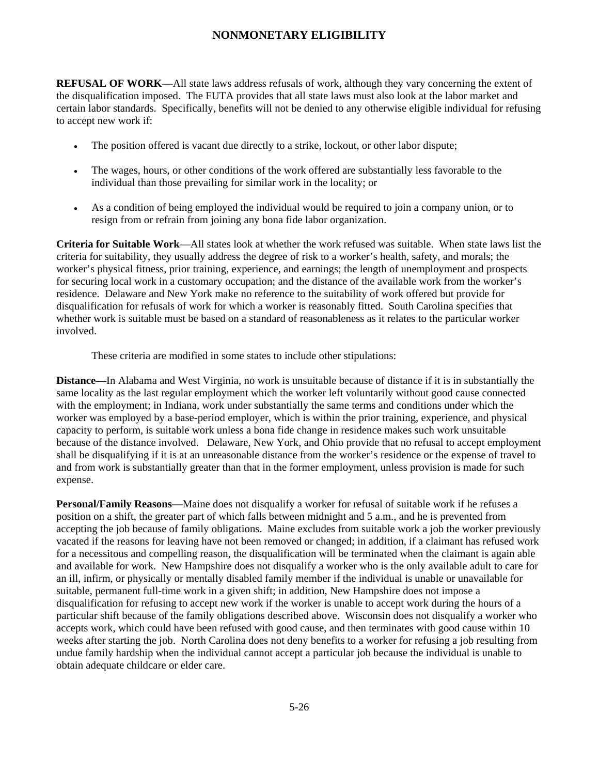**REFUSAL OF WORK—All state laws address refusals of work, although they vary concerning the extent of** the disqualification imposed. The FUTA provides that all state laws must also look at the labor market and certain labor standards. Specifically, benefits will not be denied to any otherwise eligible individual for refusing to accept new work if:

- The position offered is vacant due directly to a strike, lockout, or other labor dispute;
- The wages, hours, or other conditions of the work offered are substantially less favorable to the individual than those prevailing for similar work in the locality; or
- As a condition of being employed the individual would be required to join a company union, or to resign from or refrain from joining any bona fide labor organization.

**Criteria for Suitable Work**—All states look at whether the work refused was suitable. When state laws list the criteria for suitability, they usually address the degree of risk to a worker's health, safety, and morals; the worker's physical fitness, prior training, experience, and earnings; the length of unemployment and prospects for securing local work in a customary occupation; and the distance of the available work from the worker's residence. Delaware and New York make no reference to the suitability of work offered but provide for disqualification for refusals of work for which a worker is reasonably fitted. South Carolina specifies that whether work is suitable must be based on a standard of reasonableness as it relates to the particular worker involved.

These criteria are modified in some states to include other stipulations:

**Distance—**In Alabama and West Virginia, no work is unsuitable because of distance if it is in substantially the same locality as the last regular employment which the worker left voluntarily without good cause connected with the employment; in Indiana, work under substantially the same terms and conditions under which the worker was employed by a base-period employer, which is within the prior training, experience, and physical capacity to perform, is suitable work unless a bona fide change in residence makes such work unsuitable because of the distance involved. Delaware, New York, and Ohio provide that no refusal to accept employment shall be disqualifying if it is at an unreasonable distance from the worker's residence or the expense of travel to and from work is substantially greater than that in the former employment, unless provision is made for such expense.

**Personal/Family Reasons—**Maine does not disqualify a worker for refusal of suitable work if he refuses a position on a shift, the greater part of which falls between midnight and 5 a.m., and he is prevented from accepting the job because of family obligations. Maine excludes from suitable work a job the worker previously vacated if the reasons for leaving have not been removed or changed; in addition, if a claimant has refused work for a necessitous and compelling reason, the disqualification will be terminated when the claimant is again able and available for work. New Hampshire does not disqualify a worker who is the only available adult to care for an ill, infirm, or physically or mentally disabled family member if the individual is unable or unavailable for suitable, permanent full-time work in a given shift; in addition, New Hampshire does not impose a disqualification for refusing to accept new work if the worker is unable to accept work during the hours of a particular shift because of the family obligations described above. Wisconsin does not disqualify a worker who accepts work, which could have been refused with good cause, and then terminates with good cause within 10 weeks after starting the job. North Carolina does not deny benefits to a worker for refusing a job resulting from undue family hardship when the individual cannot accept a particular job because the individual is unable to obtain adequate childcare or elder care.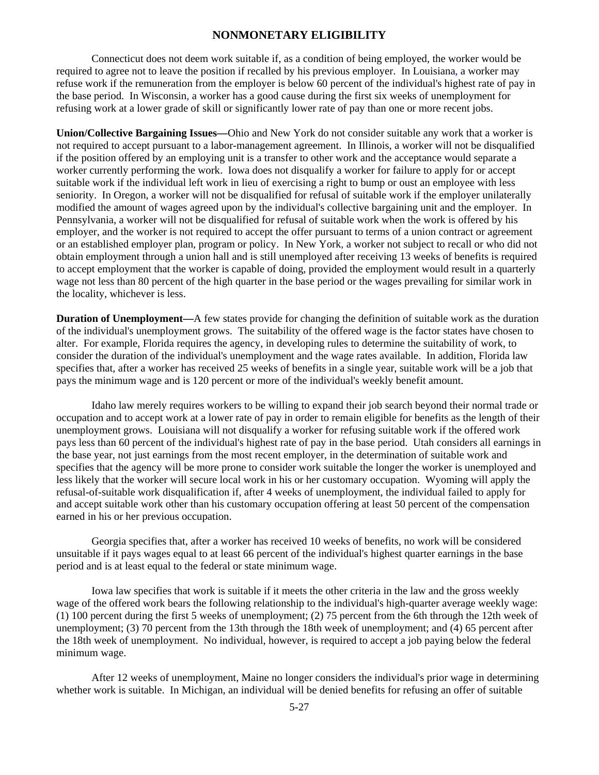Connecticut does not deem work suitable if, as a condition of being employed, the worker would be required to agree not to leave the position if recalled by his previous employer. In Louisiana, a worker may refuse work if the remuneration from the employer is below 60 percent of the individual's highest rate of pay in the base period. In Wisconsin, a worker has a good cause during the first six weeks of unemployment for refusing work at a lower grade of skill or significantly lower rate of pay than one or more recent jobs.

**Union/Collective Bargaining Issues—**Ohio and New York do not consider suitable any work that a worker is not required to accept pursuant to a labor-management agreement. In Illinois, a worker will not be disqualified if the position offered by an employing unit is a transfer to other work and the acceptance would separate a worker currently performing the work. Iowa does not disqualify a worker for failure to apply for or accept suitable work if the individual left work in lieu of exercising a right to bump or oust an employee with less seniority. In Oregon, a worker will not be disqualified for refusal of suitable work if the employer unilaterally modified the amount of wages agreed upon by the individual's collective bargaining unit and the employer. In Pennsylvania, a worker will not be disqualified for refusal of suitable work when the work is offered by his employer, and the worker is not required to accept the offer pursuant to terms of a union contract or agreement or an established employer plan, program or policy. In New York, a worker not subject to recall or who did not obtain employment through a union hall and is still unemployed after receiving 13 weeks of benefits is required to accept employment that the worker is capable of doing, provided the employment would result in a quarterly wage not less than 80 percent of the high quarter in the base period or the wages prevailing for similar work in the locality, whichever is less.

**Duration of Unemployment—A** few states provide for changing the definition of suitable work as the duration of the individual's unemployment grows. The suitability of the offered wage is the factor states have chosen to alter. For example, Florida requires the agency, in developing rules to determine the suitability of work, to consider the duration of the individual's unemployment and the wage rates available. In addition, Florida law specifies that, after a worker has received 25 weeks of benefits in a single year, suitable work will be a job that pays the minimum wage and is 120 percent or more of the individual's weekly benefit amount.

 Idaho law merely requires workers to be willing to expand their job search beyond their normal trade or occupation and to accept work at a lower rate of pay in order to remain eligible for benefits as the length of their unemployment grows. Louisiana will not disqualify a worker for refusing suitable work if the offered work pays less than 60 percent of the individual's highest rate of pay in the base period. Utah considers all earnings in the base year, not just earnings from the most recent employer, in the determination of suitable work and specifies that the agency will be more prone to consider work suitable the longer the worker is unemployed and less likely that the worker will secure local work in his or her customary occupation. Wyoming will apply the refusal-of-suitable work disqualification if, after 4 weeks of unemployment, the individual failed to apply for and accept suitable work other than his customary occupation offering at least 50 percent of the compensation earned in his or her previous occupation.

 Georgia specifies that, after a worker has received 10 weeks of benefits, no work will be considered unsuitable if it pays wages equal to at least 66 percent of the individual's highest quarter earnings in the base period and is at least equal to the federal or state minimum wage.

 Iowa law specifies that work is suitable if it meets the other criteria in the law and the gross weekly wage of the offered work bears the following relationship to the individual's high-quarter average weekly wage: (1) 100 percent during the first 5 weeks of unemployment; (2) 75 percent from the 6th through the 12th week of unemployment; (3) 70 percent from the 13th through the 18th week of unemployment; and (4) 65 percent after the 18th week of unemployment. No individual, however, is required to accept a job paying below the federal minimum wage.

 After 12 weeks of unemployment, Maine no longer considers the individual's prior wage in determining whether work is suitable. In Michigan, an individual will be denied benefits for refusing an offer of suitable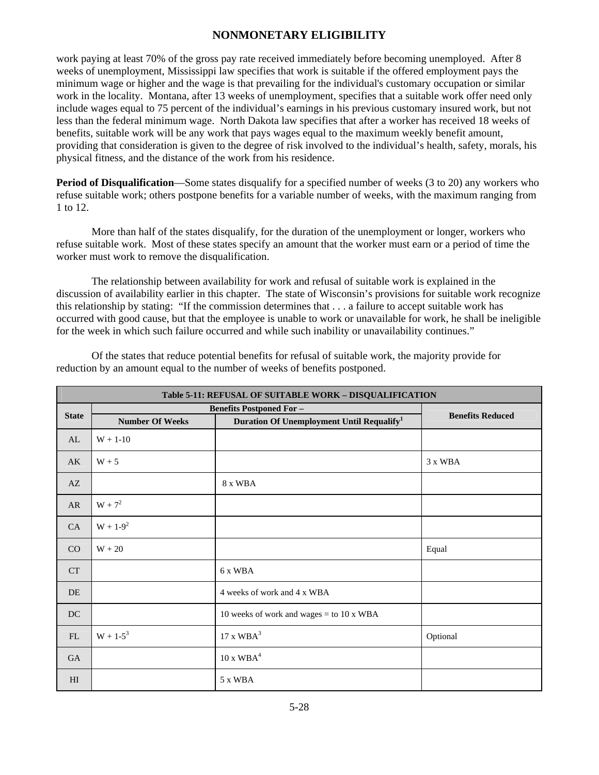work paying at least 70% of the gross pay rate received immediately before becoming unemployed. After 8 weeks of unemployment, Mississippi law specifies that work is suitable if the offered employment pays the minimum wage or higher and the wage is that prevailing for the individual's customary occupation or similar work in the locality. Montana, after 13 weeks of unemployment, specifies that a suitable work offer need only include wages equal to 75 percent of the individual's earnings in his previous customary insured work, but not less than the federal minimum wage. North Dakota law specifies that after a worker has received 18 weeks of benefits, suitable work will be any work that pays wages equal to the maximum weekly benefit amount, providing that consideration is given to the degree of risk involved to the individual's health, safety, morals, his physical fitness, and the distance of the work from his residence.

**Period of Disqualification—Some** states disqualify for a specified number of weeks (3 to 20) any workers who refuse suitable work; others postpone benefits for a variable number of weeks, with the maximum ranging from 1 to 12.

 More than half of the states disqualify, for the duration of the unemployment or longer, workers who refuse suitable work. Most of these states specify an amount that the worker must earn or a period of time the worker must work to remove the disqualification.

 The relationship between availability for work and refusal of suitable work is explained in the discussion of availability earlier in this chapter. The state of Wisconsin's provisions for suitable work recognize this relationship by stating: "If the commission determines that . . . a failure to accept suitable work has occurred with good cause, but that the employee is unable to work or unavailable for work, he shall be ineligible for the week in which such failure occurred and while such inability or unavailability continues."

 Of the states that reduce potential benefits for refusal of suitable work, the majority provide for reduction by an amount equal to the number of weeks of benefits postponed.

| Table 5-11: REFUSAL OF SUITABLE WORK - DISQUALIFICATION |                        |                                                       |                         |  |  |
|---------------------------------------------------------|------------------------|-------------------------------------------------------|-------------------------|--|--|
| <b>State</b>                                            |                        | <b>Benefits Postponed For-</b>                        | <b>Benefits Reduced</b> |  |  |
|                                                         | <b>Number Of Weeks</b> | Duration Of Unemployment Until Requalify <sup>1</sup> |                         |  |  |
| AL                                                      | $W + 1 - 10$           |                                                       |                         |  |  |
| AK                                                      | $W + 5$                |                                                       | 3 x WBA                 |  |  |
| AZ                                                      |                        | 8 x WBA                                               |                         |  |  |
| AR                                                      | $W + 7^2$              |                                                       |                         |  |  |
| CA                                                      | $W + 1 - 9^2$          |                                                       |                         |  |  |
| CO                                                      | $W + 20$               |                                                       | Equal                   |  |  |
| <b>CT</b>                                               |                        | 6 x WBA                                               |                         |  |  |
| DE                                                      |                        | 4 weeks of work and 4 x WBA                           |                         |  |  |
| DC                                                      |                        | 10 weeks of work and wages = to 10 x WBA              |                         |  |  |
| FL                                                      | $W + 1 - 5^3$          | 17 x WBA <sup>3</sup>                                 | Optional                |  |  |
| <b>GA</b>                                               |                        | $10 \times WBA^4$                                     |                         |  |  |
| H <sub>I</sub>                                          |                        | 5 x WBA                                               |                         |  |  |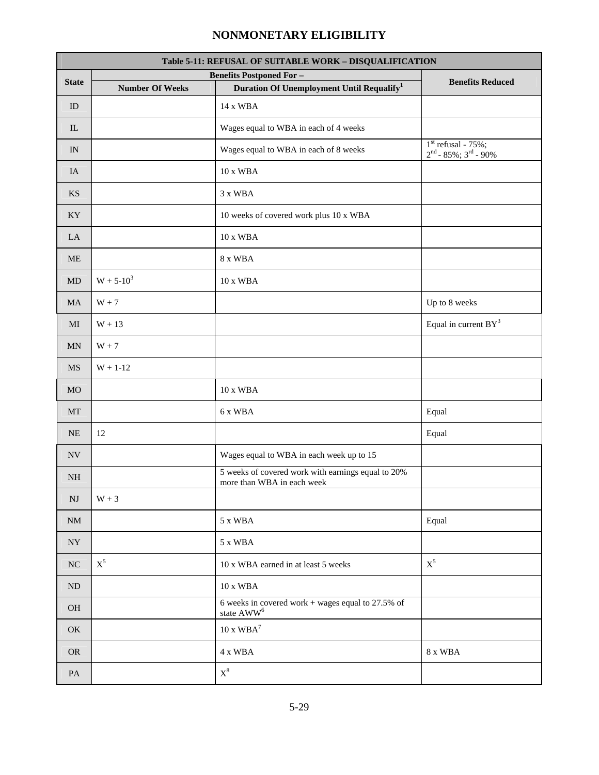| Table 5-11: REFUSAL OF SUITABLE WORK - DISQUALIFICATION |                        |                                                                                         |                                                             |  |  |
|---------------------------------------------------------|------------------------|-----------------------------------------------------------------------------------------|-------------------------------------------------------------|--|--|
| <b>State</b>                                            | <b>Number Of Weeks</b> | <b>Benefits Postponed For-</b><br>Duration Of Unemployment Until Requalify <sup>1</sup> | <b>Benefits Reduced</b>                                     |  |  |
| ID                                                      |                        | 14 x WBA                                                                                |                                                             |  |  |
|                                                         |                        |                                                                                         |                                                             |  |  |
| $\rm IL$                                                |                        | Wages equal to WBA in each of 4 weeks                                                   |                                                             |  |  |
| IN                                                      |                        | Wages equal to WBA in each of 8 weeks                                                   | $1st$ refusal - 75%;<br>$2nd - 85%$ ; 3 <sup>rd</sup> - 90% |  |  |
| IA                                                      |                        | 10 x WBA                                                                                |                                                             |  |  |
| <b>KS</b>                                               |                        | 3 x WBA                                                                                 |                                                             |  |  |
| KY                                                      |                        | 10 weeks of covered work plus 10 x WBA                                                  |                                                             |  |  |
| LA                                                      |                        | 10 x WBA                                                                                |                                                             |  |  |
| <b>ME</b>                                               |                        | 8 x WBA                                                                                 |                                                             |  |  |
| MD                                                      | $W + 5 - 10^3$         | 10 x WBA                                                                                |                                                             |  |  |
| <b>MA</b>                                               | $W + 7$                |                                                                                         | Up to 8 weeks                                               |  |  |
| MI                                                      | $W + 13$               |                                                                                         | Equal in current $BY^3$                                     |  |  |
| <b>MN</b>                                               | $W + 7$                |                                                                                         |                                                             |  |  |
| <b>MS</b>                                               | $W + 1 - 12$           |                                                                                         |                                                             |  |  |
| <b>MO</b>                                               |                        | 10 x WBA                                                                                |                                                             |  |  |
| <b>MT</b>                                               |                        | 6 x WBA                                                                                 | Equal                                                       |  |  |
| <b>NE</b>                                               | 12                     |                                                                                         | Equal                                                       |  |  |
| $\ensuremath{\text{NV}}$                                |                        | Wages equal to WBA in each week up to 15                                                |                                                             |  |  |
| <b>NH</b>                                               |                        | 5 weeks of covered work with earnings equal to 20%<br>more than WBA in each week        |                                                             |  |  |
| $\mathbf{N}\mathbf{J}$                                  | $W + 3$                |                                                                                         |                                                             |  |  |
| <b>NM</b>                                               |                        | 5 x WBA                                                                                 | Equal                                                       |  |  |
| ${\rm NY}$                                              |                        | 5 x WBA                                                                                 |                                                             |  |  |
| NC                                                      | $\mathbf{X}^5$         | 10 x WBA earned in at least 5 weeks                                                     | $\mathbf{X}^5$                                              |  |  |
| ND                                                      |                        | $10$ x $\rm WBA$                                                                        |                                                             |  |  |
| OH                                                      |                        | 6 weeks in covered work + wages equal to $27.5\%$ of<br>state $\mathrm{AWW}^6$          |                                                             |  |  |
| OK                                                      |                        | $10$ x $\mathbf{WBA}^7$                                                                 |                                                             |  |  |
| ${\rm OR}$                                              |                        | 4 x WBA                                                                                 | 8 x WBA                                                     |  |  |
| $\mathbf{PA}$                                           |                        | $\mathbf{X}^8$                                                                          |                                                             |  |  |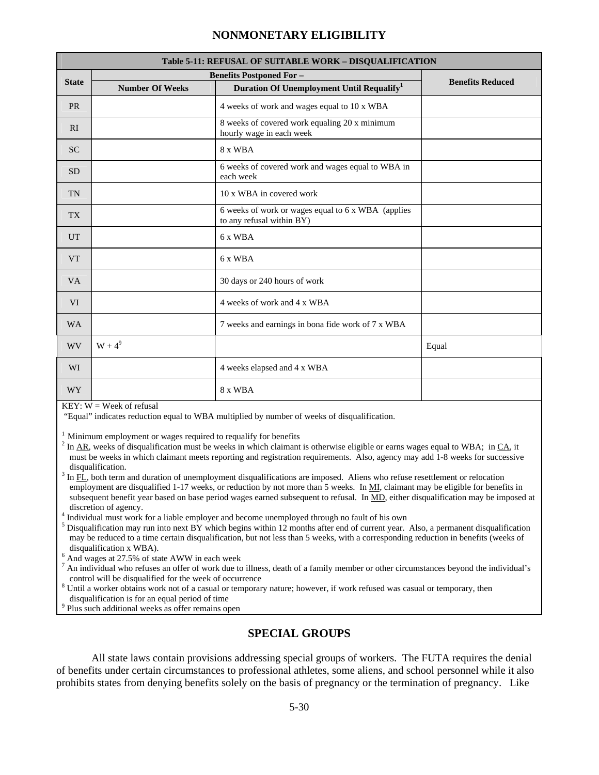|                 | Table 5-11: REFUSAL OF SUITABLE WORK - DISQUALIFICATION |                                                                                 |                         |  |  |  |  |  |  |  |
|-----------------|---------------------------------------------------------|---------------------------------------------------------------------------------|-------------------------|--|--|--|--|--|--|--|
|                 |                                                         | <b>Benefits Postponed For-</b>                                                  |                         |  |  |  |  |  |  |  |
| <b>State</b>    | <b>Number Of Weeks</b>                                  | Duration Of Unemployment Until Requalify <sup>1</sup>                           | <b>Benefits Reduced</b> |  |  |  |  |  |  |  |
| <b>PR</b>       |                                                         | 4 weeks of work and wages equal to 10 x WBA                                     |                         |  |  |  |  |  |  |  |
| RI              |                                                         | 8 weeks of covered work equaling 20 x minimum<br>hourly wage in each week       |                         |  |  |  |  |  |  |  |
| <b>SC</b>       |                                                         | 8 x WBA                                                                         |                         |  |  |  |  |  |  |  |
| <b>SD</b>       |                                                         | 6 weeks of covered work and wages equal to WBA in<br>each week                  |                         |  |  |  |  |  |  |  |
| <b>TN</b>       |                                                         | 10 x WBA in covered work                                                        |                         |  |  |  |  |  |  |  |
| TX <sup>1</sup> |                                                         | 6 weeks of work or wages equal to 6 x WBA (applies<br>to any refusal within BY) |                         |  |  |  |  |  |  |  |
| <b>UT</b>       |                                                         | 6 x WBA                                                                         |                         |  |  |  |  |  |  |  |
| <b>VT</b>       |                                                         | 6 x WBA                                                                         |                         |  |  |  |  |  |  |  |
| <b>VA</b>       |                                                         | 30 days or 240 hours of work                                                    |                         |  |  |  |  |  |  |  |
| <b>VI</b>       |                                                         | 4 weeks of work and 4 x WBA                                                     |                         |  |  |  |  |  |  |  |
| <b>WA</b>       |                                                         | 7 weeks and earnings in bona fide work of 7 x WBA                               |                         |  |  |  |  |  |  |  |
| <b>WV</b>       | $W + 4^9$                                               |                                                                                 | Equal                   |  |  |  |  |  |  |  |
| <b>WI</b>       |                                                         | 4 weeks elapsed and 4 x WBA                                                     |                         |  |  |  |  |  |  |  |
| <b>WY</b>       |                                                         | 8 x WBA                                                                         |                         |  |  |  |  |  |  |  |

 $KEY: W = Week$  of refusal

"Equal" indicates reduction equal to WBA multiplied by number of weeks of disqualification.

 $1$  Minimum employment or wages required to requalify for benefits

 $^2$  In  $\underline{AR}$ , weeks of disqualification must be weeks in which claimant is otherwise eligible or earns wages equal to WBA; in  $\underline{CA}$ , it must be weeks in which claimant meets reporting and registration requirements. Also, agency may add 1-8 weeks for successive disqualification.

 $3$  In  $FL$ , both term and duration of unemployment disqualifications are imposed. Aliens who refuse resettlement or relocation employment are disqualified 1-17 weeks, or reduction by not more than 5 weeks. In MI, claimant may be eligible for benefits in subsequent benefit year based on base period wages earned subsequent to refusal. In MD, either disqualification may be imposed at discretion of agency.

Individual must work for a liable employer and become unemployed through no fault of his own 5

 $<sup>5</sup>$  Disqualification may run into next BY which begins within 12 months after end of current year. Also, a permanent disqualification</sup> may be reduced to a time certain disqualification, but not less than 5 weeks, with a corresponding reduction in benefits (weeks of disqualification x WBA).<br> $<sup>6</sup>$  And wages at 27.5% of state AWW in each week</sup>

 $^7$  An individual who refuses an offer of work due to illness, death of a family member or other circumstances beyond the individual's control will be disqualified for the week of occurrence

 $8$  Until a worker obtains work not of a casual or temporary nature; however, if work refused was casual or temporary, then disqualification is for an equal period of time

Plus such additional weeks as offer remains open

#### **SPECIAL GROUPS**

All state laws contain provisions addressing special groups of workers. The FUTA requires the denial of benefits under certain circumstances to professional athletes, some aliens, and school personnel while it also prohibits states from denying benefits solely on the basis of pregnancy or the termination of pregnancy. Like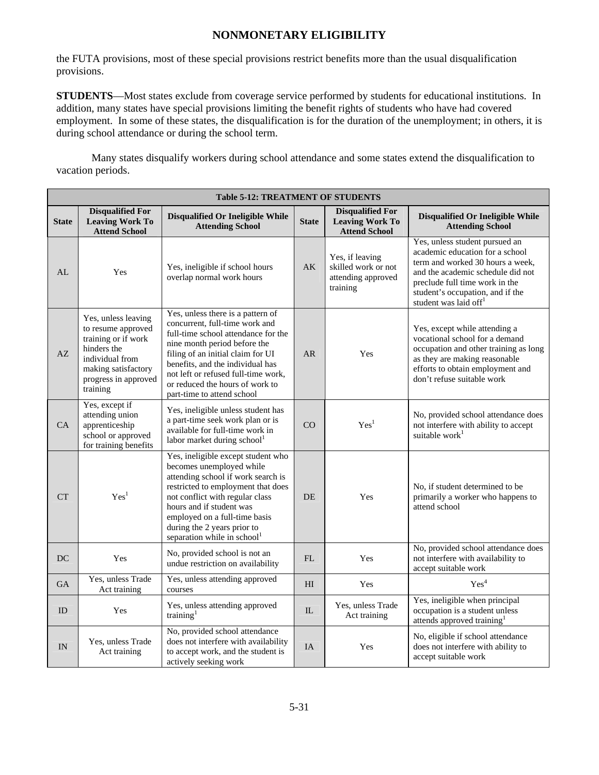the FUTA provisions, most of these special provisions restrict benefits more than the usual disqualification provisions.

**STUDENTS**—Most states exclude from coverage service performed by students for educational institutions. In addition, many states have special provisions limiting the benefit rights of students who have had covered employment. In some of these states, the disqualification is for the duration of the unemployment; in others, it is during school attendance or during the school term.

Many states disqualify workers during school attendance and some states extend the disqualification to vacation periods.

|              | <b>Table 5-12: TREATMENT OF STUDENTS</b>                                                                                                                      |                                                                                                                                                                                                                                                                                                                             |                |                                                                           |                                                                                                                                                                                                                                                       |  |  |  |  |  |  |  |
|--------------|---------------------------------------------------------------------------------------------------------------------------------------------------------------|-----------------------------------------------------------------------------------------------------------------------------------------------------------------------------------------------------------------------------------------------------------------------------------------------------------------------------|----------------|---------------------------------------------------------------------------|-------------------------------------------------------------------------------------------------------------------------------------------------------------------------------------------------------------------------------------------------------|--|--|--|--|--|--|--|
| <b>State</b> | <b>Disqualified For</b><br><b>Leaving Work To</b><br><b>Attend School</b>                                                                                     | Disqualified Or Ineligible While<br><b>Attending School</b>                                                                                                                                                                                                                                                                 | <b>State</b>   | <b>Disqualified For</b><br><b>Leaving Work To</b><br><b>Attend School</b> | Disqualified Or Ineligible While<br><b>Attending School</b>                                                                                                                                                                                           |  |  |  |  |  |  |  |
| AI           | Yes                                                                                                                                                           | Yes, ineligible if school hours<br>overlap normal work hours                                                                                                                                                                                                                                                                | AK             | Yes, if leaving<br>skilled work or not<br>attending approved<br>training  | Yes, unless student pursued an<br>academic education for a school<br>term and worked 30 hours a week,<br>and the academic schedule did not<br>preclude full time work in the<br>student's occupation, and if the<br>student was laid off <sup>1</sup> |  |  |  |  |  |  |  |
| AZ           | Yes, unless leaving<br>to resume approved<br>training or if work<br>hinders the<br>individual from<br>making satisfactory<br>progress in approved<br>training | Yes, unless there is a pattern of<br>concurrent, full-time work and<br>full-time school attendance for the<br>nine month period before the<br>filing of an initial claim for UI<br>benefits, and the individual has<br>not left or refused full-time work,<br>or reduced the hours of work to<br>part-time to attend school | AR             | Yes                                                                       | Yes, except while attending a<br>vocational school for a demand<br>occupation and other training as long<br>as they are making reasonable<br>efforts to obtain employment and<br>don't refuse suitable work                                           |  |  |  |  |  |  |  |
| CA           | Yes, except if<br>attending union<br>apprenticeship<br>school or approved<br>for training benefits                                                            | Yes, ineligible unless student has<br>a part-time seek work plan or is<br>available for full-time work in<br>labor market during school <sup>1</sup>                                                                                                                                                                        | CO             | Yes <sup>1</sup>                                                          | No, provided school attendance does<br>not interfere with ability to accept<br>suitable work <sup>1</sup>                                                                                                                                             |  |  |  |  |  |  |  |
| CT           | Yes <sup>1</sup>                                                                                                                                              | Yes, ineligible except student who<br>becomes unemployed while<br>attending school if work search is<br>restricted to employment that does<br>not conflict with regular class<br>hours and if student was<br>employed on a full-time basis<br>during the 2 years prior to<br>separation while in school <sup>1</sup>        | <b>DE</b>      | Yes                                                                       | No, if student determined to be<br>primarily a worker who happens to<br>attend school                                                                                                                                                                 |  |  |  |  |  |  |  |
| DC           | Yes                                                                                                                                                           | No, provided school is not an<br>undue restriction on availability                                                                                                                                                                                                                                                          | FL             | Yes                                                                       | No, provided school attendance does<br>not interfere with availability to<br>accept suitable work                                                                                                                                                     |  |  |  |  |  |  |  |
| <b>GA</b>    | Yes, unless Trade<br>Act training                                                                                                                             | Yes, unless attending approved<br>courses                                                                                                                                                                                                                                                                                   | H <sub>I</sub> | Yes                                                                       | Yes <sup>4</sup>                                                                                                                                                                                                                                      |  |  |  |  |  |  |  |
| ID           | Yes                                                                                                                                                           | Yes, unless attending approved<br>training <sup>1</sup>                                                                                                                                                                                                                                                                     | IL             | Yes, unless Trade<br>Act training                                         | Yes, ineligible when principal<br>occupation is a student unless<br>attends approved training <sup>1</sup>                                                                                                                                            |  |  |  |  |  |  |  |
| IN           | Yes, unless Trade<br>Act training                                                                                                                             | No, provided school attendance<br>does not interfere with availability<br>to accept work, and the student is<br>actively seeking work                                                                                                                                                                                       | IA             | Yes                                                                       | No, eligible if school attendance<br>does not interfere with ability to<br>accept suitable work                                                                                                                                                       |  |  |  |  |  |  |  |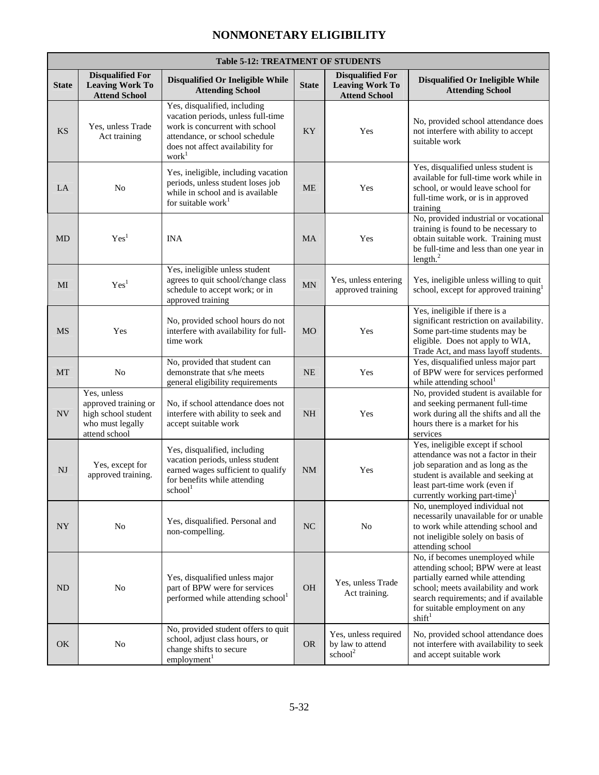$\blacksquare$ 

|              | <b>Table 5-12: TREATMENT OF STUDENTS</b>                                                        |                                                                                                                                                                                                 |              |                                                                           |                                                                                                                                                                                                                                                    |  |  |  |  |  |  |
|--------------|-------------------------------------------------------------------------------------------------|-------------------------------------------------------------------------------------------------------------------------------------------------------------------------------------------------|--------------|---------------------------------------------------------------------------|----------------------------------------------------------------------------------------------------------------------------------------------------------------------------------------------------------------------------------------------------|--|--|--|--|--|--|
| <b>State</b> | <b>Disqualified For</b><br><b>Leaving Work To</b><br><b>Attend School</b>                       | Disqualified Or Ineligible While<br><b>Attending School</b>                                                                                                                                     | <b>State</b> | <b>Disqualified For</b><br><b>Leaving Work To</b><br><b>Attend School</b> | Disqualified Or Ineligible While<br><b>Attending School</b>                                                                                                                                                                                        |  |  |  |  |  |  |
| <b>KS</b>    | Yes, unless Trade<br>Act training                                                               | Yes, disqualified, including<br>vacation periods, unless full-time<br>work is concurrent with school<br>attendance, or school schedule<br>does not affect availability for<br>work <sup>1</sup> | KY           | Yes                                                                       | No, provided school attendance does<br>not interfere with ability to accept<br>suitable work                                                                                                                                                       |  |  |  |  |  |  |
| LA           | N <sub>o</sub>                                                                                  | Yes, ineligible, including vacation<br>periods, unless student loses job<br>while in school and is available<br>for suitable work $1$                                                           | <b>ME</b>    | Yes                                                                       | Yes, disqualified unless student is<br>available for full-time work while in<br>school, or would leave school for<br>full-time work, or is in approved<br>training                                                                                 |  |  |  |  |  |  |
| <b>MD</b>    | Yes <sup>1</sup>                                                                                | <b>INA</b>                                                                                                                                                                                      | <b>MA</b>    | Yes                                                                       | No, provided industrial or vocational<br>training is found to be necessary to<br>obtain suitable work. Training must<br>be full-time and less than one year in<br>length. <sup>2</sup>                                                             |  |  |  |  |  |  |
| MI           | Yes <sup>1</sup>                                                                                | Yes, ineligible unless student<br>agrees to quit school/change class<br>schedule to accept work; or in<br>approved training                                                                     | MN           | Yes, unless entering<br>approved training                                 | Yes, ineligible unless willing to quit<br>school, except for approved training <sup>1</sup>                                                                                                                                                        |  |  |  |  |  |  |
| <b>MS</b>    | Yes                                                                                             | No, provided school hours do not<br>interfere with availability for full-<br>time work                                                                                                          | <b>MO</b>    | Yes                                                                       | Yes, ineligible if there is a<br>significant restriction on availability.<br>Some part-time students may be<br>eligible. Does not apply to WIA,<br>Trade Act, and mass layoff students.                                                            |  |  |  |  |  |  |
| MT           | No                                                                                              | No, provided that student can<br>demonstrate that s/he meets<br>general eligibility requirements                                                                                                | <b>NE</b>    | Yes                                                                       | Yes, disqualified unless major part<br>of BPW were for services performed<br>while attending school <sup>1</sup>                                                                                                                                   |  |  |  |  |  |  |
| <b>NV</b>    | Yes, unless<br>approved training or<br>high school student<br>who must legally<br>attend school | No, if school attendance does not<br>interfere with ability to seek and<br>accept suitable work                                                                                                 | <b>NH</b>    | Yes                                                                       | No, provided student is available for<br>and seeking permanent full-time<br>work during all the shifts and all the<br>hours there is a market for his<br>services                                                                                  |  |  |  |  |  |  |
| NJ           | Yes, except for<br>approved training.                                                           | Yes, disqualified, including<br>vacation periods, unless student<br>earned wages sufficient to qualify<br>for benefits while attending<br>school <sup>1</sup>                                   | <b>NM</b>    | Yes                                                                       | Yes, ineligible except if school<br>attendance was not a factor in their<br>job separation and as long as the<br>student is available and seeking at<br>least part-time work (even if<br>currently working part-time) <sup>1</sup>                 |  |  |  |  |  |  |
| <b>NY</b>    | No                                                                                              | Yes, disqualified. Personal and<br>non-compelling.                                                                                                                                              | <b>NC</b>    | No                                                                        | No, unemployed individual not<br>necessarily unavailable for or unable<br>to work while attending school and<br>not ineligible solely on basis of<br>attending school                                                                              |  |  |  |  |  |  |
| ND           | No                                                                                              | Yes, disqualified unless major<br>part of BPW were for services<br>performed while attending school <sup>1</sup>                                                                                | <b>OH</b>    | Yes, unless Trade<br>Act training.                                        | No, if becomes unemployed while<br>attending school; BPW were at least<br>partially earned while attending<br>school; meets availability and work<br>search requirements; and if available<br>for suitable employment on any<br>shift <sup>1</sup> |  |  |  |  |  |  |
| OK           | N <sub>o</sub>                                                                                  | No, provided student offers to quit<br>school, adjust class hours, or<br>change shifts to secure<br>employment <sup>1</sup>                                                                     | <b>OR</b>    | Yes, unless required<br>by law to attend<br>school <sup>2</sup>           | No, provided school attendance does<br>not interfere with availability to seek<br>and accept suitable work                                                                                                                                         |  |  |  |  |  |  |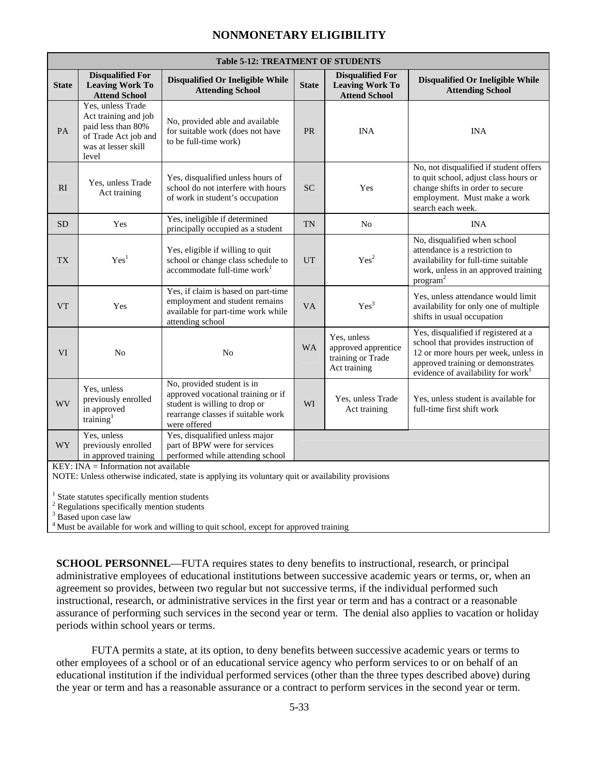|              |                                                                                                                         | <b>Table 5-12: TREATMENT OF STUDENTS</b>                                                                                                                |              |                                                                           |                                                                                                                                                                                                            |
|--------------|-------------------------------------------------------------------------------------------------------------------------|---------------------------------------------------------------------------------------------------------------------------------------------------------|--------------|---------------------------------------------------------------------------|------------------------------------------------------------------------------------------------------------------------------------------------------------------------------------------------------------|
| <b>State</b> | <b>Disqualified For</b><br><b>Leaving Work To</b><br><b>Attend School</b>                                               | Disqualified Or Ineligible While<br><b>Attending School</b>                                                                                             | <b>State</b> | <b>Disqualified For</b><br><b>Leaving Work To</b><br><b>Attend School</b> | Disqualified Or Ineligible While<br><b>Attending School</b>                                                                                                                                                |
| PA           | Yes, unless Trade<br>Act training and job<br>paid less than 80%<br>of Trade Act job and<br>was at lesser skill<br>level | No, provided able and available<br>for suitable work (does not have<br>to be full-time work)                                                            | <b>PR</b>    | <b>INA</b>                                                                | <b>INA</b>                                                                                                                                                                                                 |
| RI           | Yes, unless Trade<br>Act training                                                                                       | Yes, disqualified unless hours of<br>school do not interfere with hours<br>of work in student's occupation                                              | <b>SC</b>    | Yes                                                                       | No, not disqualified if student offers<br>to quit school, adjust class hours or<br>change shifts in order to secure<br>employment. Must make a work<br>search each week.                                   |
| <b>SD</b>    | Yes                                                                                                                     | Yes, ineligible if determined<br>principally occupied as a student                                                                                      | <b>TN</b>    | N <sub>o</sub>                                                            | <b>INA</b>                                                                                                                                                                                                 |
| <b>TX</b>    | Yes <sup>1</sup>                                                                                                        | Yes, eligible if willing to quit<br>school or change class schedule to<br>accommodate full-time work <sup>1</sup>                                       | <b>UT</b>    | Yes <sup>2</sup>                                                          | No, disqualified when school<br>attendance is a restriction to<br>availability for full-time suitable<br>work, unless in an approved training<br>program <sup>2</sup>                                      |
| <b>VT</b>    | Yes                                                                                                                     | Yes, if claim is based on part-time<br>employment and student remains<br>available for part-time work while<br>attending school                         | <b>VA</b>    | Yes <sup>3</sup>                                                          | Yes, unless attendance would limit<br>availability for only one of multiple<br>shifts in usual occupation                                                                                                  |
| <b>VI</b>    | N <sub>o</sub>                                                                                                          | N <sub>o</sub>                                                                                                                                          | <b>WA</b>    | Yes, unless<br>approved apprentice<br>training or Trade<br>Act training   | Yes, disqualified if registered at a<br>school that provides instruction of<br>12 or more hours per week, unless in<br>approved training or demonstrates<br>evidence of availability for work <sup>1</sup> |
| <b>WV</b>    | Yes, unless<br>previously enrolled<br>in approved<br>training $1$                                                       | No, provided student is in<br>approved vocational training or if<br>student is willing to drop or<br>rearrange classes if suitable work<br>were offered | WI           | Yes, unless Trade<br>Act training                                         | Yes, unless student is available for<br>full-time first shift work                                                                                                                                         |
| <b>WY</b>    | Yes, unless<br>previously enrolled<br>in approved training                                                              | Yes, disqualified unless major<br>part of BPW were for services<br>performed while attending school                                                     |              |                                                                           |                                                                                                                                                                                                            |
|              | $KEY: INA = Information not available$                                                                                  | NOTE: Unless otherwise indicated, state is applying its voluntary quit or availability provisions                                                       |              |                                                                           |                                                                                                                                                                                                            |
|              | $1$ State statutes specifically mention students                                                                        |                                                                                                                                                         |              |                                                                           |                                                                                                                                                                                                            |
|              |                                                                                                                         |                                                                                                                                                         |              |                                                                           |                                                                                                                                                                                                            |

2 Regulations specifically mention students

<sup>3</sup> Based upon case law

<sup>4</sup> Must be available for work and willing to quit school, except for approved training

**SCHOOL PERSONNEL—FUTA** requires states to deny benefits to instructional, research, or principal administrative employees of educational institutions between successive academic years or terms, or, when an agreement so provides, between two regular but not successive terms, if the individual performed such instructional, research, or administrative services in the first year or term and has a contract or a reasonable assurance of performing such services in the second year or term. The denial also applies to vacation or holiday periods within school years or terms.

 FUTA permits a state, at its option, to deny benefits between successive academic years or terms to other employees of a school or of an educational service agency who perform services to or on behalf of an educational institution if the individual performed services (other than the three types described above) during the year or term and has a reasonable assurance or a contract to perform services in the second year or term.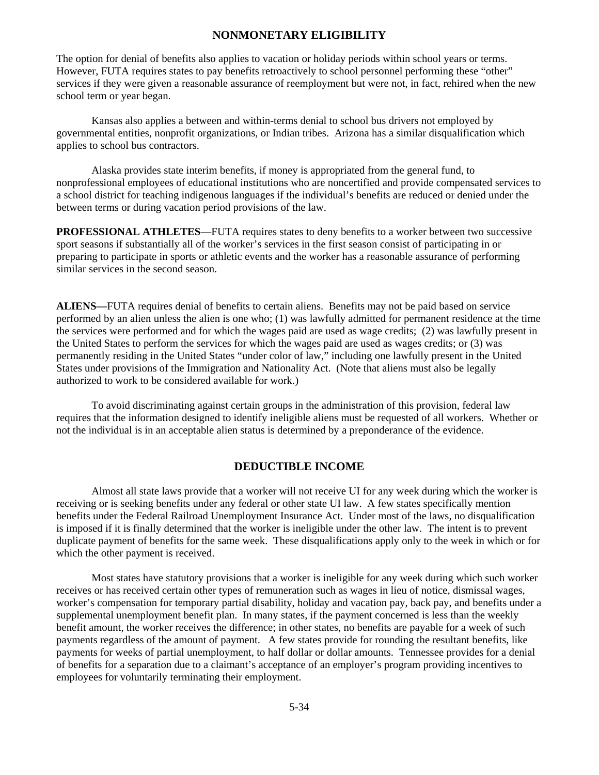The option for denial of benefits also applies to vacation or holiday periods within school years or terms. However, FUTA requires states to pay benefits retroactively to school personnel performing these "other" services if they were given a reasonable assurance of reemployment but were not, in fact, rehired when the new school term or year began.

 Kansas also applies a between and within-terms denial to school bus drivers not employed by governmental entities, nonprofit organizations, or Indian tribes. Arizona has a similar disqualification which applies to school bus contractors.

 Alaska provides state interim benefits, if money is appropriated from the general fund, to nonprofessional employees of educational institutions who are noncertified and provide compensated services to a school district for teaching indigenous languages if the individual's benefits are reduced or denied under the between terms or during vacation period provisions of the law.

**PROFESSIONAL ATHLETES**—FUTA requires states to deny benefits to a worker between two successive sport seasons if substantially all of the worker's services in the first season consist of participating in or preparing to participate in sports or athletic events and the worker has a reasonable assurance of performing similar services in the second season.

**ALIENS—**FUTA requires denial of benefits to certain aliens. Benefits may not be paid based on service performed by an alien unless the alien is one who; (1) was lawfully admitted for permanent residence at the time the services were performed and for which the wages paid are used as wage credits; (2) was lawfully present in the United States to perform the services for which the wages paid are used as wages credits; or (3) was permanently residing in the United States "under color of law," including one lawfully present in the United States under provisions of the Immigration and Nationality Act. (Note that aliens must also be legally authorized to work to be considered available for work.)

 To avoid discriminating against certain groups in the administration of this provision, federal law requires that the information designed to identify ineligible aliens must be requested of all workers. Whether or not the individual is in an acceptable alien status is determined by a preponderance of the evidence.

#### **DEDUCTIBLE INCOME**

Almost all state laws provide that a worker will not receive UI for any week during which the worker is receiving or is seeking benefits under any federal or other state UI law. A few states specifically mention benefits under the Federal Railroad Unemployment Insurance Act. Under most of the laws, no disqualification is imposed if it is finally determined that the worker is ineligible under the other law. The intent is to prevent duplicate payment of benefits for the same week. These disqualifications apply only to the week in which or for which the other payment is received.

 Most states have statutory provisions that a worker is ineligible for any week during which such worker receives or has received certain other types of remuneration such as wages in lieu of notice, dismissal wages, worker's compensation for temporary partial disability, holiday and vacation pay, back pay, and benefits under a supplemental unemployment benefit plan. In many states, if the payment concerned is less than the weekly benefit amount, the worker receives the difference; in other states, no benefits are payable for a week of such payments regardless of the amount of payment. A few states provide for rounding the resultant benefits, like payments for weeks of partial unemployment, to half dollar or dollar amounts. Tennessee provides for a denial of benefits for a separation due to a claimant's acceptance of an employer's program providing incentives to employees for voluntarily terminating their employment.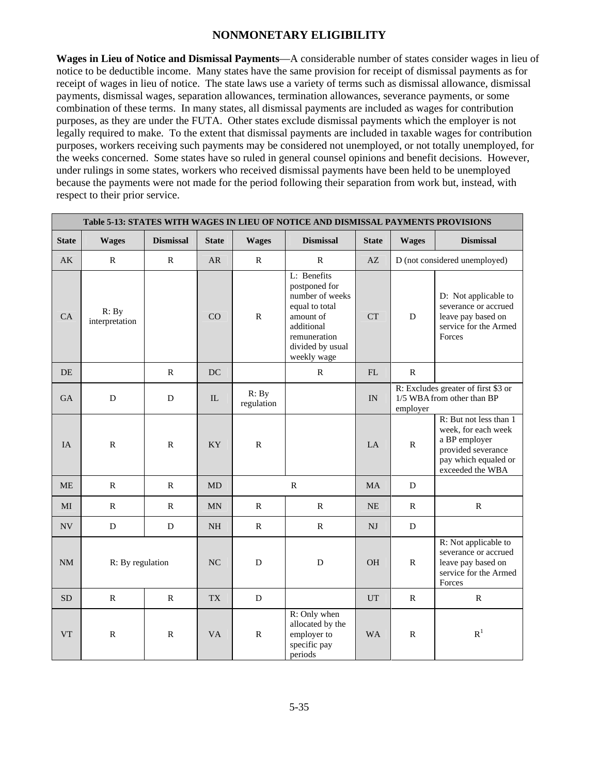**Wages in Lieu of Notice and Dismissal Payments**—A considerable number of states consider wages in lieu of notice to be deductible income. Many states have the same provision for receipt of dismissal payments as for receipt of wages in lieu of notice. The state laws use a variety of terms such as dismissal allowance, dismissal payments, dismissal wages, separation allowances, termination allowances, severance payments, or some combination of these terms. In many states, all dismissal payments are included as wages for contribution purposes, as they are under the FUTA. Other states exclude dismissal payments which the employer is not legally required to make. To the extent that dismissal payments are included in taxable wages for contribution purposes, workers receiving such payments may be considered not unemployed, or not totally unemployed, for the weeks concerned. Some states have so ruled in general counsel opinions and benefit decisions. However, under rulings in some states, workers who received dismissal payments have been held to be unemployed because the payments were not made for the period following their separation from work but, instead, with respect to their prior service.

|                          | Table 5-13: STATES WITH WAGES IN LIEU OF NOTICE AND DISMISSAL PAYMENTS PROVISIONS |                  |                |                     |                                                                                                                                                 |                                                                                     |              |                                                                                                                                  |  |  |  |  |  |
|--------------------------|-----------------------------------------------------------------------------------|------------------|----------------|---------------------|-------------------------------------------------------------------------------------------------------------------------------------------------|-------------------------------------------------------------------------------------|--------------|----------------------------------------------------------------------------------------------------------------------------------|--|--|--|--|--|
| <b>State</b>             | <b>Wages</b>                                                                      | <b>Dismissal</b> | <b>State</b>   | <b>Wages</b>        | <b>Dismissal</b>                                                                                                                                | <b>State</b>                                                                        | <b>Wages</b> | <b>Dismissal</b>                                                                                                                 |  |  |  |  |  |
| AK                       | $\mathbb{R}$                                                                      | $\mathbf R$      | <b>AR</b>      | $\mathbb{R}$        | R                                                                                                                                               | AZ                                                                                  |              | D (not considered unemployed)                                                                                                    |  |  |  |  |  |
| CA                       | R: By<br>interpretation                                                           |                  | CO             | ${\bf R}$           | L: Benefits<br>postponed for<br>number of weeks<br>equal to total<br>amount of<br>additional<br>remuneration<br>divided by usual<br>weekly wage | <b>CT</b>                                                                           | $\mathbf D$  | D: Not applicable to<br>severance or accrued<br>leave pay based on<br>service for the Armed<br>Forces                            |  |  |  |  |  |
| DE.                      |                                                                                   | $\mathbb{R}$     | DC             |                     | $\mathbb{R}$                                                                                                                                    | FL                                                                                  | $\mathbb{R}$ |                                                                                                                                  |  |  |  |  |  |
| <b>GA</b>                | D                                                                                 | D                | IL             | R: By<br>regulation |                                                                                                                                                 | R: Excludes greater of first \$3 or<br>1/5 WBA from other than BP<br>IN<br>employer |              |                                                                                                                                  |  |  |  |  |  |
| <b>IA</b>                | $\mathbf R$                                                                       | $\mathbb{R}$     | <b>KY</b>      | ${\bf R}$           |                                                                                                                                                 | LA                                                                                  | $\mathbb{R}$ | R: But not less than 1<br>week, for each week<br>a BP employer<br>provided severance<br>pay which equaled or<br>exceeded the WBA |  |  |  |  |  |
| <b>ME</b>                | $\mathbf R$                                                                       | $\mathsf{R}$     | <b>MD</b>      |                     | $\mathbf R$                                                                                                                                     | <b>MA</b>                                                                           | D            |                                                                                                                                  |  |  |  |  |  |
| MI                       | $\mathbb{R}$                                                                      | $\mathbb{R}$     | <b>MN</b>      | $\mathbb{R}$        | $\mathbb{R}$                                                                                                                                    | <b>NE</b>                                                                           | $\mathbb{R}$ | $\mathbb{R}$                                                                                                                     |  |  |  |  |  |
| $\ensuremath{\text{NV}}$ | $\mathbf D$                                                                       | ${\bf D}$        | NH             | ${\bf R}$           | ${\bf R}$                                                                                                                                       | NJ                                                                                  | ${\bf D}$    |                                                                                                                                  |  |  |  |  |  |
| <b>NM</b>                | R: By regulation                                                                  |                  | N <sub>C</sub> | D                   | D                                                                                                                                               | <b>OH</b>                                                                           | ${\bf R}$    | R: Not applicable to<br>severance or accrued<br>leave pay based on<br>service for the Armed<br>Forces                            |  |  |  |  |  |
| <b>SD</b>                | $\mathbb{R}$                                                                      | $\mathbb{R}$     | <b>TX</b>      | D                   |                                                                                                                                                 | <b>UT</b>                                                                           | $\mathbb{R}$ | $\mathbb{R}$                                                                                                                     |  |  |  |  |  |
| <b>VT</b>                | $\mathbb{R}$                                                                      | $\mathbb{R}$     | <b>VA</b>      | $\mathbb{R}$        | R: Only when<br>allocated by the<br>employer to<br>specific pay<br>periods                                                                      | <b>WA</b>                                                                           | $\mathbb{R}$ | R <sup>1</sup>                                                                                                                   |  |  |  |  |  |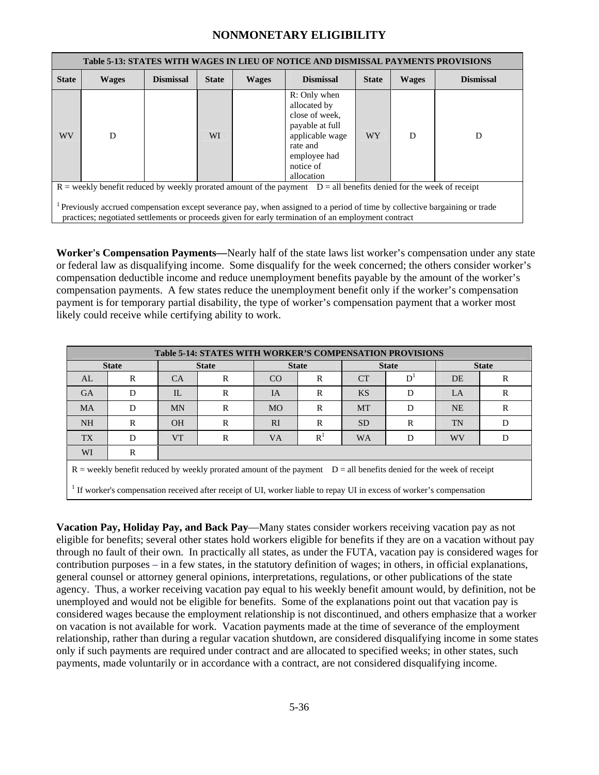|              | Table 5-13: STATES WITH WAGES IN LIEU OF NOTICE AND DISMISSAL PAYMENTS PROVISIONS                                                                                                                                                |                  |              |              |                                                                                                                                                                    |              |              |                  |  |  |  |  |
|--------------|----------------------------------------------------------------------------------------------------------------------------------------------------------------------------------------------------------------------------------|------------------|--------------|--------------|--------------------------------------------------------------------------------------------------------------------------------------------------------------------|--------------|--------------|------------------|--|--|--|--|
| <b>State</b> | <b>Wages</b>                                                                                                                                                                                                                     | <b>Dismissal</b> | <b>State</b> | <b>Wages</b> | <b>Dismissal</b>                                                                                                                                                   | <b>State</b> | <b>Wages</b> | <b>Dismissal</b> |  |  |  |  |
| WV           | D                                                                                                                                                                                                                                |                  | WI           |              | R: Only when<br>allocated by<br>close of week,<br>payable at full<br>applicable wage<br>D<br><b>WY</b><br>D<br>rate and<br>employee had<br>notice of<br>allocation |              |              |                  |  |  |  |  |
|              |                                                                                                                                                                                                                                  |                  |              |              | $R$ = weekly benefit reduced by weekly prorated amount of the payment $D =$ all benefits denied for the week of receipt                                            |              |              |                  |  |  |  |  |
|              | Previously accrued compensation except severance pay, when assigned to a period of time by collective bargaining or trade<br>practices; negotiated settlements or proceeds given for early termination of an employment contract |                  |              |              |                                                                                                                                                                    |              |              |                  |  |  |  |  |

**Worker's Compensation Payments—**Nearly half of the state laws list worker's compensation under any state or federal law as disqualifying income. Some disqualify for the week concerned; the others consider worker's compensation deductible income and reduce unemployment benefits payable by the amount of the worker's compensation payments. A few states reduce the unemployment benefit only if the worker's compensation payment is for temporary partial disability, the type of worker's compensation payment that a worker most likely could receive while certifying ability to work.

|                                                                                                                                                                                                                                                | <b>Table 5-14: STATES WITH WORKER'S COMPENSATION PROVISIONS</b> |           |              |              |                |                 |    |              |   |  |  |
|------------------------------------------------------------------------------------------------------------------------------------------------------------------------------------------------------------------------------------------------|-----------------------------------------------------------------|-----------|--------------|--------------|----------------|-----------------|----|--------------|---|--|--|
|                                                                                                                                                                                                                                                | <b>State</b>                                                    |           | <b>State</b> | <b>State</b> |                | <b>State</b>    |    | <b>State</b> |   |  |  |
| AL                                                                                                                                                                                                                                             | R                                                               | <b>CA</b> | R            | CO           | $\mathbf R$    | <b>CT</b>       | D' | DE           | R |  |  |
| <b>GA</b>                                                                                                                                                                                                                                      | D                                                               | $\Pi$ .   | R            | IA           | R              | <b>KS</b>       | D  | $L_A$        | R |  |  |
| <b>MA</b>                                                                                                                                                                                                                                      | D                                                               | <b>MN</b> | R            | <b>MO</b>    | R              | <b>MT</b>       | D  | <b>NE</b>    | R |  |  |
| <b>NH</b>                                                                                                                                                                                                                                      | R                                                               | <b>OH</b> | R            | RI           | R              | SD <sub>1</sub> | R  | <b>TN</b>    | D |  |  |
| <b>TX</b>                                                                                                                                                                                                                                      | D                                                               | <b>VT</b> | R            | <b>VA</b>    | R <sup>1</sup> | <b>WA</b>       | D  | <b>WV</b>    | D |  |  |
| WI                                                                                                                                                                                                                                             | R                                                               |           |              |              |                |                 |    |              |   |  |  |
| $R$ = weekly benefit reduced by weekly prorated amount of the payment $D =$ all benefits denied for the week of receipt<br>If worker's compensation received after receipt of UI, worker liable to repay UI in excess of worker's compensation |                                                                 |           |              |              |                |                 |    |              |   |  |  |
|                                                                                                                                                                                                                                                |                                                                 |           |              |              |                |                 |    |              |   |  |  |

**Vacation Pay, Holiday Pay, and Back Pay**—Many states consider workers receiving vacation pay as not eligible for benefits; several other states hold workers eligible for benefits if they are on a vacation without pay through no fault of their own. In practically all states, as under the FUTA, vacation pay is considered wages for contribution purposes – in a few states, in the statutory definition of wages; in others, in official explanations, general counsel or attorney general opinions, interpretations, regulations, or other publications of the state agency. Thus, a worker receiving vacation pay equal to his weekly benefit amount would, by definition, not be unemployed and would not be eligible for benefits. Some of the explanations point out that vacation pay is considered wages because the employment relationship is not discontinued, and others emphasize that a worker on vacation is not available for work. Vacation payments made at the time of severance of the employment relationship, rather than during a regular vacation shutdown, are considered disqualifying income in some states only if such payments are required under contract and are allocated to specified weeks; in other states, such payments, made voluntarily or in accordance with a contract, are not considered disqualifying income.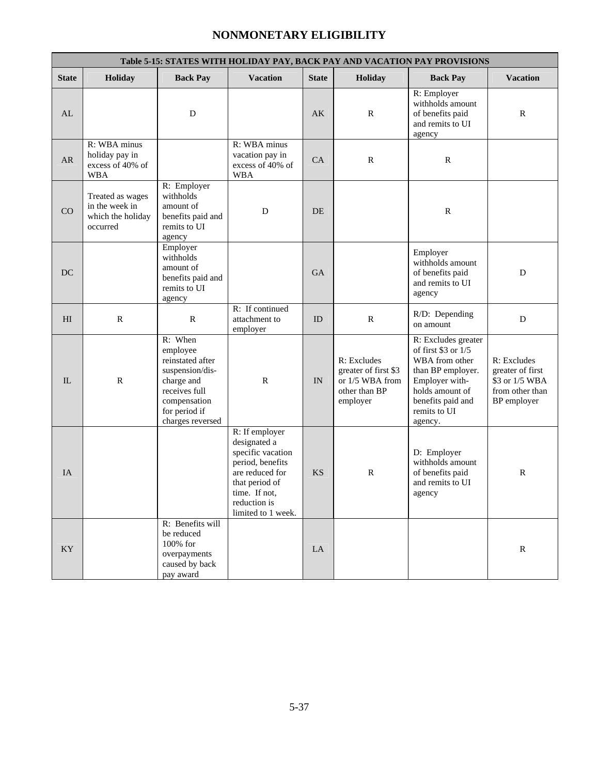|                        | Table 5-15: STATES WITH HOLIDAY PAY, BACK PAY AND VACATION PAY PROVISIONS |                                                                                                                                                |                                                                                                                                                                     |              |                                                                                     |                                                                                                                                                                           |                                                                                     |  |  |  |  |  |
|------------------------|---------------------------------------------------------------------------|------------------------------------------------------------------------------------------------------------------------------------------------|---------------------------------------------------------------------------------------------------------------------------------------------------------------------|--------------|-------------------------------------------------------------------------------------|---------------------------------------------------------------------------------------------------------------------------------------------------------------------------|-------------------------------------------------------------------------------------|--|--|--|--|--|
| <b>State</b>           | Holiday                                                                   | <b>Back Pay</b>                                                                                                                                | <b>Vacation</b>                                                                                                                                                     | <b>State</b> | Holiday                                                                             | <b>Back Pay</b>                                                                                                                                                           | <b>Vacation</b>                                                                     |  |  |  |  |  |
| AL                     |                                                                           | D                                                                                                                                              |                                                                                                                                                                     | AK           | $\mathbb{R}$                                                                        | R: Employer<br>withholds amount<br>of benefits paid<br>and remits to UI<br>agency                                                                                         | $\mathbb{R}$                                                                        |  |  |  |  |  |
| AR                     | R: WBA minus<br>holiday pay in<br>excess of 40% of<br><b>WBA</b>          |                                                                                                                                                | R: WBA minus<br>vacation pay in<br>excess of 40% of<br><b>WBA</b>                                                                                                   | CA           | $\mathbb{R}$                                                                        | $\mathbb{R}$                                                                                                                                                              |                                                                                     |  |  |  |  |  |
| CO                     | Treated as wages<br>in the week in<br>which the holiday<br>occurred       | R: Employer<br>withholds<br>amount of<br>benefits paid and<br>remits to UI<br>agency                                                           | D                                                                                                                                                                   | DE.          |                                                                                     | $\mathbb{R}$                                                                                                                                                              |                                                                                     |  |  |  |  |  |
| DC                     |                                                                           | Employer<br>withholds<br>amount of<br>benefits paid and<br>remits to UI<br>agency                                                              |                                                                                                                                                                     | <b>GA</b>    |                                                                                     | Employer<br>withholds amount<br>of benefits paid<br>and remits to UI<br>agency                                                                                            | D                                                                                   |  |  |  |  |  |
| H <sub>I</sub>         | $\mathbb{R}$                                                              | $\mathbb{R}$                                                                                                                                   | R: If continued<br>attachment to<br>employer                                                                                                                        | ID           | $\mathbf R$                                                                         | R/D: Depending<br>on amount                                                                                                                                               | D                                                                                   |  |  |  |  |  |
| IL                     | $\mathbb{R}$                                                              | R: When<br>employee<br>reinstated after<br>suspension/dis-<br>charge and<br>receives full<br>compensation<br>for period if<br>charges reversed | $\mathbb{R}$                                                                                                                                                        | IN           | R: Excludes<br>greater of first \$3<br>or 1/5 WBA from<br>other than BP<br>employer | R: Excludes greater<br>of first $$3$ or $1/5$<br>WBA from other<br>than BP employer.<br>Employer with-<br>holds amount of<br>benefits paid and<br>remits to UI<br>agency. | R: Excludes<br>greater of first<br>\$3 or 1/5 WBA<br>from other than<br>BP employer |  |  |  |  |  |
| IA                     |                                                                           |                                                                                                                                                | R: If employer<br>designated a<br>specific vacation<br>period, benefits<br>are reduced for<br>that period of<br>time. If not,<br>reduction is<br>limited to 1 week. | <b>KS</b>    | $\mathbb{R}$                                                                        | D: Employer<br>withholds amount<br>of benefits paid<br>and remits to UI<br>agency                                                                                         | $\mathbb{R}$                                                                        |  |  |  |  |  |
| $\mathbf{K}\mathbf{Y}$ |                                                                           | R: Benefits will<br>be reduced<br>100% for<br>overpayments<br>caused by back<br>pay award                                                      |                                                                                                                                                                     | LA           |                                                                                     |                                                                                                                                                                           | ${\bf R}$                                                                           |  |  |  |  |  |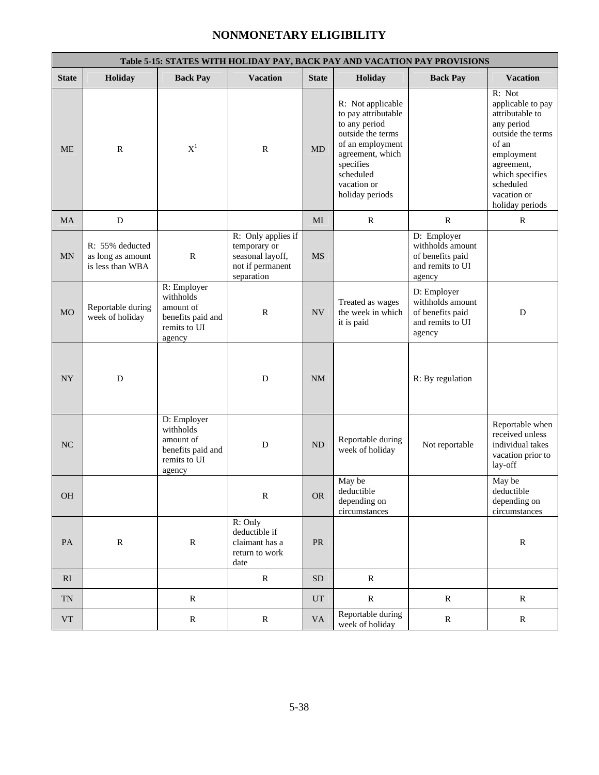|                          | Table 5-15: STATES WITH HOLIDAY PAY, BACK PAY AND VACATION PAY PROVISIONS |                                                                                      |                                                                                          |              |                                                                                                                                                                                    |                                                                                   |                                                                                                                                                                                          |  |  |  |  |  |
|--------------------------|---------------------------------------------------------------------------|--------------------------------------------------------------------------------------|------------------------------------------------------------------------------------------|--------------|------------------------------------------------------------------------------------------------------------------------------------------------------------------------------------|-----------------------------------------------------------------------------------|------------------------------------------------------------------------------------------------------------------------------------------------------------------------------------------|--|--|--|--|--|
| <b>State</b>             | Holiday                                                                   | <b>Back Pay</b>                                                                      | <b>Vacation</b>                                                                          | <b>State</b> | Holiday                                                                                                                                                                            | <b>Back Pay</b>                                                                   | <b>Vacation</b>                                                                                                                                                                          |  |  |  |  |  |
| $ME$                     | $\mathbf R$                                                               | $X^1$                                                                                | ${\bf R}$                                                                                | <b>MD</b>    | R: Not applicable<br>to pay attributable<br>to any period<br>outside the terms<br>of an employment<br>agreement, which<br>specifies<br>scheduled<br>vacation or<br>holiday periods |                                                                                   | R: Not<br>applicable to pay<br>attributable to<br>any period<br>outside the terms<br>of an<br>employment<br>agreement,<br>which specifies<br>scheduled<br>vacation or<br>holiday periods |  |  |  |  |  |
| <b>MA</b>                | ${\bf D}$                                                                 |                                                                                      |                                                                                          | MI           | $\mathbb{R}$                                                                                                                                                                       | $\mathbb{R}$                                                                      | $\mathbb{R}$                                                                                                                                                                             |  |  |  |  |  |
| <b>MN</b>                | R: 55% deducted<br>as long as amount<br>is less than WBA                  | $\mathbb{R}$                                                                         | R: Only applies if<br>temporary or<br>seasonal layoff,<br>not if permanent<br>separation | <b>MS</b>    |                                                                                                                                                                                    | D: Employer<br>withholds amount<br>of benefits paid<br>and remits to UI<br>agency |                                                                                                                                                                                          |  |  |  |  |  |
| <b>MO</b>                | Reportable during<br>week of holiday                                      | R: Employer<br>withholds<br>amount of<br>benefits paid and<br>remits to UI<br>agency | $\mathbb{R}$                                                                             | NV           | Treated as wages<br>the week in which<br>it is paid                                                                                                                                | D: Employer<br>withholds amount<br>of benefits paid<br>and remits to UI<br>agency | D                                                                                                                                                                                        |  |  |  |  |  |
| ${\rm NY}$               | D                                                                         |                                                                                      | D                                                                                        | NM           |                                                                                                                                                                                    | R: By regulation                                                                  |                                                                                                                                                                                          |  |  |  |  |  |
| <b>NC</b>                |                                                                           | D: Employer<br>withholds<br>amount of<br>benefits paid and<br>remits to UI<br>agency | D                                                                                        | ND           | Reportable during<br>week of holiday                                                                                                                                               | Not reportable                                                                    | Reportable when<br>received unless<br>individual takes<br>vacation prior to<br>lay-off                                                                                                   |  |  |  |  |  |
| <b>OH</b>                |                                                                           |                                                                                      | $\mathbb{R}$                                                                             | <b>OR</b>    | May be<br>deductible<br>depending on<br>circumstances                                                                                                                              |                                                                                   | May be<br>deductible<br>depending on<br>circumstances                                                                                                                                    |  |  |  |  |  |
| $\mathbf{PA}$            | ${\bf R}$                                                                 | ${\bf R}$                                                                            | R: Only<br>deductible if<br>claimant has a<br>return to work<br>date                     | ${\rm PR}$   |                                                                                                                                                                                    |                                                                                   | ${\bf R}$                                                                                                                                                                                |  |  |  |  |  |
| RI                       |                                                                           |                                                                                      | ${\bf R}$                                                                                | <b>SD</b>    | ${\bf R}$                                                                                                                                                                          |                                                                                   |                                                                                                                                                                                          |  |  |  |  |  |
| $\mathcal{T}\mathcal{N}$ |                                                                           | ${\bf R}$                                                                            |                                                                                          | <b>UT</b>    | ${\bf R}$                                                                                                                                                                          | ${\bf R}$                                                                         | ${\bf R}$                                                                                                                                                                                |  |  |  |  |  |
| ${\rm VT}$               |                                                                           | ${\bf R}$                                                                            | ${\bf R}$                                                                                | <b>VA</b>    | Reportable during<br>week of holiday                                                                                                                                               | ${\bf R}$                                                                         | ${\bf R}$                                                                                                                                                                                |  |  |  |  |  |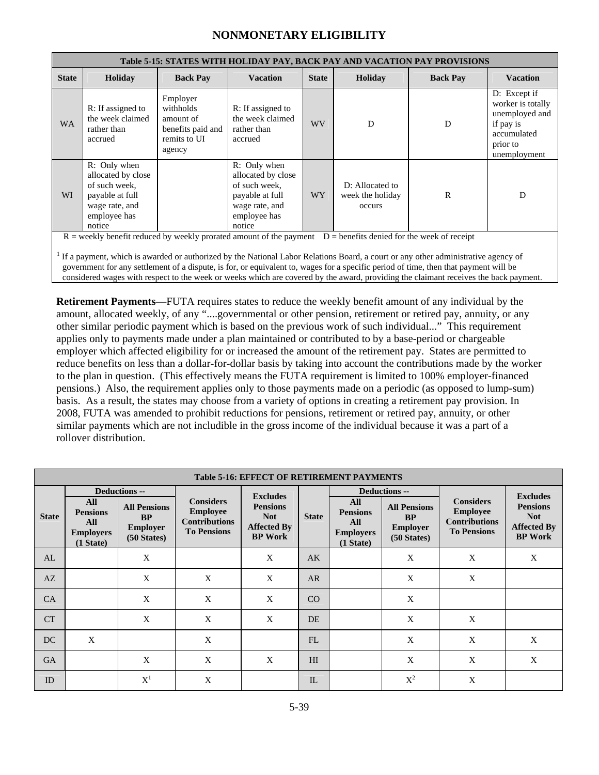|              | Table 5-15: STATES WITH HOLIDAY PAY, BACK PAY AND VACATION PAY PROVISIONS                                                                                                                                                                                                                                                                                                                                                                                                                                                                |                                                                                   |                                                                                                                    |                 |                                               |                 |                                                                                                             |  |  |  |  |
|--------------|------------------------------------------------------------------------------------------------------------------------------------------------------------------------------------------------------------------------------------------------------------------------------------------------------------------------------------------------------------------------------------------------------------------------------------------------------------------------------------------------------------------------------------------|-----------------------------------------------------------------------------------|--------------------------------------------------------------------------------------------------------------------|-----------------|-----------------------------------------------|-----------------|-------------------------------------------------------------------------------------------------------------|--|--|--|--|
| <b>State</b> | Holiday                                                                                                                                                                                                                                                                                                                                                                                                                                                                                                                                  | <b>Back Pay</b>                                                                   | <b>Vacation</b>                                                                                                    | <b>State</b>    | Holiday                                       | <b>Back Pay</b> | <b>Vacation</b>                                                                                             |  |  |  |  |
| <b>WA</b>    | R: If assigned to<br>the week claimed<br>rather than<br>accrued                                                                                                                                                                                                                                                                                                                                                                                                                                                                          | Employer<br>withholds<br>amount of<br>benefits paid and<br>remits to UI<br>agency | R: If assigned to<br>the week claimed<br>rather than<br>accrued                                                    | <b>WV</b>       | D                                             | D               | D: Except if<br>worker is totally<br>unemployed and<br>if pay is<br>accumulated<br>prior to<br>unemployment |  |  |  |  |
| WI           | R: Only when<br>allocated by close<br>of such week.<br>payable at full<br>wage rate, and<br>employee has<br>notice                                                                                                                                                                                                                                                                                                                                                                                                                       |                                                                                   | R: Only when<br>allocated by close<br>of such week.<br>payable at full<br>wage rate, and<br>employee has<br>notice | WY <sup>-</sup> | D: Allocated to<br>week the holiday<br>occurs | $\mathbf R$     | D                                                                                                           |  |  |  |  |
|              | $R$ = weekly benefit reduced by weekly prorated amount of the payment $D$ = benefits denied for the week of receipt<br>If a payment, which is awarded or authorized by the National Labor Relations Board, a court or any other administrative agency of<br>government for any settlement of a dispute, is for, or equivalent to, wages for a specific period of time, then that payment will be<br>considered wages with respect to the week or weeks which are covered by the award, providing the claimant receives the back payment. |                                                                                   |                                                                                                                    |                 |                                               |                 |                                                                                                             |  |  |  |  |

**Retirement Payments**—FUTA requires states to reduce the weekly benefit amount of any individual by the amount, allocated weekly, of any "....governmental or other pension, retirement or retired pay, annuity, or any other similar periodic payment which is based on the previous work of such individual..." This requirement applies only to payments made under a plan maintained or contributed to by a base-period or chargeable employer which affected eligibility for or increased the amount of the retirement pay. States are permitted to reduce benefits on less than a dollar-for-dollar basis by taking into account the contributions made by the worker to the plan in question. (This effectively means the FUTA requirement is limited to 100% employer-financed pensions.) Also, the requirement applies only to those payments made on a periodic (as opposed to lump-sum) basis. As a result, the states may choose from a variety of options in creating a retirement pay provision. In 2008, FUTA was amended to prohibit reductions for pensions, retirement or retired pay, annuity, or other similar payments which are not includible in the gross income of the individual because it was a part of a rollover distribution.

|              | <b>Table 5-16: EFFECT OF RETIREMENT PAYMENTS</b>               |                                                                              |                                                                                   |                                                                       |                |                                                                |                                                                            |                                                                                   |                                                                       |  |  |  |  |
|--------------|----------------------------------------------------------------|------------------------------------------------------------------------------|-----------------------------------------------------------------------------------|-----------------------------------------------------------------------|----------------|----------------------------------------------------------------|----------------------------------------------------------------------------|-----------------------------------------------------------------------------------|-----------------------------------------------------------------------|--|--|--|--|
|              |                                                                | <b>Deductions --</b>                                                         |                                                                                   | <b>Excludes</b>                                                       |                |                                                                | <b>Deductions --</b>                                                       |                                                                                   | <b>Excludes</b>                                                       |  |  |  |  |
| <b>State</b> | All<br><b>Pensions</b><br>All<br><b>Employers</b><br>(1 State) | <b>All Pensions</b><br><b>BP</b><br><b>Employer</b><br>$(50 \text{ States})$ | <b>Considers</b><br><b>Employee</b><br><b>Contributions</b><br><b>To Pensions</b> | <b>Pensions</b><br><b>Not</b><br><b>Affected By</b><br><b>BP</b> Work | <b>State</b>   | All<br><b>Pensions</b><br>All<br><b>Employers</b><br>(1 State) | <b>All Pensions</b><br><b>BP</b><br><b>Employer</b><br>(50 <i>States</i> ) | <b>Considers</b><br><b>Employee</b><br><b>Contributions</b><br><b>To Pensions</b> | <b>Pensions</b><br><b>Not</b><br><b>Affected By</b><br><b>BP</b> Work |  |  |  |  |
| AL           |                                                                | X                                                                            |                                                                                   | X                                                                     | AK             |                                                                | X                                                                          | X                                                                                 | X                                                                     |  |  |  |  |
| AZ           |                                                                | X                                                                            | $\mathbf{X}$                                                                      | X                                                                     | AR             |                                                                | X                                                                          | X                                                                                 |                                                                       |  |  |  |  |
| <b>CA</b>    |                                                                | X                                                                            | X                                                                                 | X                                                                     | CO             |                                                                | X                                                                          |                                                                                   |                                                                       |  |  |  |  |
| <b>CT</b>    |                                                                | X                                                                            | X                                                                                 | X                                                                     | DE             |                                                                | X                                                                          | $\mathbf{X}$                                                                      |                                                                       |  |  |  |  |
| DC           | X                                                              |                                                                              | X                                                                                 |                                                                       | FL             |                                                                | X                                                                          | X                                                                                 | X                                                                     |  |  |  |  |
| <b>GA</b>    |                                                                | X                                                                            | X                                                                                 | X                                                                     | H <sub>I</sub> |                                                                | X                                                                          | X                                                                                 | X                                                                     |  |  |  |  |
| ID           |                                                                | $X^1$                                                                        | X                                                                                 |                                                                       | IL             |                                                                | $X^2$                                                                      | X                                                                                 |                                                                       |  |  |  |  |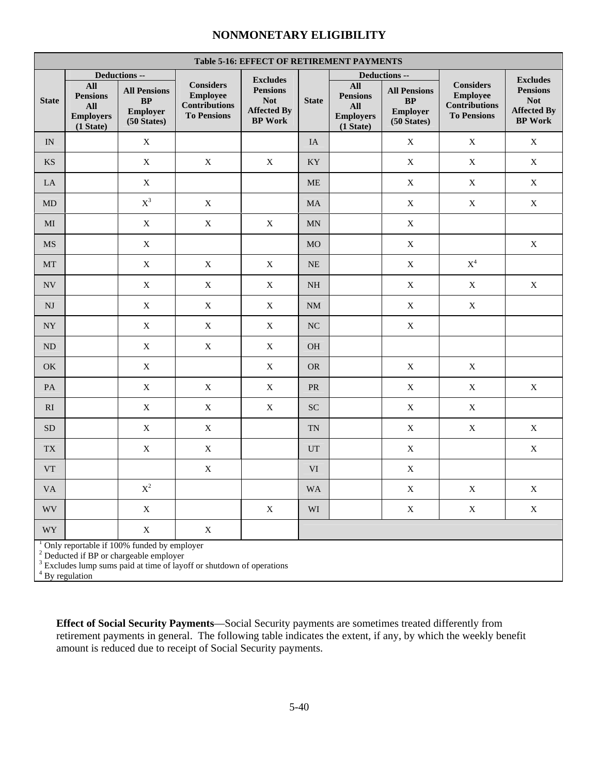|                          | <b>Table 5-16: EFFECT OF RETIREMENT PAYMENTS</b>                                                                                                                                                  |                                                              |                                                                                   |                                                                       |                  |                                                                       |                                                              |                                                                                   |                                                                       |  |
|--------------------------|---------------------------------------------------------------------------------------------------------------------------------------------------------------------------------------------------|--------------------------------------------------------------|-----------------------------------------------------------------------------------|-----------------------------------------------------------------------|------------------|-----------------------------------------------------------------------|--------------------------------------------------------------|-----------------------------------------------------------------------------------|-----------------------------------------------------------------------|--|
|                          |                                                                                                                                                                                                   | Deductions --                                                |                                                                                   | <b>Excludes</b>                                                       |                  |                                                                       | Deductions --                                                |                                                                                   | <b>Excludes</b>                                                       |  |
| <b>State</b>             | <b>All</b><br><b>Pensions</b><br><b>All</b><br><b>Employers</b><br>(1 State)                                                                                                                      | <b>All Pensions</b><br>BP<br>Employer<br>(50 <i>States</i> ) | <b>Considers</b><br><b>Employee</b><br><b>Contributions</b><br><b>To Pensions</b> | <b>Pensions</b><br><b>Not</b><br><b>Affected By</b><br><b>BP</b> Work | <b>State</b>     | <b>All</b><br><b>Pensions</b><br>All<br><b>Employers</b><br>(1 State) | <b>All Pensions</b><br>BP<br>Employer<br>(50 <i>States</i> ) | <b>Considers</b><br><b>Employee</b><br><b>Contributions</b><br><b>To Pensions</b> | <b>Pensions</b><br><b>Not</b><br><b>Affected By</b><br><b>BP</b> Work |  |
| IN                       |                                                                                                                                                                                                   | X                                                            |                                                                                   |                                                                       | IA               |                                                                       | $\mathbf X$                                                  | X                                                                                 | $\mathbf X$                                                           |  |
| $\mathbf{K}\mathbf{S}$   |                                                                                                                                                                                                   | $\mathbf X$                                                  | $\mathbf X$                                                                       | $\mathbf X$                                                           | KY               |                                                                       | $\mathbf X$                                                  | $\mathbf X$                                                                       | $\mathbf X$                                                           |  |
| LA                       |                                                                                                                                                                                                   | $\mathbf X$                                                  |                                                                                   |                                                                       | <b>ME</b>        |                                                                       | $\mathbf X$                                                  | $\mathbf X$                                                                       | X                                                                     |  |
| MD                       |                                                                                                                                                                                                   | $\mathbf{X}^3$                                               | $\mathbf X$                                                                       |                                                                       | MA               |                                                                       | $\mathbf X$                                                  | $\mathbf X$                                                                       | $\mathbf X$                                                           |  |
| MI                       |                                                                                                                                                                                                   | $\mathbf X$                                                  | $\mathbf X$                                                                       | $\mathbf X$                                                           | MN               |                                                                       | $\mathbf X$                                                  |                                                                                   |                                                                       |  |
| $\rm{MS}$                |                                                                                                                                                                                                   | $\mathbf X$                                                  |                                                                                   |                                                                       | MO               |                                                                       | $\mathbf X$                                                  |                                                                                   | $\mathbf X$                                                           |  |
| MT                       |                                                                                                                                                                                                   | X                                                            | X                                                                                 | $\mathbf X$                                                           | <b>NE</b>        |                                                                       | $\mathbf X$                                                  | $\mathbf{X}^4$                                                                    |                                                                       |  |
| $\ensuremath{\text{NV}}$ |                                                                                                                                                                                                   | $\mathbf X$                                                  | $\mathbf X$                                                                       | $\mathbf X$                                                           | NH               |                                                                       | $\mathbf X$                                                  | $\mathbf X$                                                                       | $\mathbf X$                                                           |  |
| $\mathbf{N}\mathbf{J}$   |                                                                                                                                                                                                   | X                                                            | X                                                                                 | X                                                                     | $\rm{NM}$        |                                                                       | $\mathbf X$                                                  | X                                                                                 |                                                                       |  |
| ${\rm NY}$               |                                                                                                                                                                                                   | $\mathbf X$                                                  | $\mathbf X$                                                                       | $\mathbf X$                                                           | $_{\mathrm{NC}}$ |                                                                       | $\mathbf X$                                                  |                                                                                   |                                                                       |  |
| ND                       |                                                                                                                                                                                                   | $\mathbf X$                                                  | $\mathbf X$                                                                       | $\mathbf X$                                                           | <b>OH</b>        |                                                                       |                                                              |                                                                                   |                                                                       |  |
| OK                       |                                                                                                                                                                                                   | $\mathbf X$                                                  |                                                                                   | $\mathbf X$                                                           | <b>OR</b>        |                                                                       | $\mathbf X$                                                  | $\mathbf X$                                                                       |                                                                       |  |
| PA                       |                                                                                                                                                                                                   | X                                                            | X                                                                                 | $\mathbf X$                                                           | PR               |                                                                       | $\mathbf X$                                                  | X                                                                                 | X                                                                     |  |
| RI                       |                                                                                                                                                                                                   | $\mathbf X$                                                  | $\mathbf X$                                                                       | $\mathbf X$                                                           | <b>SC</b>        |                                                                       | $\mathbf X$                                                  | $\mathbf X$                                                                       |                                                                       |  |
| ${\rm SD}$               |                                                                                                                                                                                                   | $\mathbf X$                                                  | $\mathbf X$                                                                       |                                                                       | <b>TN</b>        |                                                                       | $\mathbf X$                                                  | $\mathbf X$                                                                       | X                                                                     |  |
| <b>TX</b>                |                                                                                                                                                                                                   | X                                                            | X                                                                                 |                                                                       | UT               |                                                                       | $\mathbf X$                                                  |                                                                                   | $\mathbf X$                                                           |  |
| <b>VT</b>                |                                                                                                                                                                                                   |                                                              | $\mathbf X$                                                                       |                                                                       | <b>VI</b>        |                                                                       | $\mathbf X$                                                  |                                                                                   |                                                                       |  |
| $\mathbf{V}\mathbf{A}$   |                                                                                                                                                                                                   | $\mathbf{X}^2$                                               |                                                                                   |                                                                       | <b>WA</b>        |                                                                       | $\mathbf X$                                                  | $\mathbf X$                                                                       | $\mathbf X$                                                           |  |
| <b>WV</b>                |                                                                                                                                                                                                   | $\mathbf X$                                                  |                                                                                   | $\mathbf X$                                                           | WI               |                                                                       | $\mathbf X$                                                  | $\mathbf X$                                                                       | $\mathbf X$                                                           |  |
| <b>WY</b>                |                                                                                                                                                                                                   | $\mathbf X$                                                  | $\mathbf X$                                                                       |                                                                       |                  |                                                                       |                                                              |                                                                                   |                                                                       |  |
|                          | <sup>1</sup> Only reportable if 100% funded by employer<br><sup>2</sup> Deducted if BP or chargeable employer<br><sup>3</sup> Excludes lump sums paid at time of layoff or shutdown of operations |                                                              |                                                                                   |                                                                       |                  |                                                                       |                                                              |                                                                                   |                                                                       |  |

 $4\bar{B}y$  regulation

**Effect of Social Security Payments**—Social Security payments are sometimes treated differently from retirement payments in general. The following table indicates the extent, if any, by which the weekly benefit amount is reduced due to receipt of Social Security payments.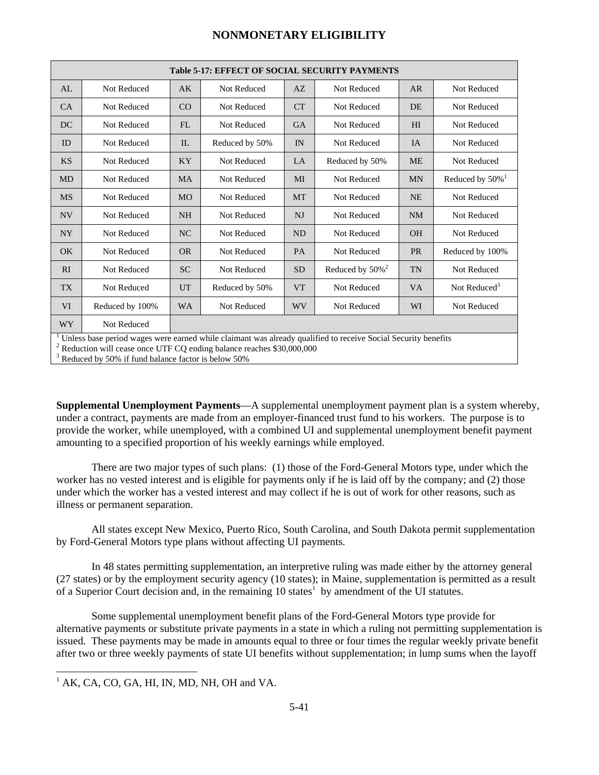| <b>Table 5-17: EFFECT OF SOCIAL SECURITY PAYMENTS</b>                                                         |                 |           |                |           |                                |                |                             |
|---------------------------------------------------------------------------------------------------------------|-----------------|-----------|----------------|-----------|--------------------------------|----------------|-----------------------------|
| AL                                                                                                            | Not Reduced     | AK        | Not Reduced    | AZ        | Not Reduced                    | AR             | Not Reduced                 |
| CA                                                                                                            | Not Reduced     | CO        | Not Reduced    | <b>CT</b> | Not Reduced                    | DE             | Not Reduced                 |
| DC                                                                                                            | Not Reduced     | FL        | Not Reduced    | <b>GA</b> | Not Reduced                    | H <sub>I</sub> | Not Reduced                 |
| ID                                                                                                            | Not Reduced     | IL        | Reduced by 50% | IN        | Not Reduced                    | IA             | Not Reduced                 |
| <b>KS</b>                                                                                                     | Not Reduced     | KY        | Not Reduced    | LA        | Reduced by 50%                 | ME             | Not Reduced                 |
| <b>MD</b>                                                                                                     | Not Reduced     | <b>MA</b> | Not Reduced    | MI        | Not Reduced                    | <b>MN</b>      | Reduced by 50% <sup>1</sup> |
| <b>MS</b>                                                                                                     | Not Reduced     | <b>MO</b> | Not Reduced    | <b>MT</b> | Not Reduced                    | <b>NE</b>      | Not Reduced                 |
| <b>NV</b>                                                                                                     | Not Reduced     | <b>NH</b> | Not Reduced    | <b>NJ</b> | Not Reduced                    | <b>NM</b>      | Not Reduced                 |
| <b>NY</b>                                                                                                     | Not Reduced     | NC        | Not Reduced    | <b>ND</b> | Not Reduced                    | <b>OH</b>      | Not Reduced                 |
| OK                                                                                                            | Not Reduced     | <b>OR</b> | Not Reduced    | <b>PA</b> | Not Reduced                    | <b>PR</b>      | Reduced by 100%             |
| RI                                                                                                            | Not Reduced     | SC        | Not Reduced    | <b>SD</b> | Reduced by $50\%$ <sup>2</sup> | <b>TN</b>      | Not Reduced                 |
| <b>TX</b>                                                                                                     | Not Reduced     | UT        | Reduced by 50% | <b>VT</b> | Not Reduced                    | <b>VA</b>      | Not Reduced <sup>3</sup>    |
| <b>VI</b>                                                                                                     | Reduced by 100% | <b>WA</b> | Not Reduced    | <b>WV</b> | Not Reduced                    | WI             | Not Reduced                 |
| WY <sub></sub>                                                                                                | Not Reduced     |           |                |           |                                |                |                             |
| Unless base period wages were earned while claimant was already qualified to receive Social Security benefits |                 |           |                |           |                                |                |                             |

 $1<sup>2</sup>$  Reduction will cease once UTF CQ ending balance reaches \$30,000,000

<sup>3</sup> Reduced by 50% if fund balance factor is below 50%

**Supplemental Unemployment Payments**—A supplemental unemployment payment plan is a system whereby, under a contract, payments are made from an employer-financed trust fund to his workers. The purpose is to provide the worker, while unemployed, with a combined UI and supplemental unemployment benefit payment amounting to a specified proportion of his weekly earnings while employed.

 There are two major types of such plans: (1) those of the Ford-General Motors type, under which the worker has no vested interest and is eligible for payments only if he is laid off by the company; and (2) those under which the worker has a vested interest and may collect if he is out of work for other reasons, such as illness or permanent separation.

 All states except New Mexico, Puerto Rico, South Carolina, and South Dakota permit supplementation by Ford-General Motors type plans without affecting UI payments.

 In 48 states permitting supplementation, an interpretive ruling was made either by the attorney general (27 states) or by the employment security agency (10 states); in Maine, supplementation is permitted as a result of a Superior Court decision and, in the remaining  $10$  states<sup>1</sup> by amendment of the UI statutes.

 Some supplemental unemployment benefit plans of the Ford-General Motors type provide for alternative payments or substitute private payments in a state in which a ruling not permitting supplementation is issued. These payments may be made in amounts equal to three or four times the regular weekly private benefit after two or three weekly payments of state UI benefits without supplementation; in lump sums when the layoff

l

 $<sup>1</sup> AK$ , CA, CO, GA, HI, IN, MD, NH, OH and VA.</sup>